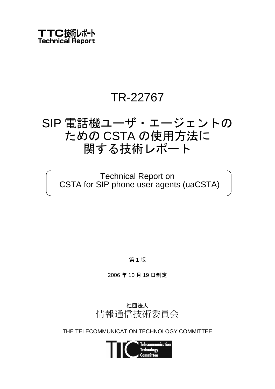# TR-22767

# SIP 電話機ユーザ・エージェントの ための CSTA の使用方法に 関する技術レポート

Technical Report on CSTA for SIP phone user agents (uaCSTA)

第 1 版

2006 年 10 月 19 日制定



THE TELECOMMUNICATION TECHNOLOGY COMMITTEE

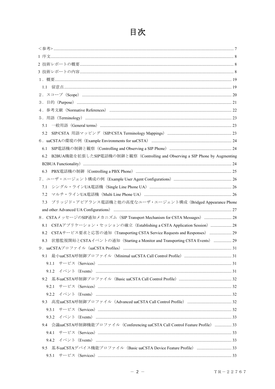# 目次

| 5.2                                                                                                                                                                                                                            |  |
|--------------------------------------------------------------------------------------------------------------------------------------------------------------------------------------------------------------------------------|--|
|                                                                                                                                                                                                                                |  |
| 6.1                                                                                                                                                                                                                            |  |
| B2BUA機能を拡張したSIP電話機の制御と観察 (Controlling and Observing a SIP Phone by Augmenting<br>6.2                                                                                                                                           |  |
| B2BUA Functionality) manufactured and the contract of the contract of the contract of the contract of the contract of the contract of the contract of the contract of the contract of the contract of the contract of the cont |  |
|                                                                                                                                                                                                                                |  |
|                                                                                                                                                                                                                                |  |
|                                                                                                                                                                                                                                |  |
| 7.2                                                                                                                                                                                                                            |  |
| ブリッジド・アピアランス電話機と他の高度なユーザ・エージェント構成 (Bridged Appearance Phone<br>7.3                                                                                                                                                             |  |
|                                                                                                                                                                                                                                |  |
| 8. CSTAメッセージのSIP通知メカニズム (SIP Transport Mechanism for CSTA Messages)  28                                                                                                                                                        |  |
| CSTAアプリケーション・セッションの確立 (Establishing a CSTA Application Session)  28<br>8.1                                                                                                                                                     |  |
| CSTAサービス要求と応答の通知 (Transporting CSTA Service Requests and Responses)  29<br>8.2                                                                                                                                                 |  |
| 状態監視開始とCSTAイベントの通知 (Starting a Monitor and Transporting CSTA Events)  29<br>8.3                                                                                                                                                |  |
|                                                                                                                                                                                                                                |  |
|                                                                                                                                                                                                                                |  |
|                                                                                                                                                                                                                                |  |
|                                                                                                                                                                                                                                |  |
|                                                                                                                                                                                                                                |  |
| 9.2.1                                                                                                                                                                                                                          |  |
|                                                                                                                                                                                                                                |  |
|                                                                                                                                                                                                                                |  |
|                                                                                                                                                                                                                                |  |
|                                                                                                                                                                                                                                |  |
|                                                                                                                                                                                                                                |  |
| 9.4 会議uaCSTA呼制御機能プロファイル (Conferencing uaCSTA Call Control Feature Profile)  33                                                                                                                                                 |  |
|                                                                                                                                                                                                                                |  |
|                                                                                                                                                                                                                                |  |
|                                                                                                                                                                                                                                |  |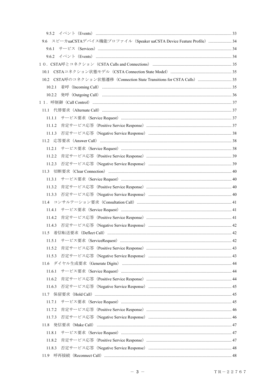| 9.6 スピーカuaCSTAデバイス機能プロファイル (Speaker uaCSTA Device Feature Profile)  34  |  |
|-------------------------------------------------------------------------|--|
|                                                                         |  |
|                                                                         |  |
|                                                                         |  |
|                                                                         |  |
| 10.2 CSTA呼のコネクション状態遷移 (Connection State Transitions for CSTA Calls)  35 |  |
| 10.2.1                                                                  |  |
|                                                                         |  |
|                                                                         |  |
|                                                                         |  |
| 11.1.1                                                                  |  |
| 11.1.2                                                                  |  |
|                                                                         |  |
|                                                                         |  |
| 11.2.1                                                                  |  |
| 11.2.2                                                                  |  |
|                                                                         |  |
|                                                                         |  |
| 11.3.1                                                                  |  |
| 11.3.2                                                                  |  |
| 11.3.3                                                                  |  |
|                                                                         |  |
| 1141                                                                    |  |
| 11.4.2                                                                  |  |
|                                                                         |  |
|                                                                         |  |
| 11.5.1                                                                  |  |
| 11.5.2                                                                  |  |
| 11.5.3                                                                  |  |
|                                                                         |  |
| 11.6.1                                                                  |  |
| 11.6.2                                                                  |  |
| 11.6.3                                                                  |  |
|                                                                         |  |
| 11.7.1                                                                  |  |
| 11.7.2                                                                  |  |
| 11.7.3                                                                  |  |
| 11.8                                                                    |  |
| 11.8.1                                                                  |  |
| 11.8.2                                                                  |  |
| 11.8.3                                                                  |  |
| 11.9                                                                    |  |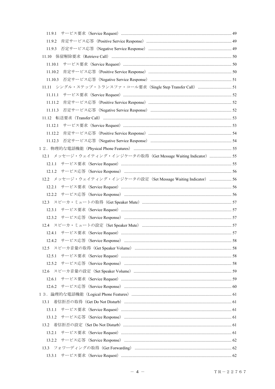| 11.9.1                                                                         |  |
|--------------------------------------------------------------------------------|--|
| 11.9.2                                                                         |  |
| 11.9.3                                                                         |  |
|                                                                                |  |
| 11.10.1                                                                        |  |
|                                                                                |  |
| 11.10.3 否定サービス応答 (Negative Service Response) ……………………………………………………………………………… 51 |  |
| 11.11 シングル・ステップ・トランスファ・コール要求 (Single Step Transfer Call)  51                   |  |
|                                                                                |  |
|                                                                                |  |
|                                                                                |  |
|                                                                                |  |
|                                                                                |  |
|                                                                                |  |
| 11.12.3 否定サービス応答 (Negative Service Response) …………………………………………………………………………54    |  |
|                                                                                |  |
| 12.1 メッセージ・ウェイティング・インジケータの取得 (Get Message Waiting Indicator)  55               |  |
|                                                                                |  |
|                                                                                |  |
| 12.2 メッセージ・ウェイティング・インジケータの設定 (Set Message Waiting Indicator)  56               |  |
|                                                                                |  |
|                                                                                |  |
|                                                                                |  |
| 12.3.1                                                                         |  |
|                                                                                |  |
|                                                                                |  |
|                                                                                |  |
|                                                                                |  |
|                                                                                |  |
| 12.5.1                                                                         |  |
|                                                                                |  |
|                                                                                |  |
|                                                                                |  |
|                                                                                |  |
|                                                                                |  |
| 13.1                                                                           |  |
| 13.1.1                                                                         |  |
|                                                                                |  |
|                                                                                |  |
| 13.2.1                                                                         |  |
|                                                                                |  |
|                                                                                |  |
|                                                                                |  |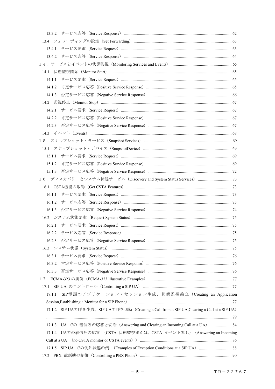| 14.1                                                                                                                                                                                                                           |  |
|--------------------------------------------------------------------------------------------------------------------------------------------------------------------------------------------------------------------------------|--|
| 1411                                                                                                                                                                                                                           |  |
| 14.1.2                                                                                                                                                                                                                         |  |
|                                                                                                                                                                                                                                |  |
|                                                                                                                                                                                                                                |  |
| 14.2.1                                                                                                                                                                                                                         |  |
| 14.2.2                                                                                                                                                                                                                         |  |
|                                                                                                                                                                                                                                |  |
|                                                                                                                                                                                                                                |  |
|                                                                                                                                                                                                                                |  |
|                                                                                                                                                                                                                                |  |
|                                                                                                                                                                                                                                |  |
| 15.1.2 肯定サービス応答 (Positive Service Response) …………………………………………………………………………………………69                                                                                                                                               |  |
|                                                                                                                                                                                                                                |  |
|                                                                                                                                                                                                                                |  |
|                                                                                                                                                                                                                                |  |
| 16.1.1                                                                                                                                                                                                                         |  |
| 16.1.2                                                                                                                                                                                                                         |  |
| 16.1.3                                                                                                                                                                                                                         |  |
|                                                                                                                                                                                                                                |  |
|                                                                                                                                                                                                                                |  |
|                                                                                                                                                                                                                                |  |
|                                                                                                                                                                                                                                |  |
|                                                                                                                                                                                                                                |  |
| 16.3.1                                                                                                                                                                                                                         |  |
| 16.3.2                                                                                                                                                                                                                         |  |
|                                                                                                                                                                                                                                |  |
|                                                                                                                                                                                                                                |  |
| 17.1                                                                                                                                                                                                                           |  |
| SIP電話のアプリケーション・セッション生成、状態監視確立 (Creating an Application<br>17.1.1                                                                                                                                                               |  |
|                                                                                                                                                                                                                                |  |
| 17.1.2 SIP UAで呼を生成、SIP UAで呼を切断(Creating a Call from a SIP UA, Clearing a Call at a SIP UA)                                                                                                                                     |  |
|                                                                                                                                                                                                                                |  |
| 17.1.3 UA での 着信呼の応答と切断 (Answering and Clearing an Incoming Call at a UA)  84                                                                                                                                                   |  |
| 17.1.4 UAでの着信呼の応答 (CSTA 状態監視または、CSTA イベント無し) (Answering an Incoming                                                                                                                                                            |  |
| Call at a UA (no CSTA monitor or CSTA events) manufactured and the state of the state of the State and State and State and State and State and State and State and State and State and State and State and State and State and |  |
| 17.1.5 SIP UA での例外状態の例 (Examples of Exception Conditions at a SIP UA)  88                                                                                                                                                      |  |
| 17.2                                                                                                                                                                                                                           |  |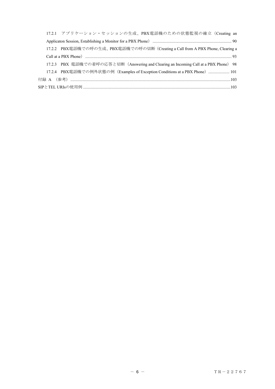| 17.2.1 アプリケーション・セッションの生成、PBX電話機のための状態監視の確立 (Creating an                              |  |
|--------------------------------------------------------------------------------------|--|
|                                                                                      |  |
| 17.2.2 PBX電話機での呼の生成、PBX電話機での呼の切断 (Creating a Call from A PBX Phone, Clearing a       |  |
|                                                                                      |  |
| 17.2.3 PBX 電話機での着呼の応答と切断 (Answering and Clearing an Incoming Call at a PBX Phone) 98 |  |
| 17.2.4 PBX電話機での例外状態の例 (Examples of Exception Conditions at a PBX Phone)  101         |  |
|                                                                                      |  |
|                                                                                      |  |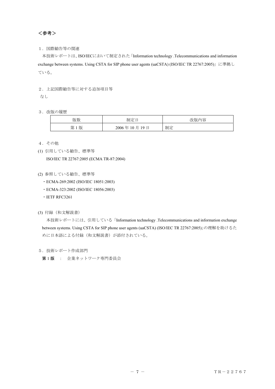<span id="page-7-0"></span><参考>

# 1.国際勧告等の関連

 本技術レポートは、ISO/IECにおいて制定された「Information technology .Telecommunications and information exchange between systems. Using CSTA for SIP phone user agents (uaCSTA) (ISO/IEC TR 22767:2005)」に準拠し ている。

# 2.上記国際勧告等に対する追加項目等

なし

3.改版の履歴

| 版数      | 制定日             | 改版内容 |
|---------|-----------------|------|
| 1版<br>第 | 2006年10月<br>19日 | 制定   |

- 4.その他
- (1) 引用している勧告、標準等 ISO/IEC TR 22767:2005 (ECMA TR-87:2004)
- (2) 参照している勧告、標準等
	- ・ECMA-269:2002 (ISO/IEC 18051:2003)
	- ・ECMA-323:2002 (ISO/IEC 18056:2003)
	- ・IETF RFC3261
- (3) 付録(和文解説書)

 本技術レポートには、引用している「Information technology .Telecommunications and information exchange between systems. Using CSTA for SIP phone user agents (uaCSTA) (ISO/IEC TR 22767:2005)」の理解を助けるた めに日本語による付録(和文解説書)が添付されている。

5.技術レポート作成部門

第 1 版 : 企業ネットワーク専門委員会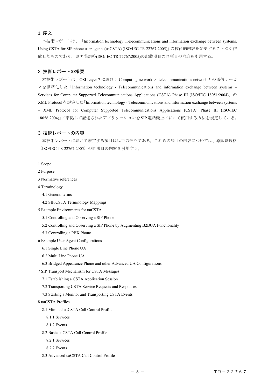# <span id="page-8-0"></span>1 序文

 本技術レポートは、「Information technology .Telecommunications and information exchange between systems. Using CSTA for SIP phone user agents (uaCSTA) (ISO/IEC TR 22767:2005)」の技術的内容を変更することなく作 成したものであり、原国際規格(ISO/IEC TR 22767:2005)の記載項目の同項目の内容を引用する。

#### 2 技術レポートの概要

 本技術レポートは、OSI Layer 7 における Computing network と telecommunications network との通信サービ スを標準化した「Information technology - Telecommunications and information exchange between systems – Services for Computer Supported Telecommunications Applications (CSTA) Phase III (ISO/IEC 18051:2004)」の XML Protocolを規定した「Information technology - Telecommunications and information exchange between systems – XML Protocol for Computer Supported Telecommunications Applications (CSTA) Phase III (ISO/IEC 18056:2004)」に準拠して記述されたアプリケーションをSIP電話機上において使用する方法を規定している。

#### 3 技術レポートの内容

 本技術レポートにおいて規定する項目は以下の通りである。これらの項目の内容については、原国際規格 (ISO/IEC TR 22767:2005)の同項目の内容を引用する。

- 1 Scope
- 2 Purpose
- 3 Normative references
- 4 Terminology
	- 4.1 General terms
	- 4.2 SIP/CSTA Terminology Mappings
- 5 Example Environments for uaCSTA
	- 5.1 Controlling and Observing a SIP Phone
	- 5.2 Controlling and Observing a SIP Phone by Augmenting B2BUA Functionality
	- 5.3 Controlling a PBX Phone
- 6 Example User Agent Configurations
	- 6.1 Single Line Phone UA
	- 6.2 Multi Line Phone UA
	- 6.3 Bridged Appearance Phone and other Advanced UA Configurations
- 7 SIP Transport Mechanism for CSTA Messages
	- 7.1 Establishing a CSTA Application Session
	- 7.2 Transporting CSTA Service Requests and Responses
	- 7.3 Starting a Monitor and Transporting CSTA Events
- 8 uaCSTA Profiles
	- 8.1 Minimal uaCSTA Call Control Profile
		- 8.1.1 Services
		- 8.1.2 Events
	- 8.2 Basic uaCSTA Call Control Profile
		- 8.2.1 Services
		- 8.2.2 Events
	- 8.3 Advanced uaCSTA Call Control Profile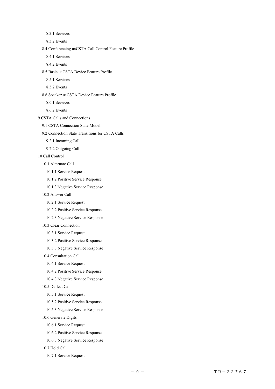8.3.2 Events 8.4 Conferencing uaCSTA Call Control Feature Profile 8.4.1 Services 8.4.2 Events 8.5 Basic uaCSTA Device Feature Profile 8.5.1 Services 8.5.2 Events 8.6 Speaker uaCSTA Device Feature Profile 8.6.1 Services 8.6.2 Events 9 CSTA Calls and Connections 9.1 CSTA Connection State Model 9.2 Connection State Transitions for CSTA Calls 9.2.1 Incoming Call 9.2.2 Outgoing Call 10 Call Control 10.1 Alternate Call 10.1.1 Service Request 10.1.2 Positive Service Response 10.1.3 Negative Service Response 10.2 Answer Call 10.2.1 Service Request 10.2.2 Positive Service Response 10.2.3 Negative Service Response 10.3 Clear Connection 10.3.1 Service Request 10.3.2 Positive Service Response 10.3.3 Negative Service Response 10.4 Consultation Call 10.4.1 Service Request 10.4.2 Positive Service Response 10.4.3 Negative Service Response 10.5 Deflect Call 10.5.1 Service Request 10.5.2 Positive Service Response 10.5.3 Negative Service Response 10.6 Generate Digits

8.3.1 Services

10.6.1 Service Request

- 10.6.2 Positive Service Response
- 10.6.3 Negative Service Response

10.7 Hold Call

10.7.1 Service Request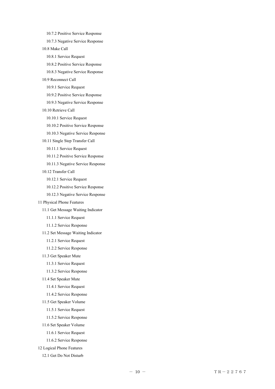10.7.2 Positive Service Response

10.7.3 Negative Service Response

10.8 Make Call

10.8.1 Service Request

10.8.2 Positive Service Response

10.8.3 Negative Service Response

10.9 Reconnect Call

10.9.1 Service Request

10.9.2 Positive Service Response

10.9.3 Negative Service Response

10.10 Retrieve Call

10.10.1 Service Request

10.10.2 Positive Service Response

10.10.3 Negative Service Response

10.11 Single Step Transfer Call

10.11.1 Service Request

10.11.2 Positive Service Response

10.11.3 Negative Service Response

10.12 Transfer Call

10.12.1 Service Request

10.12.2 Positive Service Response

10.12.3 Negative Service Response

11 Physical Phone Features

11.1 Get Message Waiting Indicator

11.1.1 Service Request

11.1.2 Service Response

11.2 Set Message Waiting Indicator

11.2.1 Service Request

11.2.2 Service Response

11.3 Get Speaker Mute

11.3.1 Service Request

11.3.2 Service Response

11.4 Set Speaker Mute

11.4.1 Service Request

11.4.2 Service Response

11.5 Get Speaker Volume

11.5.1 Service Request

11.5.2 Service Response

11.6 Set Speaker Volume

11.6.1 Service Request

11.6.2 Service Response

12 Logical Phone Features

12.1 Get Do Not Disturb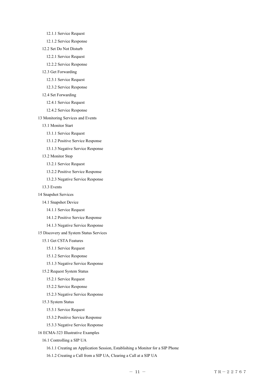12.1.1 Service Request

12.1.2 Service Response

12.2 Set Do Not Disturb

12.2.1 Service Request

12.2.2 Service Response

12.3 Get Forwarding

12.3.1 Service Request

12.3.2 Service Response

12.4 Set Forwarding

12.4.1 Service Request

12.4.2 Service Response

13 Monitoring Services and Events

13.1 Monitor Start

13.1.1 Service Request

13.1.2 Positive Service Response

13.1.3 Negative Service Response

13.2 Monitor Stop

13.2.1 Service Request

13.2.2 Positive Service Response

13.2.3 Negative Service Response

13.3 Events

14 Snapshot Services

14.1 Snapshot Device

14.1.1 Service Request

14.1.2 Positive Service Response

14.1.3 Negative Service Response

15 Discovery and System Status Services

15.1 Get CSTA Features

15.1.1 Service Request

15.1.2 Service Response

15.1.3 Negative Service Response

15.2 Request System Status

15.2.1 Service Request

15.2.2 Service Response

15.2.3 Negative Service Response

15.3 System Status

15.3.1 Service Request

15.3.2 Positive Service Response

15.3.3 Negative Service Response

16 ECMA-323 Illustrative Examples

16.1 Controlling a SIP UA

16.1.1 Creating an Application Session, Establishing a Monitor for a SIP Phone

16.1.2 Creating a Call from a SIP UA, Clearing a Call at a SIP UA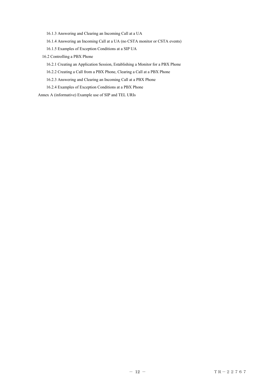16.1.3 Answering and Clearing an Incoming Call at a UA

16.1.4 Answering an Incoming Call at a UA (no CSTA monitor or CSTA events)

16.1.5 Examples of Exception Conditions at a SIP UA

16.2 Controlling a PBX Phone

16.2.1 Creating an Application Session, Establishing a Monitor for a PBX Phone

16.2.2 Creating a Call from a PBX Phone, Clearing a Call at a PBX Phone

16.2.3 Answering and Clearing an Incoming Call at a PBX Phone

16.2.4 Examples of Exception Conditions at a PBX Phone

Annex A (informative) Example use of SIP and TEL URIs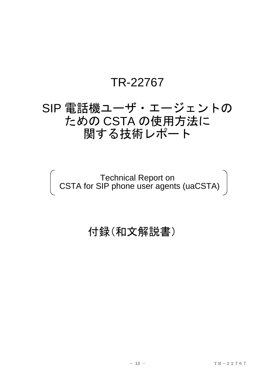# TR-22767

# SIP 電話機ユーザ・エージェントの ための CSTA の使用方法に 関する技術レポート

Technical Report on CSTA for SIP phone user agents (uaCSTA)

# 付録(和文解説書)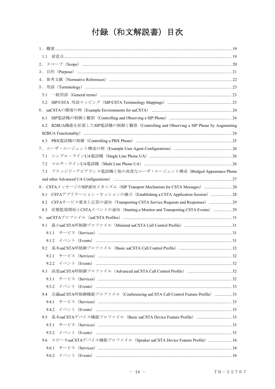# 付録 (和文解説書) 目次

| 4.                                                                                   |  |
|--------------------------------------------------------------------------------------|--|
|                                                                                      |  |
|                                                                                      |  |
|                                                                                      |  |
|                                                                                      |  |
| 6.1                                                                                  |  |
| B2BUA機能を拡張したSIP電話機の制御と観察 (Controlling and Observing a SIP Phone by Augmenting<br>6.2 |  |
|                                                                                      |  |
| 6.3                                                                                  |  |
|                                                                                      |  |
|                                                                                      |  |
| 7.2                                                                                  |  |
| ブリッジド・アピアランス電話機と他の高度なユーザ・エージェント構成 (Bridged Appearance Phone<br>7.3                   |  |
|                                                                                      |  |
| 8. CSTAメッセージのSIP通知メカニズム (SIP Transport Mechanism for CSTA Messages)  28              |  |
| CSTAアプリケーション・セッションの確立 (Establishing a CSTA Application Session)  28<br>8.1           |  |
| CSTAサービス要求と応答の通知 (Transporting CSTA Service Requests and Responses)  29<br>8.2       |  |
| 状態監視開始とCSTAイベントの通知 (Starting a Monitor and Transporting CSTA Events)  29<br>8.3      |  |
|                                                                                      |  |
|                                                                                      |  |
| 9.1.1                                                                                |  |
|                                                                                      |  |
|                                                                                      |  |
|                                                                                      |  |
|                                                                                      |  |
|                                                                                      |  |
|                                                                                      |  |
|                                                                                      |  |
| 9.4 会議uaCSTA呼制御機能プロファイル (Conferencing uaCSTA Call Control Feature Profile)  33       |  |
| 9.4.1                                                                                |  |
|                                                                                      |  |
| 9.5 基本uaCSTAデバイス機能プロファイル (Basic uaCSTA Device Feature Profile) 33                    |  |
|                                                                                      |  |
|                                                                                      |  |
| 9.6 スピーカuaCSTAデバイス機能プロファイル (Speaker uaCSTA Device Feature Profile)  34               |  |
|                                                                                      |  |
|                                                                                      |  |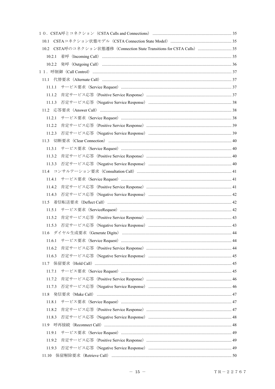| 10.2 CSTA呼のコネクション状態遷移 (Connection State Transitions for CSTA Calls)  35 |  |
|-------------------------------------------------------------------------|--|
|                                                                         |  |
|                                                                         |  |
|                                                                         |  |
|                                                                         |  |
| 11.1.1                                                                  |  |
| 11.1.2                                                                  |  |
| 11.1.3                                                                  |  |
|                                                                         |  |
| 11.2.1                                                                  |  |
| 11.2.2                                                                  |  |
|                                                                         |  |
|                                                                         |  |
| 11.3.1                                                                  |  |
| 11.3.2                                                                  |  |
| 11.3.3                                                                  |  |
|                                                                         |  |
|                                                                         |  |
| 11.4.2                                                                  |  |
|                                                                         |  |
|                                                                         |  |
| 11.5.1                                                                  |  |
| 11.5.2                                                                  |  |
|                                                                         |  |
|                                                                         |  |
| 11.6.1                                                                  |  |
| 11.6.2                                                                  |  |
| 11.6.3                                                                  |  |
|                                                                         |  |
| 11.7.1                                                                  |  |
| 11.7.2                                                                  |  |
| 11.7.3                                                                  |  |
| 11.8                                                                    |  |
| 11.8.1                                                                  |  |
| 11.8.2                                                                  |  |
| 11.8.3                                                                  |  |
|                                                                         |  |
| 11.9.1                                                                  |  |
| 11.9.2                                                                  |  |
| 11.9.3                                                                  |  |
| 11.10                                                                   |  |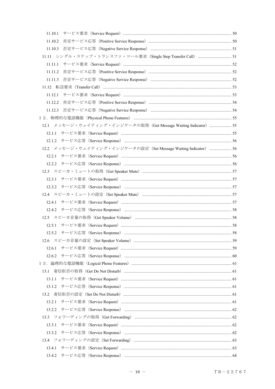| 11.10.2                                                          |  |
|------------------------------------------------------------------|--|
|                                                                  |  |
|                                                                  |  |
|                                                                  |  |
|                                                                  |  |
|                                                                  |  |
| 1112                                                             |  |
|                                                                  |  |
|                                                                  |  |
|                                                                  |  |
|                                                                  |  |
| 12.1 メッセージ・ウェイティング・インジケータの取得 (Get Message Waiting Indicator)  55 |  |
|                                                                  |  |
|                                                                  |  |
| 12.2 メッセージ・ウェイティング・インジケータの設定 (Set Message Waiting Indicator)  56 |  |
|                                                                  |  |
|                                                                  |  |
|                                                                  |  |
| 12.3.1                                                           |  |
|                                                                  |  |
|                                                                  |  |
|                                                                  |  |
|                                                                  |  |
|                                                                  |  |
|                                                                  |  |
|                                                                  |  |
|                                                                  |  |
|                                                                  |  |
|                                                                  |  |
|                                                                  |  |
| 13.1                                                             |  |
|                                                                  |  |
|                                                                  |  |
|                                                                  |  |
|                                                                  |  |
|                                                                  |  |
|                                                                  |  |
|                                                                  |  |
|                                                                  |  |
|                                                                  |  |
|                                                                  |  |
|                                                                  |  |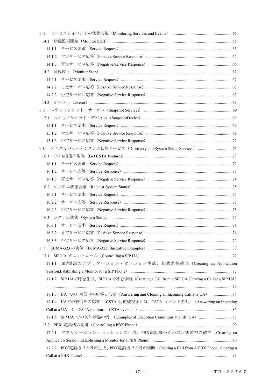| 14.1.1 |                                                                                                                                                                                                                                |  |
|--------|--------------------------------------------------------------------------------------------------------------------------------------------------------------------------------------------------------------------------------|--|
| 14.1.2 |                                                                                                                                                                                                                                |  |
|        |                                                                                                                                                                                                                                |  |
|        |                                                                                                                                                                                                                                |  |
| 14.2.1 |                                                                                                                                                                                                                                |  |
| 14.2.2 |                                                                                                                                                                                                                                |  |
|        |                                                                                                                                                                                                                                |  |
|        |                                                                                                                                                                                                                                |  |
|        |                                                                                                                                                                                                                                |  |
|        |                                                                                                                                                                                                                                |  |
|        |                                                                                                                                                                                                                                |  |
|        |                                                                                                                                                                                                                                |  |
|        |                                                                                                                                                                                                                                |  |
|        |                                                                                                                                                                                                                                |  |
|        |                                                                                                                                                                                                                                |  |
|        |                                                                                                                                                                                                                                |  |
|        |                                                                                                                                                                                                                                |  |
|        |                                                                                                                                                                                                                                |  |
|        |                                                                                                                                                                                                                                |  |
| 16.2.1 |                                                                                                                                                                                                                                |  |
|        |                                                                                                                                                                                                                                |  |
| 16.2.3 |                                                                                                                                                                                                                                |  |
|        |                                                                                                                                                                                                                                |  |
|        |                                                                                                                                                                                                                                |  |
|        | 16.3.2 肯定サービス応答 (Positive Service Response) ………………………………………………………………………………… 76                                                                                                                                                 |  |
|        |                                                                                                                                                                                                                                |  |
|        |                                                                                                                                                                                                                                |  |
|        |                                                                                                                                                                                                                                |  |
| 17.1.1 | SIP 電話のアプリケーション・セッション生成、状態監視確立 (Creating an Application                                                                                                                                                                        |  |
|        |                                                                                                                                                                                                                                |  |
|        | 17.1.2 SIP UAで呼を生成、SIP UAで呼を切断 (Creating a Call from a SIP UA, Clearing a Call at a SIP UA)                                                                                                                                    |  |
|        |                                                                                                                                                                                                                                |  |
|        | 17.1.3 UA での 着信呼の応答と切断 (Answering and Clearing an Incoming Call at a UA)  84                                                                                                                                                   |  |
|        | 17.1.4 UAでの着信呼の応答 (CSTA 状態監視または、CSTA イベント無し) (Answering an Incoming                                                                                                                                                            |  |
|        | Call at a UA (no CSTA monitor or CSTA events) manufactured and the state of the State and State and State and St                                                                                                               |  |
|        | 17.1.5 SIP UA での例外状態の例 (Examples of Exception Conditions at a SIP UA)  88                                                                                                                                                      |  |
|        |                                                                                                                                                                                                                                |  |
| 17.2.1 | アプリケーション・セッションの生成、PBX電話機のための状態監視の確立 (Creating an                                                                                                                                                                               |  |
|        |                                                                                                                                                                                                                                |  |
|        | 17.2.2 PBX電話機での呼の生成、PBX電話機での呼の切断 (Creating a Call from A PBX Phone, Clearing a                                                                                                                                                 |  |
|        | Call at a PBX Phone) manufactured and the contract of the state of the state of the state of the state of the state of the state of the state of the state of the state of the state of the state of the state of the state of |  |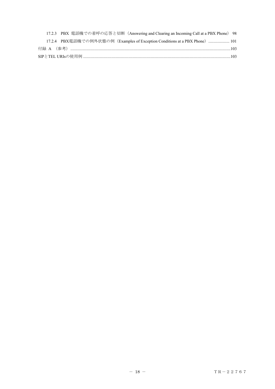| 17.2.3 PBX 電話機での着呼の応答と切断 (Answering and Clearing an Incoming Call at a PBX Phone) 98 |  |
|--------------------------------------------------------------------------------------|--|
| 17.2.4 PBX電話機での例外状態の例(Examples of Exception Conditions at a PBX Phone)………………… 101    |  |
|                                                                                      |  |
|                                                                                      |  |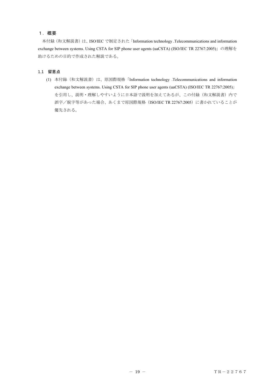# <span id="page-19-0"></span>1.概要

 本付録(和文解説書)は、ISO/IEC で制定された「Information technology .Telecommunications and information exchange between systems. Using CSTA for SIP phone user agents (uaCSTA) (ISO/IEC TR 22767:2005)」の理解を 助けるための目的で作成された解説である。

### 1.1 留意点

(1) 本付録(和文解説書)は、原国際規格「Information technology .Telecommunications and information exchange between systems. Using CSTA for SIP phone user agents (uaCSTA) (ISO/IEC TR 22767:2005)」 を引用し、説明・理解しやすいように日本語で説明を加えてあるが、この付録(和文解説書)内で 誤字/脱字等があった場合、あくまで原国際規格 (ISO/IEC TR 22767:2005)に書かれていることが 優先される。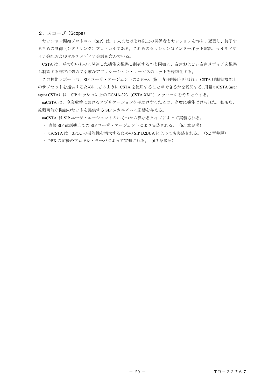# <span id="page-20-0"></span>2.スコープ(Scope)

セッション開始プロトコル (SIP) は、1人またはそれ以上の関係者とセッションを作り、変更し、終了す るための制御(シグナリング)プロトコルである。これらのセッションはインターネット電話、マルチメデ ィア分配およびマルチメディア会議を含んでいる。

CSTA は、呼でないものに関連した機能を観察し制御するのと同様に、音声および非音声メディアを観察 し制御する非常に強力で柔軟なアプリケーション・サービスのセットを標準化する。

この技術レポートは、SIP ユーザ・エージェントのための、第一者呼制御と呼ばれる CSTA 呼制御機能上 のサブセットを提供するために、どのように CSTA を使用することができるかを説明する。用語 uaCSTA(user agent CSTA)は、SIP セッション上の ECMA-323 (CSTA XML) メッセージをやりとりする。

uaCSTA は、企業環境におけるアプリケーションを手助けするための、高度に機能づけられた、強硬な、 拡張可能な機能のセットを提供する SIP メカニズムに影響を与える。

uaCSTA は SIP ユーザ・エージェントのいくつかの異なるタイプによって実装される。

・ 直接 SIP 電話機上での SIP ユーザ・エージェントにより実装される。(6.1 章参照)

・ uaCSTA は、3PCC の機能性を増大するための SIP B2BUA によっても実装される。(6.2 章参照)

・ PBX の前後のプロキシ・サーバによって実装される。(6.3 章参照)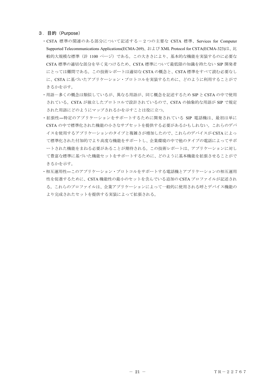## <span id="page-21-0"></span>3.目的(Purpose)

- ・CSTA 標準の関連のある部分について記述する-2つの主要な CSTA 標準、Services for Computer Supported Telecommunications Applications(ECMA-269)、および XML Protocol for CSTA(ECMA-323)は、比 較的大規模な標準(計 1100 ページ)である。この大きさにより、基本的な機能を実装するのに必要な CSTA 標準の適切な部分を早く見つけるため、CSTA 標準について最低限の知識を持たない SIP 開発者 にとっては難問である。この技術レポートは適切な CSTA の概念と、CSTA 標準をすべて読む必要なし に、CSTA に基づいたアプリケーション・プロトコルを実装するために、どのように利用することがで きるかを示す。
- ・用語-多くの概念は類似しているが、異なる用語が、同じ概念を記述するため SIP と CSTA の中で使用 されている。CSTA が独立したプロトコルで設計されているので、CSTA の抽象的な用語が SIP で規定 された用語にどのようにマップされるかを示すことは役に立つ。
- ・拡張性―特定のアプリケーションをサポートするために開発されている SIP 電話機は、最初は単に CSTA の中で標準化された機能の小さなサブセットを提供する必要があるかもしれない。これらのデバ イスを使用するアプリケーションのタイプと複雑さが増加したので、これらのデバイスが CSTA によっ て標準化された付加的でより高度な機能をサポートし、企業環境の中で他のタイプの電話によってサポ ートされた機能をまねる必要があることが期待される。この技術レポートは、アプリケーションに対し て豊富な標準に基づいた機能セットをサポートするために、どのように基本機能を拡張させることがで きるかを示す。
- ・相互運用性―このアプリケーション・プロトコルをサポートする電話機とアプリケーションの相互運用 性を促進するために、CSTA 機能性の最小のセットを含んでいる追加の CSTA プロファイルが記述され る。これらのプロファイルは、企業アプリケーションによって一般的に使用される呼とデバイス機能の より完成されたセットを提供する実装によって拡張される。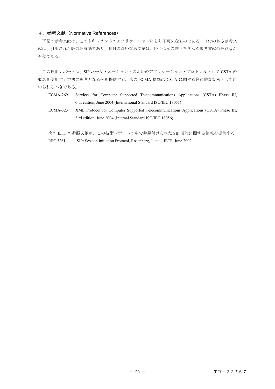## <span id="page-22-0"></span>4.参考文献(Normative References)

下記の参考文献は、このドキュメントのアプリケーションにとり不可欠なものである。日付のある参考文 献は、引用された版のみ有効であり、日付のない参考文献は、いくつかの修正を含んだ参考文献の最終版が 有効である。

この技術レポートは、SIP ユーザ・エージェントのためのアプリケーション・プロトコルとして CSTA の 概念を使用する方法の参考となる例を提供する。次の ECMA 標準は CSTA に関する最終的な参考として用 いられるべきである。

- ECMA-269 Services for Computer Supported Telecommunications Applications (CSTA) Phase III, 6 th edition, June 2004 (International Standard ISO/IEC 18051)
- ECMA-323 XML Protocol for Computer Supported Telecommunications Applications (CSTA) Phase III, 3 rd edition, June 2004 (Internal Standard ISO/IEC 18056)

次の IETF の参照文献が、この技術レポートの中で参照付けられた SIP 機能に関する情報を提供する。 RFC 3261 SIP: Session Initiation Protocol, Rosenberg, J. et al, IETF, June 2002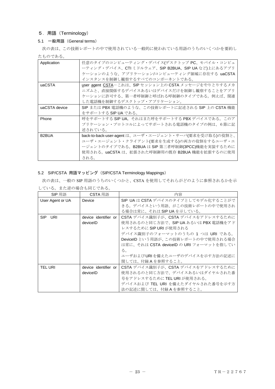# <span id="page-23-0"></span>5.用語(Terminology)

# 5.1 一般用語 (General terms)

次の表は、この技術レポートの中で使用されている一般的に使われている用語のうちのいくつかを要約し たものである。

| Application        | 任意のタイプのコンピューティング・デバイス(デスクトップ PC、モバイル・コンピュ              |
|--------------------|--------------------------------------------------------|
|                    | ーティング・デバイス、CTIミドルウェア、SIP B2BUA、SIP UA など)上にあるアプリ       |
|                    | ケーションのような、アプリケーション/コンピューティング領域に存在する uaCSTA             |
|                    | インスタンスを制御し観察するすべてのコンポーネントである。                          |
| uaCSTA             | user agent CSTA-これは、SIP セッション上の CSTA メッセージをやりとりするメカ    |
|                    | ニズムと、直接関係するデバイスあるいはデバイスだけを制御し観察することをアプリ                |
|                    | ケーションに許可する、第一者呼制御と呼ばれる呼制御のタイプである。例えば、関連                |
|                    | した電話機を制御するデスクトップ・アプリケーション。                             |
| uaCSTA device      | SIP または PBX 電話機のような、この技術レポートに記述される SIP 上の CSTA 機能      |
|                    | をサポートする SIP UA である。                                    |
| Phone              | 呼をサポートする SIP UA。それはまた呼をサポートする PBX デバイスである。このア          |
|                    | プリケーション・プロトコルによってサポートされる電話機のタイプの例は、6節に記                |
|                    | 述されている。                                                |
| B <sub>2</sub> BUA | back-to-back-user-agent は、ユーザ・エージェント・サーバ(要求を受け取る)の役割と、 |
|                    | ユーザ・エージェント・クライアント(要求を生成する)の両方の役割をするユーザ・エ               |
|                    | ージェントのタイプである。B2BUA は SIP 第三者呼制御(3PCC)機能を実装するために        |
|                    | 使用される。uaCSTA は、拡張された呼制御用の既存 B2BUA 機能を拡張するのに使用          |
|                    | される。                                                   |

# 5.2 SIP/CSTA 用語マッピング(SIP/CSTA Terminology Mappings)

次の表は、一般の SIP 用語のうちのいくつかと、CSTA を使用してそれらがどのように参照されるかを示 している。また逆の場合も同じである。

| SIP 用語            | CSTA 用語              | 内容                                      |
|-------------------|----------------------|-----------------------------------------|
| User Agent or UA  | Device               | SIP UA は CSTA デバイスのタイプとしてモデル化することがで     |
|                   |                      | きる。デバイスという用語、がこの技術レポートの中で使用され           |
|                   |                      | る場合は常に、それは SIP UA を示している。               |
| <b>SIP</b><br>URI | device identifier or | CSTA デバイス識別子が、CSTA デバイスをアドレスするために       |
|                   | deviceID             | 使用されるのと同じ方法で、SIP UA あるいは PBX 電話機をアド     |
|                   |                      | レスするために SIP URI が使用される                  |
|                   |                      | デバイス識別子のフォーマットのうちの 1 つは URI である。        |
|                   |                      | DeviceID という用語が、この技術レポートの中で使用される場合      |
|                   |                      | は常に、それは CSTA deviceID の URI フォーマットを指してい |
|                   |                      | る。                                      |
|                   |                      | ユーザおよびURIを備えたユーザのデバイスを示す方法の記述に          |
|                   |                      | 関しては、付録Aを参照すること。                        |
| <b>TEL URI</b>    | device identifier or | CSTA デバイス識別子が、CSTA デバイスをアドレスするために       |
|                   | deviceID             | 使用されるのと同じ方法で、デバイスあるいはダイヤルされた番           |
|                   |                      | 号をアドレスするために TEL URI が使用される。             |
|                   |                      | デバイスおよび TEL URI を備えたダイヤルされた番号を示す方       |
|                   |                      | 法の記述に関しては、付録Aを参照すること。                   |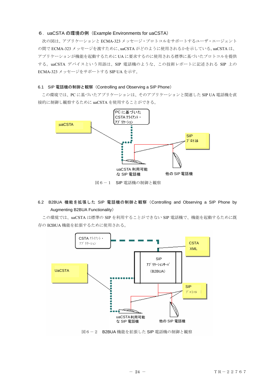#### <span id="page-24-0"></span>6.uaCSTA の環境の例(Example Environments for uaCSTA)

次の図は、アプリケーションと ECMA-323 メッセージ・プロトコルをサポートするユーザ・エージェント の間で ECMA-323 メッセージを渡すために、uaCSTA がどのように使用されるかを示している。uaCSTA は、 アプリケーションが機能を起動するために UA に要求するのに使用される標準に基づいたプロトコルを提供 する。uaCSTA デバイスという用語は、SIP 電話機のような、この技術レポートに記述される SIP 上の ECMA-323 メッセージをサポートする SIP UA を示す。

#### 6.1 SIP 電話機の制御と観察(Controlling and Observing a SIP Phone)

この環境では、PC に基づいたアプリケーションは、そのアプリケーションと関連した SIP UA 電話機を直 接的に制御し観察するために uaCSTA を使用することができる。



# 6.2 B2BUA 機能を拡張した SIP 電話機の制御と観察(Controlling and Observing a SIP Phone by Augmenting B2BUA Functionality)

この環境では、uaCSTA は標準の SIP を利用することができない SIP 電話機で、機能を起動するために既 存の B2BUA 機能を拡張するために使用される。

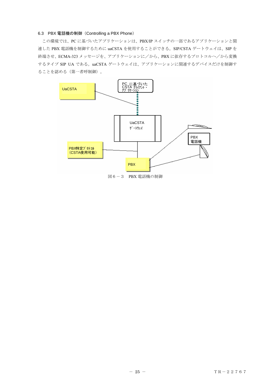#### <span id="page-25-0"></span>6.3 PBX 電話機の制御(Controlling a PBX Phone)

この環境では、PC に基づいたアプリケーションは、PBX/IP スイッチの一部であるアプリケーションと関 連した PBX 電話機を制御するために uaCSTA を使用することができる。SIP/CSTA ゲートウェイは、SIP を 終端させ、ECMA-323 メッセージを、アプリケーションに/から、PBX に依存するプロトコルへ/から変換 するタイプ SIP UA である。uaCSTA ゲートウェイは、アプリケーションに関連するデバイスだけを制御す ることを認める(第一者呼制御)。

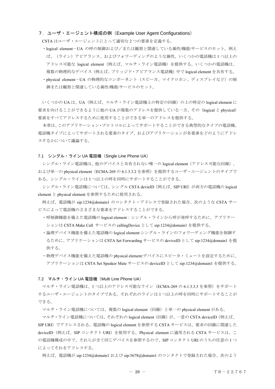#### <span id="page-26-0"></span>7.ユーザ・エージェント構成の例(Example User Agent Configurations)

CSTA はユーザ・エージェントにとって適切な 2 つの要素を定義する。

- ・logical element-UA の呼の制御および/または観察と関連している属性/機能/サービスのセット。例え ば、(ライン)アピアランス、およびフォワーディングのような属性。いくつかの電話機は 1 つ以上の アドレス可能な logical element(例えば、マルチ・ライン電話機)を提供する。いくつかの電話機は、 複数の物理的なデバイス(例えば、ブリッジド・アピアランス電話機)中で logical element を共有する。
- ・physical element-UA の物理的なコンポーネント(スピーカ、マイクロホン、ディスプレイなど)の制 御または観察と関連している属性/機能/サービスのセット。

いくつかの UA は、UA(例えば、マルチ・ライン電話機上の特定の回線)の上の特定の logical element に 要求を向けることができるように他の UA が複数のアドレスを提供している一方、その(logical と physical) 要素をすべてアドレスするために使用することができる単一のアドレスを提供する。

本章は、このアプリケーション・プロトコルによってサポートすることができる典型的なタイプの電話機、 電話機タイプによってサポートされる要素のタイプ、およびアプリケーションが各要素をどのようにアドレ スするかについて議論する。

# 7.1 シングル・ライン UA 電話機 (Single Line Phone UA)

シングル・ライン電話機は、他のデバイスと共有されない唯一の logical element(アドレス可能な回線)、 および単一の physical element(ECMA-269 の 6.1.3.3.2 を参照)を提供するユーザ・エージェントのタイプで ある。シングル・ラインは 1 つ以上の呼を同時にサポートすることができる。

シングル・ライン電話機については、シングル CSTA devieID (例えば、SIP URI) が両方の電話機の logical element と physical element を参照するために使用される。

例えば、電話機が sip:1234@domain1 のコンタクト・アドレスで登録された場合、次のような CSTA サー ビスによって電話機のさまざまな要素をアドレスすることができる。

- ・呼制御機能を備えた電話機の logical element:シングル・ラインから呼が発呼するために、アプリケー ションは CSTA Make Call サービスの callingDevice として sip:1234@domain1 を提供する。
- ・論理デバイス機能を備えた電話機の logical element:シングル・ラインのフォワーディング機能を制御す るために、アプリケーションは CSTA Set Forwarding サービスの deviveID として sip:1234@domain1 を提 供する。
- ・物理デバイス機能を備えた電話機の physical element:デバイスにスピーカ・ミュートを設定するために、 アプリケーションは CSTA Set Speaker Mute サービスの deviceID として sip:1234@domain1 を提供する。

#### 7.2 マルチ・ライン UA 電話機(Multi Line Phone UA)

マルチ・ライン電話機は、1つ以上のアドレス可能なライン (ECMA-269 の 6.1.3.3.3 を参照) をサポート するユーザ・エージェントのタイプである。それぞれのラインは 1 つ以上の呼を同時にサポートすることが できる。

マルチ・ライン電話機については、複数の logical element(回線)と単一の physical element がある。

マルチ・ライン電話機については、それぞれの logical element(回線)が、一意の CSTA deviceID(例えば、 SIP URI)でアドレスされる。電話機の logical element を参照する CSTA サービスは、要求の回線に関連した deviceID(例えば、SIP コンタクト URI)を使用する。Physical element に適用される CSTA サービスは、こ の電話機構成の中で、それらが全て同じデバイスを参照するので、SIP コンタクト URI のうちの任意の 1 つ によってそれをアドレスする。

例えば、電話機が sip:1234@domain1 および sip:5678@domain1 のコンタクトで登録された場合、次のよう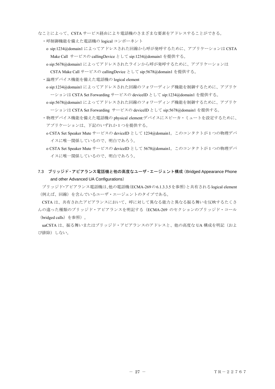- <span id="page-27-0"></span>なことによって、CSTA サービス経由により電話機のさまざまな要素をアドレスすることができる。
	- ・呼制御機能を備えた電話機の logical コンポーネント
	- o sip:1234@domain1 によってアドレスされた回線から呼が発呼するために、アプリケーションは CSTA Make Call サービスの callingDevice として sip:1234@domain1 を提供する。
	- o sip:5678@domain1 によってアドレスされたラインから呼が発呼するために、アプリケーションは CSTA Make Call サービスの callingDevice として sip:5678@domain1 を提供する。
	- ・論理デバイス機能を備えた電話機の logical element
	- o sip:1234@domain1 によってアドレスされた回線のフォワーディング機能を制御するために、アプリケ ーションは CSTA Set Forwarding サービスの deviceID として sip:1234@domain1 を提供する。
	- o sip:5678@domain1 によってアドレスされた回線のフォワーディング機能を制御するために、アプリケ ーションは CSTA Set Forwarding サービスの deviceID として sip:5678@domain1 を提供する。
	- ・物理デバイス機能を備えた電話機の physical element:デバイスにスピーカ・ミュートを設定するために、 アプリケーションは、下記のいずれか 1 つを提供する。
	- o CSTA Set Speaker Mute サービスの deviceID として 1234@domain1。このコンタクトが 1 つの物理デバ イスに唯一関係しているので、明白であろう。
	- o CSTA Set Speaker Mute サービスの deviceID として 5678@domain1。このコンタクトが 1 つの物理デバ イスに唯一関係しているので、明白であろう。
- 7.3 ブリッジド・アピアランス電話機と他の高度なユーザ・エージェント構成(Bridged Appearance Phone and other Advanced UA Configurations)

ブリッジド・アピアランス電話機は、他の電話機(ECMA-269の6.1.3.3.5を参照)と共有されるlogical element (例えば、回線)を含んでいるユーザ・エージェントのタイプである。

CSTA は、共有されたアピアランスにおいて、呼に対して異なる能力と異なる振る舞いを反映するたくさ んの違った種類のブリッジド・アピアランスを明記する(ECMA-269 のセクションのブリッジド・コール (bridged calls)を参照)。

uaCSTA は、振る舞いまたはブリッジド・アピアランスのアドレスと、他の高度な UA 構成を明記(およ び排除)しない。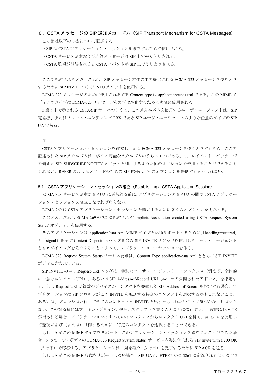# <span id="page-28-0"></span>8.CSTA メッセージの SIP 通知メカニズム(SIP Transport Mechanism for CSTA Messages) この節は以下の方法について記述する。

・SIP は CSTA アプリケーション・セッションを確立するために使用される。

・CSTA サービス要求および応答メッセージは SIP 上でやりとりされる。

・CSTA 監視が開始されると CSTA イベントが SIP 上でやりとりされる。

ここで記述されたメカニズムは、SIP メッセージ本体の中で提供される ECMA-323 メッセージをやりとり するために SIP INVITE および INFO メソッドを使用する。

ECMA-323 メッセージのために使用される SIP Content-type は application/csta+xml である。この MIME メ ディアのタイプは ECMA-323 メッセージをカプセル化するために明確に使用される。

5 節の中で示される CSTA/SIP サーバのように、このメカニズムを使用するユーザ・エージェントは、SIP 電話機、またはフロント・エンディング PBX である SIP ユーザ・エージェントのような任意のタイプの SIP UA である。

注

CSTA アプリケーション・セッションを確立し、かつ ECMA-323 メッセージをやりとりするため、ここで 記述された SIP メカニズムは、多くの可能なメカニズムのうちの 1 つである。CSTA イベント・パッケージ を備えた SIP SUBSCRIBE/NOTIFY メソッドを利用するような他のオプションを使用することができるかも しれない。REFER のようなメソッドのための SIP 拡張は、別のオプションを提供するかもしれない。

8.1 CSTA アプリケーション・セッションの確立(Establishing a CSTA Application Session)

ECMA-323 サービス要求が SIP UA に送られる前に、アプリケーションと SIP UA の間で CSTA アプリケー ション・セッションを確立しなければならない。

ECMA-269 は CSTA アプリケーション・セッションを確立するために多くのオプションを明記する。

 このメカニズムは ECMA-269 の 7.2 に記述された"Implicit Association created using CSTA Request System Status"オプションを使用する。

そのアプリケーションは、application/csta+xml MIME タイプを必須サポートするために、「handling=reruired」 と「signal」を示す Content-Disposition ヘッダを含む SIP INVITE メソッドを使用したユーザ・エージェント と SIP ダイアログを確立することによって、アプリケーション・セッションを作る。

ECMA-323 Request System Status サービス要求は、Content-Type application/csta+xml とともに SIP INVITE ボディに含まれている。

SIP INVITE の中の Request-URI ヘッダは、特別なユーザ・エージェント・インスタンス(例えば、全体的 に一意なコンタクト URI)、あるいは SIP Address-of-Record URI(ユーザの公開されたアドレス)を指定す る。もし Request-URI が複数のデバイスがコンタクトを登録した SIP Address-of-Record を指定する場合、ア プリケーションは SIP プロキシがこの INVITE を転送する特定のコンタクトを選択するかもしれないこと、 あるいは、プロキシは並行して全てのコンタクトへ INVITE を出すかもしれないことに気づかなければなら ない。この振る舞いはプロキシ・デザイン、処理、スクリプトを書くことなどに依存する。一般的に INVITE が出される場合、アプリケーションはすべてのインスタンスからコンタクト URI を得て、uaCSTA を使用し て監視および(または)制御するために、特定のコンタクトを選択することができる。

もし UA がこの MIME タイプをサポートしこのアプリケーション・セッションを確立することができる場 合、メッセージ・ボディの ECMA-323 Request System Status サービス応答に含まれる SIP Invite with a 200 OK (2 行下)で応答する。アプリケーションは、対話確立(3 行目)を完了するために SIP ACK を送る。

もし UA がこの MIME 形式をサポートしない場合、SIP UA は IETF の RFC 3261 に定義されるような 415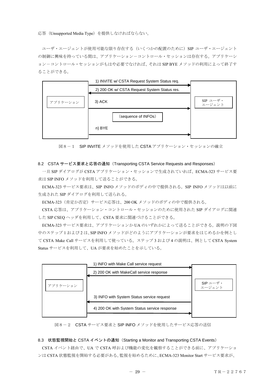<span id="page-29-0"></span>応答(Unsupported Media Type)を提供しなければならない。

ユーザ・エージェントが使用可能な限り存在する(いくつかの配置のために)SIP ユーザ・エージェント の制御に興味を持っている間は、アプリケーションーコントロール・セッションは存在する。アプリケーシ ョン-コントロール・セッションがもはや必要でなければ、それは SIP BYE メソッドの利用によって終了す ることができる。



図8-1 SIP INVITE メソッドを使用した CSTA アプリケーション・セッションの確立

#### 8.2 CSTA サービス要求と応答の通知(Transporting CSTA Service Requests and Responses)

一旦 SIP ダイアログが CSTA アプリケーション・セッションで生成されていれば、ECMA-323 サービス要 求は SIP INFO メソッドを利用して送ることができる。

ECMA-323 サービス要求は、SIP INFO メソッドのボディの中で提供される。SIP INFO メソッドは以前に 生成された SIP ダイアログを利用して送られる。

ECMA-323 (肯定か否定) サービス応答は、200 OK メソッドのボディの中で提供される。

CSTA 応答は、アプリケーション・コントロール・セッションのために使用された SIP ダイアログに関連 した SIP CSEQ ヘッダを利用して、CSTA 要求に関連づけることができる。

ECMA-323 サービス要求は、アプリケーションか UA のいずれかによって送ることができる。説明の下図 中のステップ 1 および 2 は、SIP INFO メソッドがどのようにアプリケーションが要求をはじめるかを例とし て CSTA Make Call サービスを利用して使っている。ステップ 3 および 4 の説明は、例として CSTA System Status サービスを利用して、UA が要求を始めたことを示している。

|          | 1) INFO with Make Call service request        |                    |
|----------|-----------------------------------------------|--------------------|
|          | 2) 200 OK with MakeCall service response      |                    |
| アプリケーション |                                               | SIP ユーザ・<br>エージェント |
|          | 3) INFO with System Status service request    |                    |
|          | 4) 200 OK with System Status service response |                    |
|          |                                               |                    |

図8-2 CSTA サービス要求と SIP INFO メソッドを使用したサービス応答の送信

#### 8.3 状態監視開始と CSTA イベントの通知(Starting a Monitor and Transporting CSTA Events)

CSTA イベント経由で、UA で CSTA 呼および機能の変化を観察することができる前に、アプリケーショ ンは CSTA 状態監視を開始する必要がある。監視を始めるために、ECMA-323 Monitor Start サービス要求が、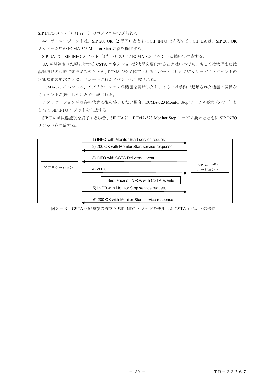SIP INFO メソッド (1 行下)のボディの中で送られる。

ユーザ・エージェントは、SIP 200 OK (2 行下) とともに SIP INFO で応答する。SIP UA は、SIP 200 OK メッセージ中の ECMA-323 Monitor Start 応答を提供する。

SIP UA は、SIP INFO メソッド(3 行下)の中で ECMA-323 イベントに続いて生成する。

UA が関連された呼に対する CSTA コネクションが状態を変化するときはいつでも、もしくは物理または 論理機能の状態で変更が起きたとき、ECMA-269 で指定されるサポートされた CSTA サービスとイベントの 状態監視の要求ごとに、サポートされたイベントは生成される。

ECMA-323 イベントは、アプリケーションが機能を開始したり、あるいは手動で起動された機能に関係な くイベントが発生したことで生成される。

アプリケーションが既存の状態監視を終了したい場合、ECMA-323 Monitor Stop サービス要求(5行下)と ともに SIP INFO メソッドを生成する。

SIP UA が状態監視を終了する場合、SIP UA は、ECMA-323 Monitor Stop サービス要求とともに SIP INFO メソッドを生成する。



図8-3 CSTA 状態監視の確立と SIP INFO メソッドを使用した CSTA イベントの送信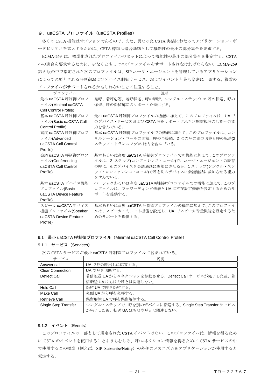## <span id="page-31-0"></span>9. uaCSTA プロファイル (uaCSTA Profiles)

多くの CSTA 機能はオプションであるので、また、異なった CSTA 実装にわたってアプリケーション・ポ ータビリティを拡大するために、CSTA 標準は適合基準として機能性の最小の部分集合を要求する。

ECMA-269 は、標準化されたプロファイルのセットによって機能性の最小の部分集合を指定する。CSTA への適合を要求するために、少なくとも 1 つのプロファイルをサポートされなければならない。ECMA-269 第 6 版の中で指定された次のプロファイルは、SIP ユーザ・エージェントを管理しているアプリケーション によって必要とされる呼制御およびデバイス制御サービス、およびイベントと最も緊密に一致する。複数の プロファイルがサポートされるかもしれないことに注意すること。

| プロファイル                | 説明                                        |
|-----------------------|-------------------------------------------|
| 最小 uaCSTA 呼制御プロフ      | 発呼、着呼応答、着呼転送、呼の切断、シングル・ステップ中の呼の転送、呼の      |
| ァイル(Minimal uaCSTA    | 保留、呼の保留解除のサポートを提供する。                      |
| Call Control Profile) |                                           |
| 基本 uaCSTA 呼制御プロフ      | 最小 uaCSTA 呼制御プロファイルの機能に加えて、このプロファイルは、UA で |
| アイル(Basic uaCSTA Call | のデバイス・サービスおよび CSTA 呼をサポートされた状態監視呼の活動への能   |
| Control Profile)      | 力を含んでいる。                                  |
| 高度 uaCSTA 呼制御プロフ      | 基本 uaCSTA 呼制御プロファイルでの機能に加えて、このプロファイルは、コン  |
| ァイル(Advanced          | サルテーション・コールの開始、呼の再接続、2 つの呼の間の切替と呼の転送(2    |
| uaCSTA Call Control   | ステップ・トランスファ)の能力を含んでいる。                    |
| Profile)              |                                           |
| 会議 uaCSTA 呼制御プロフ      | 基本あるいは高度 uaCSTA 呼制御プロファイルでの機能に加えて、このプロファ  |
| ァイル(Conferencing      | イルは、2 ステップ(コンファレンス・コール)で、ユーザ・エージェントの既存    |
| uaCSTA Call Control   | の呼に、別のデバイスを会議通話に参加にさせるか、1ステップ(シングル・ステ     |
| Profile)              | ップ・コンファレンス・コール)で呼を別のデバイスに会議通話に参加させる能力     |
|                       | を含んでいる。                                   |
| 基本 uaCSTA デバイス機能      | ベーシックあるいは高度 uaCSTA 呼制御プロファイルでの機能に加えて、このプ  |
| プロファイル(Basic          | ロファイルは、フォワーディング機能と UA に不在設定機能を設定するためのサ    |
| uaCSTA Device Feature | ポートを提供する。                                 |
| Profile)              |                                           |
| スピーカ uaCSTA デバイス      | 基本あるいは高度 uaCSTA 呼制御プロファイルの機能に加えて、このプロファイ  |
| 機能プロファイル(Speaker      | ルは、スピーカ・ミュート機能を設定し、UA でスピーカ音量機能を設定するた     |
| uaCSTA Device Feature | めのサポートを提供する。                              |
| Profile)              |                                           |

#### 9.1 最小 uaCSTA 呼制御プロファイル(Minimal uaCSTA Call Control Profile)

#### 9.1.1 サービス(Services)

次の CSTA サービスが最小 uaCSTA 呼制御プロファイルに含まれている。

| サービス                    | 説明                                                 |
|-------------------------|----------------------------------------------------|
| Answer call             | UA で呼の呼出しに応答する。                                    |
| <b>Clear Connection</b> | UA で呼を切断する。                                        |
| Deflect Call            | 着信転送 UA からコネクションを移動させる。Deflect Call サービスが完了した後、着   |
|                         | 信転送 UA はもはや呼とは関連しない。                               |
| Hold Call               | 保留 UA で呼を保留する。                                     |
| Make Call               | 発側 UA から呼を発呼する。                                    |
| Retrieve Call           | 保留解除 UA で呼を保留解除する。                                 |
| Single Step Transfer    | シングル・ステップで、呼を別のデバイスに転送する。Single Step Transfer サービス |
|                         | が完了した後、転送UAはもはや呼とは関連しない。                           |

# 9.1.2 イベント(Events)

このプロファイルの一部として規定された CSTA イベントはない。このプロファイルは、情報を得るため に CSTA のイベントを使用することよりもむしろ、呼/コネクション情報を得るために CSTA サービスの中 で使用するこの標準(例えば、SIP Subscribe/Notify)の外側のメカニズムをアプリケーションが使用すると 仮定する。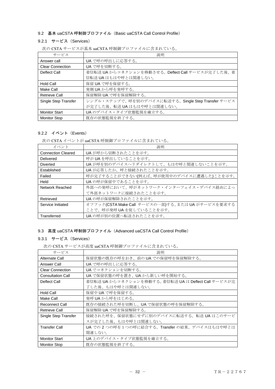# <span id="page-32-0"></span>9.2 基本 uaCSTA 呼制御プロファイル(Basic uaCSTA Call Control Profile)

# 9.2.1 サービス(Services)

| サービス                    | 説明                                                 |
|-------------------------|----------------------------------------------------|
| Answer call             | UA で呼の呼出しに応答する。                                    |
| <b>Clear Connection</b> | UA で呼を切断する。                                        |
| Deflect Call            | 着信転送 UA からコネクションを移動させる。Deflect Call サービスが完了した後、着   |
|                         | 信転送UAはもはや呼とは関連しない。                                 |
| Hold Call               | 保留 UA で呼を保留する。                                     |
| Make Call               | 発側 UA から呼を発呼する。                                    |
| <b>Retrieve Call</b>    | 保留解除 UA で呼を保留解除する。                                 |
| Single Step Transfer    | シングル・ステップで、呼を別のデバイスに転送する。Single Step Transfer サービス |
|                         | が完了した後、転送 UA はもはや呼とは関連しない。                         |
| <b>Monitor Start</b>    | UA のデバイス・タイプ状熊監視を確立する。                             |
| <b>Monitor Stop</b>     | 既存の状態監視を終了する。                                      |

次の CSTA サービスが基本 uaCSTA 呼制御プロファイルに含まれている。

# 9.2.2 イベント(Events)

次の CSTA イベントが uaCSTA 呼制御プロファイルに含まれている。

| イベント                      | 説明                                                |
|---------------------------|---------------------------------------------------|
| <b>Connection Cleared</b> | UA が呼から切断されたことを示す。                                |
| Delivered                 | 呼が UA を呼出していることを示す。                               |
| Diverted                  | UA が呼を別のデバイスヘリダイレクトして、もはや呼と関連しないことを示す。            |
| Established               | UAが応答したか、呼と接続されたことを示す。                            |
| Failed                    | 呼が完了することができない(例えば、呼が使用中のデバイスに遭遇した)ことを示す。          |
| Held                      | UAの呼が保留中であることを示す。                                 |
| Network Reached           | 外部への発呼において、呼がネットワーク・インターフェイス・デバイス経由によっ            |
|                           | て外部ネットワークに接続されたことを示す。                             |
| Retrieved                 | UA の呼が保留解除されたことを示す。                               |
| Service Initiated         | オフフック(CSTA Make Call サービスの一部)する、または UA がサービスを要求する |
|                           | ことで、呼が発呼 UA を促していることを示す。                          |
| Transferred               | UAの呼が別の位置へ転送されたことを示す。                             |

# 9.3 高度 uaCSTA 呼制御プロファイル (Advanced uaCSTA Call Control Profile)

# 9.3.1 サービス(Services)

次の CSTA サービスが高度 uaCSTA 呼制御プロファイルに含まれている。

| サービス                     | 説明                                                  |
|--------------------------|-----------------------------------------------------|
| Alternate Call           | 保留状態の既存の呼をおき、前の UA での保留呼を保留解除する。                    |
| Answer Call              | UA で呼の呼出しに応答する。                                     |
| <b>Clear Connection</b>  | UA でコネクションを切断する。                                    |
| <b>Consultation Call</b> | UA で保留状熊の呼を置き、UA から新しい呼を開始する。                       |
| Deflect Call             | 着信転送 UA からコネクションを移動する。着信転送 UA は Deflect Call サービスが完 |
|                          | 了した後、もはや呼とは関連しない。                                   |
| <b>Hold Call</b>         | 保留中 UA で呼を保留する。                                     |
| Make Call                | 発呼 UA から呼をはじめる。                                     |
| <b>Reconnect Call</b>    | 既存の接続された呼を切断し、UA で保留状態の呼を保留解除する。                    |
| <b>Retrieve Call</b>     | 保留解除 UA で呼を保留解除する。                                  |
| Single Step Transfer     | 接続された呼を、保留状態にせずに別のデバイスに転送する。転送 UA はこのサービ            |
|                          | スが完了した後、もはや呼とは関連しない。                                |
| <b>Transfer Call</b>     | UA での 2 つの呼を1つの呼に結合する。Transfer の結果、デバイスはもはや呼とは      |
|                          | 関連しない。                                              |
| <b>Monitor Start</b>     | UA 上のデバイス・タイプ状態監視を確立する。                             |
| <b>Monitor Stop</b>      | 既存の状態監視を終了する。                                       |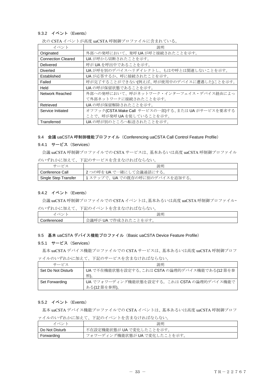# <span id="page-33-0"></span>9.3.2 イベント(Events)

| イベント                      | 説明                                                |
|---------------------------|---------------------------------------------------|
| Originated                | 外部への発呼において、発呼 UA が呼と接続されたことを示す。                   |
| <b>Connection Cleared</b> | UA が呼から切断されたことを示す。                                |
| Delivered                 | 呼が UA を呼出中であることを示す。                               |
| <b>Diverted</b>           | UA が呼を別のデバイスヘリダイレクトし、もはや呼とは関連しないことを示す。            |
| Established               | UAが応答するか、呼に接続されたことを示す。                            |
| Failed                    | 呼が完了することができない(例えば、呼が使用中のデバイスに遭遇した)ことを示す。          |
| Held                      | UAの呼が保留状態であることを示す。                                |
| Network Reached           | 外部への発呼において、呼がネットワーク・インターフェイス・デバイス経由によっ            |
|                           | て外部ネットワークに接続されたことを示す。                             |
| Retrieved                 | UAの呼が保留解除されたことを示す。                                |
| Service Initiated         | オフフック(CSTA Make Call サービスの一部)する、または UA がサービスを要求する |
|                           | ことで、呼が発呼 UA を促していることを示す。                          |
| Transferred               | UAの呼が別のところへ転送されたことを示す。                            |

次の CSTA イベントが高度 uaCSTA 呼制御プロファイルに含まれている。

#### 9.4 会議 uaCSTA 呼制御機能プロファイル(Conferencing uaCSTA Call Control Feature Profile)

### 9.4.1 サービス(Services)

会議 uaCSTA 呼制御プロファイルでの CSTA サービスは、基本あるいは高度 uaCSTA 呼制御プロファイル のいずれかに加えて、下記のサービスを含まなければならない。

| サードス                 | 説明                            |
|----------------------|-------------------------------|
| Conference Call      | <b> 2つの呼をUAで一緒にして会議通話にする。</b> |
| Single Step Transfer | 1ステップで、UAでの既存の呼に別のデバイスを追加する。  |

# 9.4.2 イベント(Events)

会議 uaCSTA 呼制御プロファイルでの CSTA イベントは、基本あるいは高度 uaCSTA 呼制御プロファイル・ のいずれかに加えて、下記のイベントを含まなければならない。

| - 5             | 説明                                                                                                                                                                               |
|-----------------|----------------------------------------------------------------------------------------------------------------------------------------------------------------------------------|
| $\sim$<br>encea | $\sim$<br>IΑ<br>$+$<br>$\sim$<br>ัง <i>เ/</i> ⊏<br>$\sim$ $-$<br>$\overline{\phantom{a}}$<br>⊷…<br>___<br>$-11X$<br>`IN<br>1 U I C<br>л.<br>$\sim$<br>$\sim$<br>╰<br>ー<br>◡<br>ー |

# 9.5 基本 uaCSTA デバイス機能プロファイル (Basic uaCSTA Device Feature Profile)

#### 9.5.1 サービス(Services)

基本 uaCSTA デバイス機能プロファイルでの CSTA サービスは、基本あるいは高度 uaCSTA 呼制御プロフ ァイルのいずれかに加えて、下記のサービスを含まなければならない。

| サービス               | 説明                                            |
|--------------------|-----------------------------------------------|
| Set Do Not Disturb | UA で不在機能状態を設定する。これは CSTA の論理的デバイス機能である(12 節を参 |
|                    | 照)。                                           |
| Set Forwarding     | UA でフォワーディング機能状態を設定する。これは CSTA の論理的デバイス機能で    |
|                    | ある(12 節を参照)。                                  |

### 9.5.2 イベント(Events)

基本 uaCSTA デバイス機能プロファイルでの CSTA イベントは、基本あるいは高度 uaCSTA 呼制御プロフ ァイルのいずれかに加えて、下記のイベントを含まなければならない。

| イベン            | 説明                           |
|----------------|------------------------------|
| Do Not Disturb | 不在設定機能状態が UA で変化したことを示す。     |
| Forwarding     | フォワーディング機能状態が UA で変化したことを示す。 |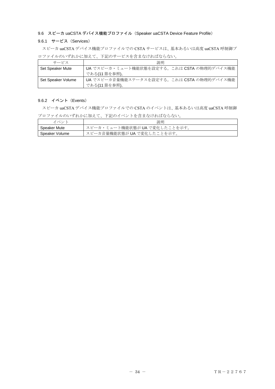# <span id="page-34-0"></span>9.6 スピーカ uaCSTA デバイス機能プロファイル (Speaker uaCSTA Device Feature Profile)

# 9.6.1 サービス(Services)

スピーカ uaCSTA デバイス機能プロファイルでの CSTA サービスは、基本あるいは高度 uaCSTA 呼制御プ ロファイルのいずれかに加えて、下記のサービスを含まなければならない。  $\blacksquare$ 

| サービス               | 説明                                         |
|--------------------|--------------------------------------------|
| Set Speaker Mute   | UA でスピーカ・ミュート機能状態を設定する。これは CSTA の物理的デバイス機能 |
|                    | である(11 節を参照)。                              |
| Set Speaker Volume | UA でスピーカ音量機能ステータスを設定する。これは CSTA の物理的デバイス機能 |
|                    | である(11 節を参照)。                              |

# 9.6.2 イベント(Events)

スピーカ uaCSTA デバイス機能プロファイルでの CSTA のイベントは、基本あるいは高度 uaCSTA 呼制御 プロファイルのいずれかに加えて、下記のイベントを含まなければならない。

| イベン            | 説明                            |
|----------------|-------------------------------|
| Speaker Mute   | スピーカ・ミュート機能状態が UA で変化したことを示す。 |
| Speaker Volume | スピーカ音量機能状態が UA で変化したことを示す。    |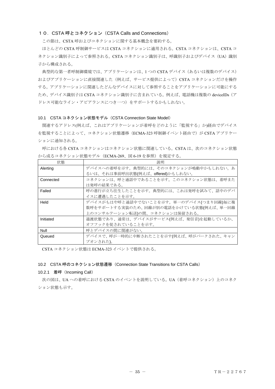## <span id="page-35-0"></span>10. CSTA 呼とコネクション (CSTA Calls and Connections)

この節は、CSTA 呼およびコネクションに関する基本概念を要約する。

ほとんどの CSTA 呼制御サービスは CSTA コネクションに適用される。CSTA コネクションは、CSTA コ ネクション識別子によって参照される。CSTA コネクション識別子は、呼識別子およびデバイス (UA) 識別 子から構成される。

典型的な第一者呼制御環境では、アプリケーションは、1 つの CSTA デバイス(あるいは複数のデバイス) およびアプリケーションに直接関連した(例えば、サービス提供によって)CSTA コネクションだけを操作 する。アプリケーションに関連したどんなデバイスに対して参照することをアプリケーションに可能にする ため、デバイス識別子は CSTA コネクション識別子に含まれている。例えば、電話機は複数の deviceIDs(ア ドレス可能なライン・アピアランスにつき一つ)をサポートするかもしれない。

#### 10.1 CSTA コネクション状態モデル (CSTA Connection State Model)

関連するアドレス(例えば、これはアプリケーションが着呼をどのように「監視する」か)経由でデバイス を監視することによって、コネクション状態遷移 (ECMA-323 呼制御イベント経由で) が CSTA アプリケー ションに通知される。

呼における各 CSTA コネクションはコネクション状態に関連している。CSTA は、次のコネクション状態 から成るコネクション状態モデル(ECMA-269、図 6-19 を参照)を規定する。

| 状熊        | 説明                                      |
|-----------|-----------------------------------------|
| Alerting  | デバイスへの着呼を示す。典型的には、そのコネクションが鳴動中かもしれない。あ  |
|           | るいは、それは事前呼出状態(例えば、offered)かもしれない。       |
| Connected | コネクションは、呼と通話中であることを示す。このコネクション状態は、着呼また  |
|           | は発呼の結果である。                              |
| Failed    | 呼の進行が立ち往生したことを示す。典型的には、これは発呼を試みて、話中のデバ  |
|           | イスに遭遇したことを示す。                           |
| Held      | デバイスがもはや呼と通話中でないことを示す。単一のデバイス(つまり回線)毎に複 |
|           | 数呼をサポートする実装のため、回線が別の電話をかけている状態(例えば、単一回線 |
|           | 上のコンサルテーション転送)の間、コネクションは保留される。          |
| Initiated | 過渡状態であり、通常は、デバイスがサービス(例えば、発信音)を起動しているか、 |
|           | オフフックを促されていることを示す。                      |
| Null      | 呼とデバイスの間に関連がない。                         |
| Queued    | デバイスで、呼が一時的に中断されたことを示す(例えば、呼がパークされた、キャン |
|           | プオンされた)。                                |

CSTA コネクション状態は ECMA-323 イベントで提供される。

#### 10.2 CSTA 呼のコネクション状態遷移(Connection State Transitions for CSTA Calls)

#### 10.2.1 着呼(Incoming Call)

次の図は、UA への着呼における CSTA のイベントを説明している。UA (着呼コネクション)上のコネク ション状態も示す。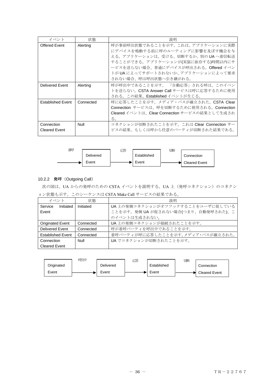| イベント                               | 状態        | 説明                                                                                                                                                                                                                                                       |
|------------------------------------|-----------|----------------------------------------------------------------------------------------------------------------------------------------------------------------------------------------------------------------------------------------------------------|
| Offered Event                      | Alerting  | 呼が事前呼出状態であることを示す。 これは、 アプリケーションに実際<br>にデバイスを鳴動する前に呼のルーティングに影響を及ぼす機会を与<br>える。アプリケーションは、受ける、切断するか、別の UA へ着信転送<br>することができる。アプリケーションが(実装に依存する)時間以内にサ<br>ービスを送らない場合、普通にデバイスが呼出される。Offered イベン<br>トが UA によってサポートされないか、 アプリケーションによって要求<br>されない場合、呼は呼出状熊へ引き継がれる。 |
| <b>Delivered Event</b>             | Alerting  | 呼が呼出中であることを示す。 「自動応答」される呼は、このイベン <br>トを送らない。CSTA Answer Call サービスは呼に応答するために使用<br>される。この結果、Established イベントが生じる。                                                                                                                                          |
| <b>Established Event</b>           | Connected | 呼に応答したことを示す。メディア・パスが確立された。CSTA Clear<br>Connection サービスは、呼を切断するために使用される。Connection<br>Cleared イベントは、Clear Connection サービスの結果として生成され<br>る。                                                                                                                |
| Connection<br><b>Cleared Event</b> | Null      | コネクションが切断されたことを示す。これは Clear Connection サー<br>ビスの結果、もしくは呼から任意のパーティが切断された結果である。                                                                                                                                                                            |



# 10.2.2 発呼(Outgoing Call)

次の図は、UA からの発呼のための CSTA イベントを説明する。UA 上 (発呼コネクション)のコネクシ

ョン状態も示す。このシーケンスは CSTA Make Call サービスの結果である。

| イベント                     |           | 状熊        | 説明                                  |
|--------------------------|-----------|-----------|-------------------------------------|
| Service                  | Initiated | Initiated | UA 上の発側コネクションがオフフックすることをユーザに促している   |
| Event                    |           |           | ことを示す。発側 UA が促されない場合(つまり、自動発呼された)、こ |
|                          |           |           | のイベントは生成されない。                       |
| <b>Originated Event</b>  |           | Connected | UA 上の発側コネクションが接続されたことを示す。           |
| Delivered Event          |           | Connected | 呼が着呼パーティを呼出中であることを示す。               |
| <b>Established Event</b> |           | Connected | 着呼パーティが呼に応答したことを示す。メディア・パスが確立された。   |
| Connection               |           | Null      | UA でコネクションが切断されたことを示す。              |
| <b>Cleared Event</b>     |           |           |                                     |

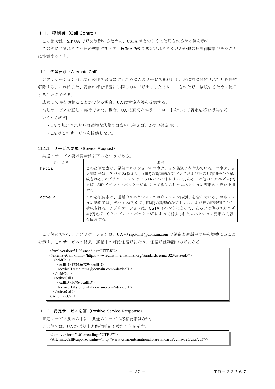## 11.呼制御(Call Control)

この節では、SIP UA で呼を制御するために、CSTA がどのように使用されるかの例を示す。

この節に含まれたこれらの機能に加えて、ECMA-269 で規定されたたくさんの他の呼制御機能があること に注意すること。

### 11.1 代替要求(Alternate Call)

アプリケーションは、既存の呼を保留にするためにこのサービスを利用し、次に前に保留された呼を保留 解除する。これはまた、既存の呼を保留にし同じ UA で呼出しまたはキューされた呼に接続するために使用 することができる。

成功して呼を切替ることができる場合、UA は肯定応答を提供する。

もしサービスを正しく実行できない場合、UA は適切なエラー・コードを付けて否定応答を提供する。 いくつかの例

・UA で規定された呼は適切な状態ではない(例えば、2 つの保留呼)。

・UA はこのサービスを提供しない。

## 11.1.1 サービス要求 (Service Request)

共通のサービス要求要素は以下のとおりである。

| サービス       | 説明                                                                                                                                                                                 |
|------------|------------------------------------------------------------------------------------------------------------------------------------------------------------------------------------|
| heldCall   | この必須要素は、保留コネクションのコネクション識別子を含んでいる。コネクショ<br>ン識別子は、デバイス(例えば、回線)の論理的なアドレスおよび呼の呼識別子から構<br>成される。アプリケーションは、CSTA イベントによって、あるいは他のメカニズム(例<br>えば、SIPイベント・パッケージ)によって提供されたコネクション要素の内容を使用<br>する。 |
| activeCall | この必須要素は、通話中コネクションのコネクション識別子を含んでいる。コネクシ<br>ョン識別子は、デバイス(例えば、回線)の論理的なアドレスおよび呼の呼識別子から<br>構成される。アプリケーションは、CSTAイベントによって、あるいは他のメカニズ<br>ム(例えば、SIPイベント・パッケージ)によって提供されたコネクション要素の内容<br>を使用する。 |

この例において、アプリケーションは、UA の sip:tom1@domain.com の保留と通話中の呼を切替えること を示す。このサービスの結果、通話中の呼は保留呼になり、保留呼は通話中の呼になる。

| $\leq$ ?xml version="1.0" encoding="UTF-8"?>                                                          |
|-------------------------------------------------------------------------------------------------------|
| <alternatecall xmlns="http://www.ecma-international.org/standards/ecma-323/csta/ed3"></alternatecall> |
| $\leq$ heldCall $>$                                                                                   |
| $\le$ callID>123456789 $\le$ callID>                                                                  |
| <deviceid>sip:tom1@domain.com</deviceid>                                                              |
| $\le$ /heldCall>                                                                                      |
| $\leq$ activeCall>                                                                                    |
| <callid>5678</callid>                                                                                 |
| <deviceid>sip:tom1@domain.com</deviceid>                                                              |
| $\le$ /activeCall>                                                                                    |
| $\langle$ AlternateCall>                                                                              |

## 11.1.2 肯定サービス応答(Positive Service Response)

肯定サービス要求の中に、共通のサービス応答要素はない。

この例では、UA が通話中と保留呼を切替たことを示す。

<?xml version="1.0" encoding="UTF-8"?> <AlternateCallResponse xmlns="http://www.ecma-international.org/standards/ecma-323/csta/ed3"/>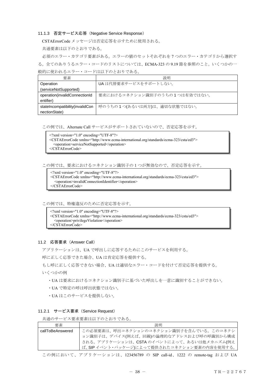#### 11.1.3 否定サービス応答(Negative Service Response)

CSTAErrorCode メッセージは否定応答を示すために使用される。

共通要素は以下のとおりである。

必須のエラー・カテゴリ要素がある。エラーの値のセットそれぞれを 7 つのエラー・カテゴリから選択す る。全てのありうるエラー・コードのリストについては、ECMA-323 の 9.19 節を参照のこと。いくつかの一

般的に使われるエラー・コードは以下のとおりである。

| 要素                              | 説明                            |
|---------------------------------|-------------------------------|
| Operation                       | UAは代替要求サービスをサポートしない。          |
| (serviceNotSupported)           |                               |
| operation(invalidConnectionId   | 要求におけるコネクション識別子のうちの1つは有効ではない。 |
| entifier)                       |                               |
| stateIncompatibility(invalidCon | 呼のうちの1つ(あるいは両方)は、適切な状態ではない。   |
| nectionState)                   |                               |

この例では、Alternate Call サービスがサポートされていないので、否定応答を示す。

 $\leq$ ?xml version="1.0" encoding="UTF-8"?> <CSTAErrorCode xmlns="http://www.ecma-international.org/standards/ecma-323/csta/ed3"> <operation>serviceNotSupported</operation> </CSTAErrorCode>

この例では、要求におけるコネクション識別子の1つが無効なので、否定応答を示す。

<?xml version="1.0" encoding="UTF-8"?>

- <CSTAErrorCode xmlns="http://www.ecma-international.org/standards/ecma-323/csta/ed3">
- <operation>invalidConnectionIdentifier</operation>

</CSTAErrorCode>

この例では、特権違反のために否定応答を示す。

<?xml version="1.0" encoding="UTF-8"?>

- <CSTAErrorCode xmlns="http://www.ecma-international.org/standards/ecma-323/csta/ed3">
- <operation>privilegeViolation</operation>

</CSTAErrorCode>

#### 11.2 応答要求(Answer Call)

アプリケーションは、UA で呼出しに応答するためにこのサービスを利用する。

呼に正しく応答できた場合、UA は肯定応答を提供する。

もし呼に正しく応答できない場合、UA は適切なエラー・コードを付けて否定応答を提供する。

- いくつかの例
	- ・UA は要求におけるコネクション識別子に基づいた呼出しを一意に識別することができない。
	- ・UA で特定の呼は呼出状態ではない。
	- ・UA はこのサービスを提供しない。

## 11.2.1 サービス要求(Service Request)

共通のサービス要求要素は以下のとおりである。

| 要素               | 説明                                           |
|------------------|----------------------------------------------|
| callToBeAnswered | この必須要素は、呼出コネクションのコネクション識別子を含んでいる。このコネクシ      |
|                  | ョン識別子は、デバイス(例えば、回線)の論理的なアドレスおよび呼の呼識別から構成     |
|                  | される。アプリケーションは、CSTA のイベントによって、あるいは他メカニズム(例え   |
|                  | 引ば、SIP イベント・パッケージ)によって提供されたコネクション要素の内容を使用する。 |

この例において、アプリケーションは、123456789 の SIP call-id、1222 の remote-tag および UA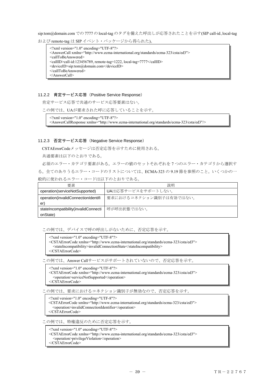sip:tom@domain.com での 7777 の local-tag のタグを備えた呼出しが応答されたことを示す(SIP call-id、local-tag および remote-tag は SIP イベント・パッケージから得られた)。

<?xml version="1.0" encoding="UTF-8"?> <AnswerCall xmlns="http://www.ecma-international.org/standards/ecma-323/csta/ed3"> <callToBeAnswered> <callID>call-id:123456789, remote-tag=1222, local-tag=7777</callID> <deviceID>sip:tom@domain.com</deviceID> </callToBeAnswered> </AnswerCall>

## 11.2.2 肯定サービス応答(Positive Service Response)

肯定サービス応答で共通のサービス応答要素はない。

この例では、UAが要求された呼に応答していることを示す。

<?xml version="1.0" encoding="UTF-8"?>

<AnswerCallResponse xmlns="http://www.ecma-international.org/standards/ecma-323/csta/ed3"/>

#### 11.2.3 否定サービス応答(Negative Service Response)

CSTAErrorCodeメッセージは否定応答を示すために使用される。

共通要素は以下のとおりである。

必須のエラー・カテゴリ要素がある。エラーの値のセットそれぞれを 7 つのエラー・カテゴリから選択す る。全てのありうるエラー・コードのリストについては、ECMA-323 の 9.19 節を参照のこと。いくつかの一 般的に使われるエラー・コードは以下のとおりである。

| 要素                                   | 説明                      |
|--------------------------------------|-------------------------|
| operation(serviceNotSupported)       | UAは応答サービスをサポートしない。      |
| operation(invalidConnectionIdentifi  | 要求におけるコネクション識別子は有効ではない。 |
| er)                                  |                         |
| stateIncompatibility(invalidConnecti | 呼が呼出状熊ではない。             |
| onState)                             |                         |

この例では、デバイスで呼の呼出しがないために、否定応答を示す。

 $\leq$ ?xml version="1.0" encoding="UTF-8"?>

<CSTAErrorCode xmlns="http://www.ecma-international.org/standards/ecma-323/csta/ed3"> <stateIncompatibility>invalidConnectionState</stateIncompatibility>

</CSTAErrorCode>

この例では、Answer Callサービスがサポートされていないので、否定応答を示す。

<?xml version="1.0" encoding="UTF-8"?>

<CSTAErrorCode xmlns="http://www.ecma-international.org/standards/ecma-323/csta/ed3"> <operation>serviceNotSupported</operation>

</CSTAErrorCode>

この例では、要求におけるコネクション識別子が無効なので、否定応答を示す。

<?xml version="1.0" encoding="UTF-8"?> <CSTAErrorCode xmlns="http://www.ecma-international.org/standards/ecma-323/csta/ed3"> <operation>invalidConnectionIdentifier</operation> </CSTAErrorCode>

この例では、特権違反のために否定応答を示す。

<?xml version="1.0" encoding="UTF-8"?>

<CSTAErrorCode xmlns="http://www.ecma-international.org/standards/ecma-323/csta/ed3"> <operation>privilegeViolation</operation>

</CSTAErrorCode>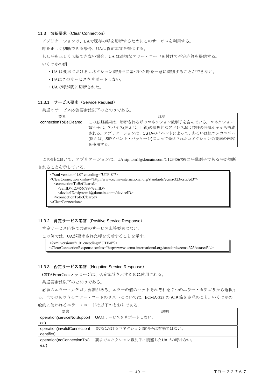## 11.3 切断要求(Clear Connection)

アプリケーションは、UAで既存の呼を切断するためにこのサービスを利用する。

呼を正しく切断できる場合、UAは肯定応答を提供する。

もし呼を正しく切断できない場合、UA は適切なエラー・コードを付けて否定応答を提供する。 いくつかの例

・UA は要求におけるコネクション識別子に基づいた呼を一意に識別することができない。

- ・UAはこのサービスをサポートしない。
- ・UAで呼が既に切断された。

#### 11.3.1 サービス要求 (Service Request)

```
共通のサービス応答要素は以下のとおりである。
```

| 要素                    | 説明                                       |
|-----------------------|------------------------------------------|
| connectionToBeCleared | この必須要素は、切断される呼のコネクション識別子を含んでいる。コネクション    |
|                       | 識別子は、デバイス(例えば、回線)の論理的なアドレスおよび呼の呼識別子から構成  |
|                       | される。アプリケーションは、CSTAのイベントによって、あるいは他のメカニズム  |
|                       | (例えば、SIPイベント・パッケージ)によって提供されたコネクションの要素の内容 |
|                       | を使用する。                                   |

この例において、アプリケーションは、UA sip:tom1@domain.comで123456789の呼識別子である呼が切断

#### されることを示している。

| $\leq$ ?xml version="1.0" encoding="UTF-8"?>                                                              |
|-----------------------------------------------------------------------------------------------------------|
| <clearconnection xmlns="http://www.ecma-international.org/standards/ecma-323/csta/ed3"></clearconnection> |
| $\leq$ connectionToBeCleared>                                                                             |
| $\le$ callID>123456789 $\le$ /callID>                                                                     |
| <deviceid>sip:tom1@domain.com</deviceid>                                                                  |
| $\le$ /connectionToBeCleared>                                                                             |
| $\langle$ ClearConnection>                                                                                |
|                                                                                                           |

### 11.3.2 肯定サービス応答(Positive Service Response)

肯定サービス応答で共通のサービス応答要素はない。

この例では、UAが要求された呼を切断することを示す。

<?xml version="1.0" encoding="UTF-8"?> <ClearConnectionResponse xmlns="http://www.ecma-international.org/standards/ecma-323/csta/ed3"/>

## 11.3.3 否定サービス応答(Negative Service Response)

CSTAErrorCodeメッセージは、否定応答を示すために使用される。

共通要素は以下のとおりである。

必須のエラー・カテゴリ要素がある。エラーの値のセットそれぞれを 7 つのエラー・カテゴリから選択す る。全てのありうるエラー・コードのリストについては、ECMA-323 の 9.19 節を参照のこと。いくつかの一 般的に使われるエラー・コードは以下のとおりである。

| 要素                           | 説明                         |
|------------------------------|----------------------------|
| operation(serviceNotSupport  | UAはサービスをサポートしない。           |
| ed)                          |                            |
| operation(invalidConnection) | 要求におけるコネクション識別子は有効ではない。    |
| dentifier)                   |                            |
| operation(noConnectionToCl   | 要求でコネクション識別子に関連したUAでの呼はない。 |
| ear)                         |                            |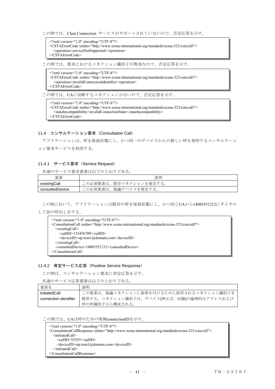この例では、Clear Connection サービスがサポートされていないので、否定応答を示す。

<?xml version="1.0" encoding="UTF-8"?> <CSTAErrorCode xmlns="http://www.ecma-international.org/standards/ecma-323/csta/ed3"> <operation>serviceNotSupported</operation> </CSTAErrorCode>

この例では、要求におけるコネクション識別子が無効なので、否定応答を示す。

 $\leq$ ?xml version="1.0" encoding="UTF-8"?> <CSTAErrorCode xmlns="http://www.ecma-international.org/standards/ecma-323/csta/ed3"> <operation>invalidConnectionIdentifier</operation> </CSTAErrorCode>

この例では、UAに切断するコネクションがないので、否定応答を示す。

<?xml version="1.0" encoding="UTF-8"?>

<CSTAErrorCode xmlns="http://www.ecma-international.org/standards/ecma-323/csta/ed3"> <stateIncompatibility>invalidConnectionState</stateIncompatibility> </CSTAErrorCode>

### 11.4 コンサルテーション要求 (Consultation Call)

アプリケーションは、呼を保留状態にし、かつ同一のデバイスからの新しい呼を発呼するコンサルテーシ ョン要求サービスを利用する。

## 11.4.1 サービス要求 (Service Request)

共通のサービス要求要素は以下のとおりである。

| 要素              | 説明                       |
|-----------------|--------------------------|
| existingCall    | この必須要素は、既存コネクションを規定する。   |
| consultedDevice | 協議デバイスを規定する。<br>この必須要素は、 |

この例において、アプリケーションは既存の呼を保留状態にし、かつ同じUAから14085551212にダイヤル

して別の呼出しをする。

| $\leq$ ?xml version="1.0" encoding="UTF-8"?>                                                                |
|-------------------------------------------------------------------------------------------------------------|
| <consultationcall xmlns="http://www.ecma-international.org/standards/ecma-323/csta/ed3"></consultationcall> |
| $\leq$ existingCall $>$                                                                                     |
| $\le$ callID>123456789 $\le$ /callID>                                                                       |
| <deviceid>sip:tom1@domain.com</deviceid>                                                                    |
| $\le$ /existingCall>                                                                                        |
| <consulteddevice>14085551212</consulteddevice>                                                              |
| $\langle$ ConsultationCall>                                                                                 |

#### 11.4.2 肯定サービス応答(Positive Service Response)

この例は、コンサルテーション要求に肯定応答を示す。

共通のサービス応答要素は以下のとおりである。

| 要素名                   | 説明                                       |
|-----------------------|------------------------------------------|
| initiatedCall         | この要素は、協議コネクションに参照を付けるために使用されるコネクション識別子を  |
| connection identifier | 提供する。コネクション識別子は、デバイス(例えば、回線)の論理的なアドレスおよび |
|                       | 呼の呼識別子から構成される。                           |

この例では、UAは呼のための発側connectionIDを示す。

<?xml version="1.0" encoding="UTF-8"?>

<ConsultationCallResponse xmlns="http://www.ecma-international.org/standards/ecma-323/csta/ed3">

<initiatedCall>

<callID>55555</callID>

<deviceID>sip:tom1@domain.com</deviceID>

</initiatedCall> </ConsultationCallResponse>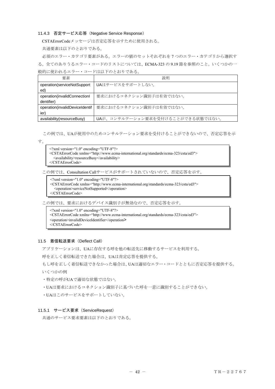## 11.4.3 否定サービス応答(Negative Service Response)

CSTAErrorCodeメッセージは否定応答を示すために使用される。

共通要素は以下のとおりである。

必須のエラー・カテゴリ要素がある。エラーの値のセットそれぞれを 7 つのエラー・カテゴリから選択す る。全てのありうるエラー・コードのリストについては、ECMA-323 の 9.19 節を参照のこと。いくつかの一

般的に使われるエラー・コードは以下のとおりである。

| 要素                             | 説明                                |
|--------------------------------|-----------------------------------|
| operation(serviceNotSupport    | UAはサービスをサポートしない。                  |
| ed)                            |                                   |
| operation(invalidConnectionl   | 要求におけるコネクション識別子は有効ではない。           |
| dentifier)                     |                                   |
| operation(invalidDeviceIdentif | 要求におけるコネクション識別子は有効ではない。           |
| ier)                           |                                   |
| availability(resourceBusy)     | UAが、コンサルテーション要求を受付けることができる状態ではない。 |

この例では、UAが使用中のためコンサルテーション要求を受付けることができないので、否定応答を示

す。

| $\leq$ ?xml version="1.0" encoding="UTF-8"?>                                                          |  |
|-------------------------------------------------------------------------------------------------------|--|
| <cstaerrorcode xmlns="http://www.ecma-international.org/standards/ecma-323/csta/ed3"></cstaerrorcode> |  |
| $\alpha$ availability>resourceBusy $\alpha$ availability>                                             |  |
| $\langle$ /CSTAErrorCode>                                                                             |  |

この例では、Consultation Callサービスがサポートされていないので、否定応答を示す。

<?xml version="1.0" encoding="UTF-8"?>

<CSTAErrorCode xmlns="http://www.ecma-international.org/standards/ecma-323/csta/ed3"> <operation>serviceNotSupported</operation>

</CSTAErrorCode>

この例では、要求におけるデバイス識別子が無効なので、否定応答を示す。

 $\leq$ ?xml version="1.0" encoding="UTF-8"?>

- <CSTAErrorCode xmlns="http://www.ecma-international.org/standards/ecma-323/csta/ed3">
- <operation>invalidDeviceIdentifier</operation>

</CSTAErrorCode>

### 11.5 着信転送要求(Deflect Call)

アプリケーションは、UAに存在する呼を他の転送先に移動するサービスを利用する。

呼を正しく着信転送できた場合は、UAは肯定応答を提供する。

もし呼を正しく着信転送できなかった場合は、UAは適切なエラー・コードとともに否定応答を提供する。

いくつかの例

- ・特定の呼がUAで適切な状態ではない。
- ・UAは要求におけるコネクション識別子に基づいた呼を一意に識別することができない。
- ・UAはこのサービスをサポートしていない。

## 11.5.1 サービス要求 (ServiceRequest)

共通のサービス要求要素は以下のとおりである。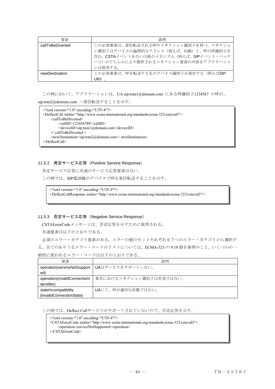| 要素               | 説明                                                                                                                                                           |
|------------------|--------------------------------------------------------------------------------------------------------------------------------------------------------------|
| callToBeDiverted | この必須要素は、着信転送される呼のコネクション識別子を持つ。コネクショ<br>ン識別子はデバイスの論理的なアドレス (例えば、回線)と、呼の呼識別子を<br>含む。CSTAイベントあるいは他のメカニズム(例えば、SIPイベント・パッケ<br>ージ)のどちらかにより提供されるコネクション要素の内容をアプリケーショ |
|                  | ンは使用する。                                                                                                                                                      |
| newDestination   | この必須要素は、呼を転送する先のデバイス識別子を規定する(例えばSIP                                                                                                                          |
|                  | JRI)                                                                                                                                                         |

この例において、アプリケーションは、UA sip:tom1@domain.com にある呼識別子1234567 の呼が、

sip:tom2@domain.com へ着信転送することを示す。

```
<?xml version="1.0" encoding="UTF-8"?> 
<DeflectCall xmlns="http://www.ecma-international.org/standards/ecma-323/csta/ed3"> 
    <callToBeDiverted> 
         <callID>123456789</callID> 
         <deviceID>sip:tom1@domain.com</deviceID> 
    </ callToBeDiverted > 
    <newDestination>sip:tom2@domain.com</ newDestination> 
</DeflectCall>
```
#### 11.5.2 肯定サービス応答(Positive Service Response)

肯定サービス応答に共通のサービス応答要素はない。

この例では、SIP電話機がデバイスで呼を着信転送することを示す。

<?xml version="1.0" encoding="UTF-8"?> <DeflectCallResponse xmlns="http://www.ecma-international.org/standards/ecma-323/csta/ed3"/>

## 11.5.3 否定サービス応答(Negative Service Response)

CSTAErrorCodeメッセージは、否定応答を示すために使用される。

共通要素は以下のとおりである。

必須のエラー・カテゴリ要素がある。エラーの値のセットそれぞれを 7 つのエラー・カテゴリから選択す る。全てのありうるエラー・コードのリストについては、ECMA-323 の 9.19 節を参照のこと。いくつかの一 般的に使われるエラー・コードは以下のとおりである。

| 要素                           | 説明                      |
|------------------------------|-------------------------|
| operation(serviceNotSupport  | ┃UAはサービスをサポートしない。       |
| ed)                          |                         |
| operation(invalidConnectionl | 要求におけるコネクション識別子は有効ではない。 |
| dentifier)                   |                         |
| stateIncompatibility         | UAにて、呼が適切な状態ではない。       |
| (invalidConnectionState)     |                         |

この例では、Deflect Callサービスがサポートされていないので、否定応答を示す。

<operation>serviceNotSupported</operation>

</CSTAErrorCode>

<sup>&</sup>lt;?xml version="1.0" encoding="UTF-8"?>

<sup>&</sup>lt;CSTAErrorCode xmlns="http://www.ecma-international.org/standards/ecma-323/csta/ed3">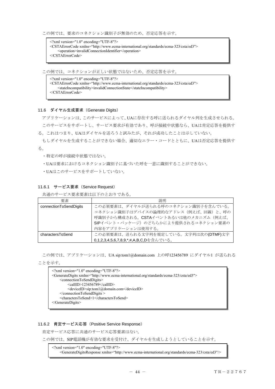この例では、要求のコネクション識別子が無効のため、否定応答を示す。

<?xml version="1.0" encoding="UTF-8"?> <CSTAErrorCode xmlns="http://www.ecma-international.org/standards/ecma-323/csta/ed3"> <operation>invalidConnectionIdentifier</operation> </CSTAErrorCode>

この例では、コネクションが正しい状態ではないため、否定応答を示す。

<?xml version="1.0" encoding="UTF-8"?> <CSTAErrorCode xmlns="http://www.ecma-international.org/standards/ecma-323/csta/ed3"> <stateIncompatibility>invalidConnectionState</stateIncompatibility> </CSTAErrorCode>

#### 11.6 ダイヤル生成要求(Generate Digits)

アプリケーションは、このサービスによって、UAに存在する呼に送られるダイヤル列を生成させられる。 このサービスをサポートし、サービス要求が有効であり、呼が接続中状態なら、UAは肯定応答を提供す

る。これはつまり、UAはダイヤルを送ろうと試みたが、それが成功したことは示していない。

もしダイヤルを生成することができない場合、適切なエラー・コードとともに、UAは否定応答を提供す る。

- ・特定の呼が接続中状態ではない。
- ・UAは要求におけるコネクション識別子に基づいた呼を一意に識別することができない。
- ・UAはこのサービスをサポートしていない。

#### 11.6.1 サービス要求 (Service Request)

共通のサービス要求要素は以下のとおりである。

| 要素                     | 説明                                     |
|------------------------|----------------------------------------|
| connectionToSendDigits | この必須要素は、ダイヤルが送られる呼のコネクション識別子を含んでいる。    |
|                        | コネクション識別子はデバイスの論理的なアドレス (例えば、回線)と、呼の   |
|                        | 呼識別子から構成される。CSTAイベントあるいは他のメカニズム (例えば、  |
|                        | SIPイベント・パッケージ)のどちらかにより提供されるコネクション要素の   |
|                        | 内容をアプリケーションは使用する。                      |
| charactersToSend       | この必須要素は、送られる文字列を規定している。文字列は次の(DTMF)文字  |
|                        | 0,1,2,3,4,5,6,7,8,9,*,#,A,B,C,Dを含んでいる。 |

この例では、アプリケーションは、UA sip:tom1@domain.com 上の呼123456789 にダイヤル1 が送られる

ことを示す。

```
<?xml version="1.0" encoding="UTF-8"?> 
<GenerateDigits xmlns="http://www.ecma-international.org/standards/ecma-323/csta/ed3"> 
    <connectionToSendDigits> 
         <callID>123456789</callID> 
         <deviceID>sip:tom1@domain.com</deviceID> 
    </connectionToSendDigits > 
    <charactersToSend>1</charactersToSend> 
</GenerateDigits>
```
#### 11.6.2 肯定サービス応答(Positive Service Response)

肯定サービス応答に共通のサービス応答要素はない。

この例では、SIP電話機が有効な要求を受付け、ダイヤルを生成しようとしていることを示す。

 $\leq$ ?xml version="1.0" encoding="UTF-8"?> <GenerateDigitsResponse xmlns="http://www.ecma-international.org/standards/ecma-323/csta/ed3"/>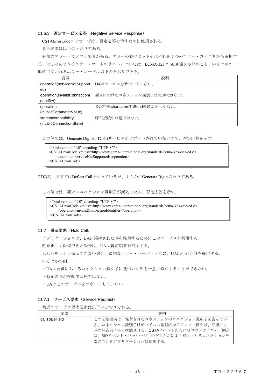### 11.6.3 否定サービス応答(Negative Service Response)

CSTAErrorCodeメッセージは、否定応答を示すために使用される。

共通要素は以下のとおりである。

必須のエラー・カテゴリ要素がある。エラーの値のセットそれぞれを 7 つのエラー・カテゴリから選択す る。全てのありうるエラー・コードのリストについては、ECMA-323 の 9.19 節を参照のこと。いくつかの一 般的に使われるエラー・コードは以下のとおりである。

| 要素                           | 説明                            |
|------------------------------|-------------------------------|
| operation(serviceNotSupport  | UAはサービスをサポートしない。              |
| ed)                          |                               |
| operation(invalidConnection) | 要求におけるコネクション識別子は有効ではない。       |
| dentifier)                   |                               |
| operation                    | 要求中のcharactersToSendの値が正しくない。 |
| (invalidParameterValue)      |                               |
| stateIncompatibility         | 呼が接続中状態ではない。                  |
| (invalidConnectionState)     |                               |

この例では、Generate Digits(TTC注)サービスがサポートされていないので、否定応答を示す。

| $\gamma$ xml version="1.0" encoding="UTF-8"?                                                          |  |  |
|-------------------------------------------------------------------------------------------------------|--|--|
| <cstaerrorcode xmlns="http://www.ecma-international.org/standards/ecma-323/csta/ed3"></cstaerrorcode> |  |  |
| <operation>serviceNotSupported</operation>                                                            |  |  |
| $\langle$ /CSTAErrorCode>                                                                             |  |  |

TTC注) 原文ではDeflect Callとなっているが、明らかにGenerate Digitsの誤りである。

この例では、要求のコネクション識別子が無効のため、否定応答を示す。

```
<?xml version="1.0" encoding="UTF-8"?> 
<CSTAErrorCode xmlns="http://www.ecma-international.org/standards/ecma-323/csta/ed3"> 
    <operation>invalidConnectionIdentifier</operation> 
</CSTAErrorCode>
```
## 11.7 保留要求(Hold Call)

アプリケーションは、UAに接続された呼を保留するためにこのサービスを利用する。

呼を正しく保留できた場合は、UAは肯定応答を提供する。

もし呼を正しく保留できない場合、適切なエラー・コードとともに、UAは否定応答を提供する。 いくつかの例

・UAは要求におけるコネクション識別子に基づいた呼を一意に識別することができない。

- ・特定の呼が接続中状態ではない。
- ・UAはこのサービスをサポートしていない。

#### 11.7.1 サービス要求 (Service Request)

共通のサービス要求要素は以下のとおりである。

| 要素           | 説明                                     |
|--------------|----------------------------------------|
| callToBeHeld | この必須要素は、保留されるコネクションのコネクション識別子を含んでい     |
|              | る。コネクション識別子はデバイスの論理的なアドレス (例えば、回線)と、   |
|              | 呼の呼識別子から構成される。CSTAイベントあるいは他のメカニズム (例え  |
|              | t ば、SIPイベント・パッケージ)のどちらかにより提供されるコネクション要 |
|              | 素の内容をアプリケーションは使用する。                    |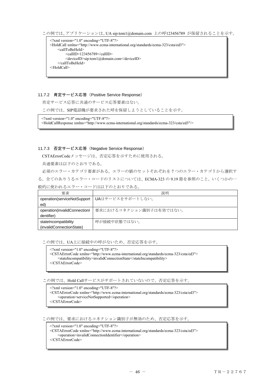この例では、アプリケーションは、UA sip:tom1@domain.com 上の呼123456789 が保留されることを示す。

```
<?xml version="1.0" encoding="UTF-8"?> 
<HoldCall xmlns="http://www.ecma-international.org/standards/ecma-323/csta/ed3"> 
    <callToBeHeld> 
         <callID>123456789</callID> 
         <deviceID>sip:tom1@domain.com</deviceID> 
    </callToBeHeld> 
</HoldCall>
```
## 11.7.2 肯定サービス応答(Positive Service Response)

肯定サービス応答に共通のサービス応答要素はない。

この例では、SIP電話機が要求された呼を保留しようとしていることを示す。

<?xml version="1.0" encoding="UTF-8"?>

<HoldCallResponse xmlns="http://www.ecma-international.org/standards/ecma-323/csta/ed3"/>

## 11.7.3 否定サービス応答(Negative Service Response)

CSTAErrorCodeメッセージは、否定応答を示すために使用される。

共通要素は以下のとおりである。

必須のエラー・カテゴリ要素がある。エラーの値のセットそれぞれを 7 つのエラー・カテゴリから選択す る。全てのありうるエラー・コードのリストについては、ECMA-323 の 9.19 節を参照のこと。いくつかの一 般的に使われるエラー・コードは以下のとおりである。

| 要素                           | 説明                                             |
|------------------------------|------------------------------------------------|
|                              | operation(serviceNotSupport   UAはサービスをサポートしない。 |
| ed)                          |                                                |
| operation(invalidConnection) | 要求におけるコネクション識別子は有効ではない。                        |
| dentifier)                   |                                                |
| stateIncompatibility         | 呼が接続中状態ではない。                                   |
| (invalidConnectionState)     |                                                |

この例では、UA上に接続中の呼がないため、否定応答を示す。

<?xml version="1.0" encoding="UTF-8"?> <CSTAErrorCode xmlns="http://www.ecma-international.org/standards/ecma-323/csta/ed3"> <stateIncompatibility>invalidConnectionState</stateIncompatibility> </CSTAErrorCode>

この例では、Hold Callサービスがサポートされていないので、否定応答を示す。

```
\leq?xml version="1.0" encoding="UTF-8"?>
<CSTAErrorCode xmlns="http://www.ecma-international.org/standards/ecma-323/csta/ed3"> 
    <operation>serviceNotSupported</operation> 
</CSTAErrorCode>
```
この例では、要求におけるコネクション識別子が無効のため、否定応答を示す。

<?xml version="1.0" encoding="UTF-8"?>

<CSTAErrorCode xmlns="http://www.ecma-international.org/standards/ecma-323/csta/ed3"> <operation>invalidConnectionIdentifier</operation>

</CSTAErrorCode>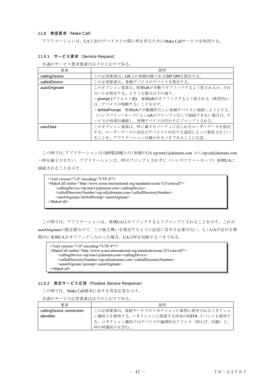## 11.8 発信要求(Make Call)

アプリケーションは、UAと別のデバイスとの間に呼を作るためにMake Callサービスを利用する。

| 要素            | 説明                                        |
|---------------|-------------------------------------------|
| callingDevice | この必須要素は、UA上の発側回線であるSIP URIを指定する。          |
| calledDevice  | この必須要素は、着側デバイスのデバイスを指定する。                 |
| autoOriginate | このオプション要素は、発側UAが手動でオフフックするよう促されるか、され      |
|               | ないかを指定する。とりうる値は以下の通り。                     |
|               | ·prompt(デフォルト値) 発側UAがオフフックするよう促される(典型的に   |
|               | は、デバイスが鳴動する)ことを示す。                        |
|               | ・doNotPrompt 発側UAが手動操作なしに発側デバイスに接続しようとする。 |
|               | (ハンズフリー·モード)もしUAがプロンプトなしで接続できない場合は、サ      |
|               | ービスの処理は継続し、発側デバイスは代わりにプロンプトされる。           |
| userData      | このオプション要素は、呼に属するパーティに送られるユーザ・データを指定       |
|               | する。ユーザ・データの送信がデバイスと内在する通信によって提供されてい       |
|               | ることを、アプリケーションは確かめるべきであることに注意。             |

## 11.8.1 サービス要求 (Service Request)

共通のサービス要求要素は以下のとおりである。

この例では、アプリケーションは(SIP電話機上の)発側のUA sip:tom1@domain.com からsip:ed@domain.com へ呼を確立させたい。アプリケーションは、呼がプロンプトされずに(ハンズフリー・モード)発側UAに 接続されることを示す。

<?xml version="1.0" encoding="UTF-8"?> <MakeCall xmlns="http://www.ecma-international.org/standards/ecma-323/csta/ed3"> <callingDevice>sip:tom1@domain.com</callingDevice> <calledDirectoryNumber>sip:ed@domain.com</calledDirectoryNumber> <autoOriginate>doNotPrompt</autoOriginate> </MakeCall>

この例では、アプリケーションは、発側UAはオフフックするようプロンプトされることを示す。これが autoOriginateの既定値なので、この振る舞いを規定するように記述に含める必要はない。もしUAが定める期 間内に発側UAがオフフックしなかった場合、UAは呼を切断するべきである。

 $\leq$ ?xml version="1.0" encoding="UTF-8"?> <MakeCall xmlns="http://www.ecma-international.org/standards/ecma-323/csta/ed3"> <callingDevice>sip:tom1@domain.com</callingDevice> <calledDirectoryNumber>sip:ed@domain.com</calledDirectoryNumber> <autoOriginate>prompt</autoOriginate> </MakeCall>

## 11.8.2 肯定サービス応答(Positive Service Response)

この例では、Make Call要求に対する肯定応答を示す。

共通のサービス応答要素は以下のとおりである。

| 要素                                     | 説明                                                                                                                                |
|----------------------------------------|-----------------------------------------------------------------------------------------------------------------------------------|
| callingDevice connection<br>identifier | この必須要素は、後続サービスのコネクションの参照に使用されるコネクショ<br>ン識別子を提供する。コネクションに関連する将来のCSTA イベントも提供す<br>る。コネクション識別子はデバイスの論理的なアドレス(例えば、回線)と、<br>呼の呼識別子を含む。 |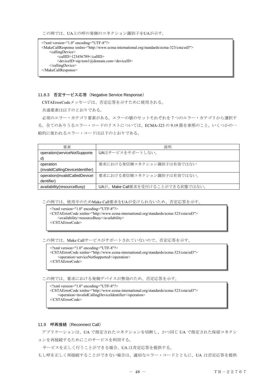この例では、UA上の呼の発側のコネクション識別子をUAが示す。

<?xml version="1.0" encoding="UTF-8"?> <MakeCallResponse xmlns="http://www.ecma-international.org/standards/ecma-323/csta/ed3"> <callingDevice> <callID>123456789</callID> <deviceID>sip:tom1@domain.com</deviceID> </callingDevice> </MakeCallResponse>

# 11.8.3 否定サービス応答(Negative Service Response)

CSTAErrorCodeメッセージは、否定応答を示すために使用される。

共通要素は以下のとおりである。

必須のエラー・カテゴリ要素がある。エラーの値のセットそれぞれを 7 つのエラー・カテゴリから選択す る。全てのありうるエラー・コードのリストについては、ECMA-323 の 9.19 節を参照のこと。いくつかの一 般的に使われるエラー・コードは以下のとおりである。

| 要素                               | 説明                                |
|----------------------------------|-----------------------------------|
| operation(serviceNotSupporte     | UAはサービスをサポートしない。                  |
| d)                               |                                   |
| operation                        | 要求における発信側コネクション識別子は有効ではない         |
| (invalidCallingDeviceIdentifier) |                                   |
| operation(invalidCalledDevicel   | 要求における着信側コネクション識別子は有効ではない。        |
| dentifier)                       |                                   |
| availability(resourceBusy)       | UAが、Make Call要求を受付けることができる状態ではない。 |

この例では、使用中のためMake Call要求をUAが受けられないため、否定応答を示す。

<?xml version="1.0" encoding="UTF-8"?> <CSTAErrorCode xmlns="http://www.ecma-international.org/standards/ecma-323/csta/ed3"> <availability>resourceBusy</availability> </CSTAErrorCode>

この例では、Make Callサービスがサポートされていないので、否定応答を示す。

<?xml version="1.0" encoding="UTF-8"?> <CSTAErrorCode xmlns="http://www.ecma-international.org/standards/ecma-323/csta/ed3"> <operation>serviceNotSupported</operation> </CSTAErrorCode>

この例では、要求における発側デバイスが無効のため、否定応答を示す。

<?xml version="1.0" encoding="UTF-8"?> <CSTAErrorCode xmlns="http://www.ecma-international.org/standards/ecma-323/csta/ed3"> <operation>invalidCallingDeviceIdentifier</operation> </CSTAErrorCode>

### 11.9 呼再接続(Reconnect Call)

アプリケーションは、UA で指定されたコネクションを切断し、かつ同じ UA で指定された保留コネクシ ョンを再接続するためにこのサービスを利用する。

サービスを正しく行うことができる場合、UA は肯定応答を提供する。

もし呼を正しく再接続することができない場合は、適切なエラー・コードとともに、UA は否定応答を提供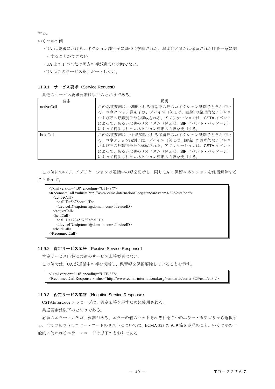する。

いくつかの例

- ・UA は要求におけるコネクション識別子に基づく接続された、および/または保留された呼を一意に識 別することができない。
- ・UA 上の 1 つまたは両方の呼が適切な状態でない。
- ・UA はこのサービスをサポートしない。

#### 11.9.1 サービス要求 (Service Request)

共通のサービス要求要素は以下のとおりである。

| 要素         | 説明                                    |
|------------|---------------------------------------|
| activeCall | この必須要素は、切断される通話中の呼のコネクション識別子を含んでい     |
|            | る。コネクション識別子は、デバイス (例えば、回線)の論理的なアドレス   |
|            | および呼の呼識別子から構成される。アプリケーションは、CSTAイベント   |
|            | によって、あるいは他のメカニズム (例えば、SIP イベント・パッケージ) |
|            | によって提供されたコネクション要素の内容を使用する。            |
| heldCall   | この必須要素は、保留解除される保留呼のコネクション識別子を含んでい     |
|            | る。コネクション識別子は、デバイス(例えば、回線)の論理的なアドレス    |
|            | および呼の呼識別子から構成される。アプリケーションは、CSTA イベント  |
|            | によって、あるいは他のメカニズム (例えば、SIP イベント・パッケージ) |
|            | によって提供されたコネクション要素の内容を使用する。            |

この例において、アプリケーションは通話中の呼を切断し、同じ UA の保留コネクションを保留解除する

## ことを示す。

```
<?xml version="1.0" encoding="UTF-8"?> 
<ReconnectCall xmlns="http://www.ecma-international.org/standards/ecma-323/csta/ed3"> 
  <activeCall>
    <callID>5678</callID> 
    <deviceID>sip:tom1@domain.com</deviceID> 
  </activeCall> 
  <heldCall> 
    <callID>123456789</callID> 
    <deviceID>sip:tom1@domain.com</deviceID> 
  </heldCall> 
</ReconnectCall>
```
#### 11.9.2 肯定サービス応答(Positive Service Response)

肯定サービス応答に共通のサービス応答要素はない。

この例では、UA が通話中の呼を切断し、保留呼を保留解除していることを示す。

 $\leq$ ?xml version="1.0" encoding="UTF-8"?> <ReconnectCallResponse xmlns="http://www.ecma-international.org/standards/ecma-323/csta/ed3"/>

## 11.9.3 否定サービス応答(Negative Service Response)

CSTAErrorCode メッセージは、否定応答を示すために使用される。

共通要素は以下のとおりである。

 必須のエラー・カテゴリ要素がある。エラーの値のセットそれぞれを 7 つのエラー・カテゴリから選択す る。全てのありうるエラー・コードのリストについては、ECMA-323 の 9.19 節を参照のこと。いくつかの一 般的に使われるエラー・コードは以下のとおりである。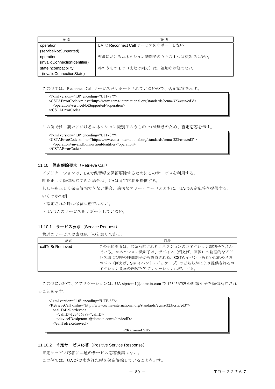| 要素                            | 説明                                |
|-------------------------------|-----------------------------------|
| operation                     | UA は Reconnect Call サービスをサポートしない。 |
| (serviceNotSupported)         |                                   |
| operation                     | 要求におけるコネクション識別子のうちの1つは有効ではない。     |
| (invalidConnectionIdentifier) |                                   |
| stateIncompatibility          | 呼のうちの1つ (または両方) は、適切な状態でない。       |
| (invalidConnectionState)      |                                   |

この例では、Reconnect Call サービスがサポートされていないので、否定応答を示す。

<?xml version="1.0" encoding="UTF-8"?>

- <CSTAErrorCode xmlns="http://www.ecma-international.org/standards/ecma-323/csta/ed3">
- <operation>serviceNotSupported</operation>

</CSTAErrorCode>

この例では、要求におけるコネクション識別子のうちの1つが無効のため、否定応答を示す。

 $\leq$ ?xml version="1.0" encoding="UTF-8"?> <CSTAErrorCode xmlns="http://www.ecma-international.org/standards/ecma-323/csta/ed3"> <operation>invalidConnectionIdentifier</operation> </CSTAErrorCode>

## 11.10 保留解除要求(Retrieve Call)

アプリケーションは、UAで保留呼を保留解除するためにこのサービスを利用する。

呼を正しく保留解除できた場合は、UAは肯定応答を提供する。

もし呼を正しく保留解除できない場合、適切なエラー・コードとともに、UAは否定応答を提供する。

いくつかの例

・指定された呼は保留状態ではない。

・UAはこのサービスをサポートしていない。

## 11.10.1 サービス要求 (Service Request)

共通のサービス要素は以下のとおりである。

| 要素                | 説明                                     |
|-------------------|----------------------------------------|
| callToBeRetrieved | この必須要素は、保留解除されるコネクションのコネクション識別子を含ん     |
|                   | でいる。コネクション識別子は、デバイス(例えば、回線)の論理的なアド     |
|                   | レスおよび呼の呼識別子から構成される。CSTA イベントあるいは他のメカ   |
|                   | ニズム (例えば、SIP イベント・パッケージ)のどちらかにより提供されるコ |
|                   | ネクション要素の内容をアプリケーションは使用する。              |

この例において、アプリケーションは、UA sip:tom1@domain.com で 123456789 の呼識別子を保留解除され

ることを示す。

| $\leq$ ?xml version="1.0" encoding="UTF-8"?>                                                        |
|-----------------------------------------------------------------------------------------------------|
| <retrievecall xmlns="http://www.ecma-international.org/standards/ecma-323/csta/ed3"></retrievecall> |
| <calltoberetrieved></calltoberetrieved>                                                             |
| $\alpha$ allID>123456789 $\alpha$ allID>                                                            |
| <deviceid>sip:tom1@domain.com</deviceid>                                                            |
|                                                                                                     |
| $\angle$ D atriavaCall $\sim$                                                                       |

## 11.10.2 肯定サービス応答(Positive Service Response)

肯定サービス応答に共通のサービス応答要素はない。

この例では、UA が要求された呼を保留解除していることを示す。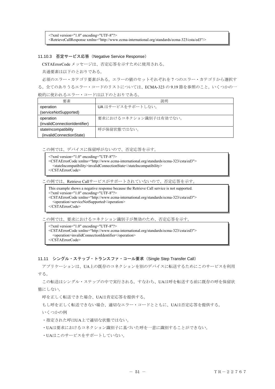<?xml version="1.0" encoding="UTF-8"?>

<RetrieveCallResponse xmlns="http://www.ecma-international.org/standards/ecma-323/csta/ed3"/>

### 11.10.3 否定サービス応答(Negative Service Response)

CSTAErrorCode メッセージは、否定応答を示すために使用される。

共通要素は以下のとおりである。

必須のエラー・カテゴリ要素がある。エラーの値のセットそれぞれを 7 つのエラー・カテゴリから選択す る。全てのありうるエラー・コードのリストについては、ECMA-323 の 9.19 節を参照のこと。いくつかの一 般的に使われるエラー・コードは以下のとおりである。

| 要素                            | 説明                     |
|-------------------------------|------------------------|
| operation                     | UAはサービスをサポートしない。       |
| (serviceNotSupported)         |                        |
| operation                     | 要求におけるコネクション識別子は有効でない。 |
| (invalidConnectionIdentifier) |                        |
| stateIncompatibility          | 呼が保留状態ではない。            |
| (invalidConnectionState)      |                        |

この例では、デバイスに保留呼がないので、否定応答を示す。

```
\leq?xml version="1.0" encoding="UTF-8"?>
<CSTAErrorCode xmlns="http://www.ecma-international.org/standards/ecma-323/csta/ed3"> 
  <stateIncompatibility>invalidConnectionState</stateIncompatibility> 
</CSTAErrorCode>
```
この例では、Retrieve Callサービスがサポートされていないので、否定応答を示す。

This example shows a negative response because the Retrieve Call service is not supported.

<?xml version="1.0" encoding="UTF-8"?>

<CSTAErrorCode xmlns="http://www.ecma-international.org/standards/ecma-323/csta/ed3"> <operation>serviceNotSupported</operation>

</CSTAErrorCode>

この例では、要求におけるコネクション識別子が無効のため、否定応答を示す。

 $\leq$ ?xml version="1.0" encoding="UTF-8"?> <CSTAErrorCode xmlns="http://www.ecma-international.org/standards/ecma-323/csta/ed3"> <operation>invalidConnectionIdentifier</operation> </CSTAErrorCode>

## 11.11 シングル・ステップ・トランスファ・コール要求(Single Step Transfer Call)

 アプリケーションは、UA上の既存のコネクションを別のデバイスに転送するためにこのサービスを利用 する。

この転送はシングル・ステップの中で実行される。すなわち、UAは呼を転送する前に既存の呼を保留状 態にしない。

呼を正しく転送できた場合、UAは肯定応答を提供する。

もし呼を正しく転送できない場合、適切なエラー・コードとともに、UAは否定応答を提供する。

いくつかの例

・指定された呼はUA上で適切な状態ではない。

・UAは要求におけるコネクション識別子に基づいた呼を一意に識別することができない。

・UAはこのサービスをサポートしていない。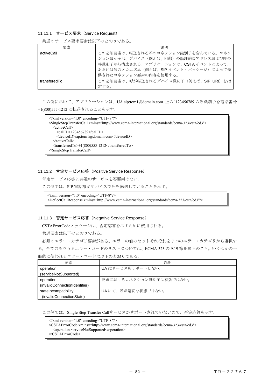#### 11.11.1 サービス要求 (Service Request)

| 要素           | 説明                                                                                                                                                                                 |
|--------------|------------------------------------------------------------------------------------------------------------------------------------------------------------------------------------|
| activeCall   | この必須要素は、転送される呼のコネクション識別子を含んでいる。コネク<br>ション識別子は、デバイス(例えば、回線)の論理的なアドレスおよび呼の<br>呼識別子から構成される。アプリケーションは、CSTA イベントによって、<br>あるいは他のメカニズム (例えば、SIP イベント・パッケージ)によって提<br>供されたコネクション要素の内容を使用する。 |
| transferedTo | この必須要素は、呼が転送されるデバイス識別子(例えば、SIP URI)を指<br>定する。                                                                                                                                      |

共通のサービス要求要素は以下のとおりである。

 この例において、アプリケーションは、UA sip:tom1@domain.com 上の l123456789 の呼識別子を電話番号 +1(800)555-1212 に転送されることを示す。

<?xml version="1.0" encoding="UTF-8"?> <SingleStepTransferCall xmlns="http://www.ecma-international.org/standards/ecma-323/csta/ed3"> <activeCall> <callID>123456789</callID> <deviceID>sip:tom1@domain.com</deviceID> </activeCall>  $\leq$ transferredTo $\geq$ +1(800)555-1212 $\leq$ /transferredTo $\geq$ </SingleStepTransferCall>

### 11.11.2 肯定サービス応答(Positive Service Response)

肯定サービス応答に共通のサービス応答要素はない。

この例では、SIP 電話機がデバイスで呼を転送していることを示す。

<?xml version="1.0" encoding="UTF-8"?>

<DeflectCallResponse xmlns="http://www.ecma-international.org/standards/ecma-323/csta/ed3"/>

### 11.11.3 否定サービス応答(Negative Service Response)

CSTAErrorCodeメッセージは、否定応答を示すために使用される。

共通要素は以下のとおりである。

 必須のエラー・カテゴリ要素がある。エラーの値のセットそれぞれを 7 つのエラー・カテゴリから選択す る。全てのありうるエラー・コードのリストについては、ECMA-323 の 9.19 節を参照のこと。いくつかの一 般的に使われるエラー・コードは以下のとおりである。

| 要素                            | 説明                      |
|-------------------------------|-------------------------|
| operation                     | UAはサービスをサポートしない。        |
| (serviceNotSupported)         |                         |
| operation                     | 要求におけるコネクション識別子は有効ではない。 |
| (invalidConnectionIdentifier) |                         |
| stateIncompatibility          | UAにて、呼が適切な状態ではない。       |
| (invalidConnectionState)      |                         |

この例では、Single Step Transfer Callサービスがサポートされていないので、否定応答を示す。

<?xml version="1.0" encoding="UTF-8"?>

<CSTAErrorCode xmlns="http://www.ecma-international.org/standards/ecma-323/csta/ed3">

<operation>serviceNotSupported</operation>

</CSTAErrorCode>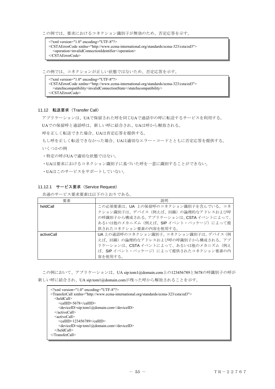この例では、要求におけるコネクション識別子が無効のため、否定応答を示す。

<?xml version="1.0" encoding="UTF-8"?> <CSTAErrorCode xmlns="http://www.ecma-international.org/standards/ecma-323/csta/ed3"> <operation>invalidConnectionIdentifier</operation> </CSTAErrorCode>

この例では、コネクションが正しい状態ではないため、否定応答を示す。

<?xml version="1.0" encoding="UTF-8"?> <CSTAErrorCode xmlns="http://www.ecma-international.org/standards/ecma-323/csta/ed3"> <stateIncompatibility>invalidConnectionState</stateIncompatibility> </CSTAErrorCode>

### 11.12 転送要求(Transfer Call)

アプリケーションは、UAで保留された呼を同じUAで通話中の呼に転送するサービスを利用する。

UAでの保留呼と通話呼は、新しい呼に結合され、UAは呼から解放される。

呼を正しく転送できた場合、UAは肯定応答を提供する。

もし呼を正しく転送できなかった場合、UAは適切なエラー・コードとともに否定応答を提供する。 いくつかの例

・特定の呼がUAで適切な状態ではない。

・UAは要求におけるコネクション識別子に基づいた呼を一意に識別することができない。

・UAはこのサービスをサポートしていない。

## 11.12.1 サービス要求 (Service Request)

共通のサービス要求要素は以下のとおりである。

| 要素         | 説明                                    |
|------------|---------------------------------------|
| heldCall   | この必須要素は、UA 上の保留呼のコネクション識別子を含んでいる。コネ   |
|            | クション識別子は、デバイス(例えば、回線)の論理的なアドレスおよび呼    |
|            | の呼識別子から構成される。アプリケーションは、CSTA イベントによって、 |
|            | あるいは他のメカニズム(例えば、SIP イベント・パッケージ)によって提  |
|            | 供されたコネクション要素の内容を使用する。                 |
| activeCall | UA上の通話呼のコネクション識別子。コネクション識別子は、デバイス(例   |
|            | えば、回線)の論理的なアドレスおよび呼の呼識別子から構成される。アプ    |
|            | リケーションは、CSTAイベントによって、あるいは他のメカニズム (例え  |
|            | ば、SIP イベント・パッケージ)によって提供されたコネクション要素の内  |
|            | 容を使用する。                               |

この例において、アプリケーションは、UA sip:tom1@domain.com上の123456789と5678の呼識別子の呼が 新しい呼に結合され、UA sip:tom1@domain.comが残った呼から解放されることを示す。

| $\leq$ ?xml version="1.0" encoding="UTF-8"?>                                                        |  |
|-----------------------------------------------------------------------------------------------------|--|
| <transfercall xmlns="http://www.ecma-international.org/standards/ecma-323/csta/ed3"></transfercall> |  |
| $\le$ heldCall>                                                                                     |  |
| $\leq$ callID>5678 $\leq$ callID>                                                                   |  |
| <deviceid>sip:tom1@domain.com</deviceid>                                                            |  |
| $\le$ /activeCall>                                                                                  |  |
| <activecall></activecall>                                                                           |  |
| $\le$ callID>123456789 $\le$ callID>                                                                |  |
| <deviceid>sip:tom1@domain.com</deviceid>                                                            |  |
| $<$ /heldCall>                                                                                      |  |
| $\langle$ TransferCall>                                                                             |  |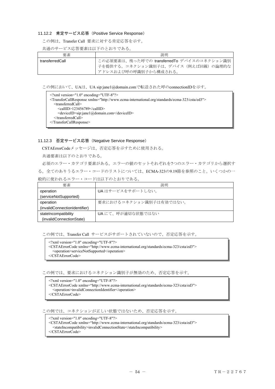## 11.12.2 肯定サービス応答(Positive Service Response)

この例は、Transfer Call 要求に対する肯定応答を示す。

## 共通のサービス応答要素は以下のとおりである。

| 要素              | 説明                                         |
|-----------------|--------------------------------------------|
| transferredCall | この必須要素は、残った呼での transferredTo デバイスのコネクション識別 |
|                 | 子を提供する。コネクション識別子は、デバイス(例えば回線)の論理的な         |
|                 | アドレスおよび呼の呼識別子から構成される。                      |

この例において、UAは、UA sip:jane1@domain.comで転送された呼のconnectionIDを示す。

| $\leq$ ?xml version="1.0" encoding="UTF-8"?>                                                                        |
|---------------------------------------------------------------------------------------------------------------------|
| <transfercallresponse xmlns="http://www.ecma-international.org/standards/ecma-323/csta/ed3"></transfercallresponse> |
| $\le$ transferredCall>                                                                                              |
| $\le$ callID>123456789 $\le$ /callID>                                                                               |
| <deviceid>sip:jane1@domain.com</deviceid>                                                                           |
| $\le$ /transferredCall>                                                                                             |
| $\leq$ TransferCallResponse>                                                                                        |
|                                                                                                                     |

## 11.12.3 否定サービス応答(Negative Service Response)

CSTAErrorCodeメッセージは、否定応答を示すために使用される。

共通要素は以下のとおりである。

必須のエラー・カテゴリ要素がある。エラーの値のセットそれぞれを7つのエラー・カテゴリから選択す る。全てのありうるエラー・コードのリストについては、ECMA-323の9.19節を参照のこと。いくつかの一 般的に使われるエラー・コードは以下のとおりである。

| 要素                            | 説明                      |
|-------------------------------|-------------------------|
| operation                     | UAはサービスをサポートしない。        |
| (serviceNotSupported)         |                         |
| operation                     | 要求におけるコネクション識別子は有効ではない。 |
| (invalidConnectionIdentifier) |                         |
| stateIncompatibility          | UAにて、呼が適切な状態ではない        |
| (invalidConnectionState)      |                         |

この例では、Transfer Call サービスがサポートされていないので、否定応答を示す。

<?xml version="1.0" encoding="UTF-8"?>

<CSTAErrorCode xmlns="http://www.ecma-international.org/standards/ecma-323/csta/ed3">

<operation>serviceNotSupported</operation>

</CSTAErrorCode>

この例では、要求におけるコネクション識別子が無効のため、否定応答を示す。

<?xml version="1.0" encoding="UTF-8"?>

- <CSTAErrorCode xmlns="http://www.ecma-international.org/standards/ecma-323/csta/ed3"> <operation>invalidConnectionIdentifier</operation>
- </CSTAErrorCode>

この例では、コネクションが正しい状態ではないため、否定応答を示す。

<?xml version="1.0" encoding="UTF-8"?>

- <CSTAErrorCode xmlns="http://www.ecma-international.org/standards/ecma-323/csta/ed3">
- <stateIncompatibility>invalidConnectionState</stateIncompatibility>

</CSTAErrorCode>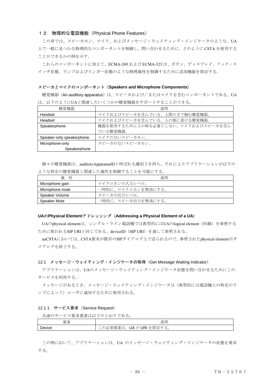## 12.物理的な電話機能(Physical Phone Features)

 この章では、スピーカホン、マイク、およびメッセージ・ウェイティング・インジケータのような、UA 上で一般に見つかる物理的なコンポーネントを制御し、問い合わせるために、どのように CSTA を使用する ことができるかの例を示す。

これらのコンポーネントに加えて、ECMA-269 および ECMA-323 は、ボタン、ディスプレイ、フック・ス イッチ状態、ランプおよびリンガー状態のような物理属性を制御するために追加機能を指定する。

### スピーカとマイクのコンポーネント(**Speakers and Microphone Components**)

聴覚機器(An *auditory apparatus*)は、スピーカおよび/またはマイクを含むコンポーネントである。UA は、以下のようにUAと関連したいくつかの聴覚機器をサポートすることができる。

| 聴覚機器                      | 説明                                 |
|---------------------------|------------------------------------|
| Handset                   | マイクおよびスピーカを含んでいる、人間の手で掴む聴覚機器。      |
| Headset                   | マイクおよびスピーカを含んでいる、人の頭に着ける聴覚機器。      |
| Speakerphone              | 機器を使用するために人の体を必要としない、マイクおよびスピーカを含ん |
|                           | でいる聴覚機器。                           |
| Speaker-only speakerphone | マイクのないスピーカホン。                      |
| Microphone-only           | スピーカのないスピーカホン。                     |
| Speakerphone              |                                    |

個々の聴覚機器は、auditoryApparatusIDと呼ばれる識別子を持ち、それによりアプリケーションが以下の ような特定の聴覚機器と関連した属性を制御することを可能にする。

| 性<br>属          | 説明                 |
|-----------------|--------------------|
| Microphone gain | マイクロホンの入力レベル。      |
| Microphone mute | 一時的に、マイクロホンを無効にする。 |
| Speaker Volume  | スピーカの出力レベル。        |
| Speaker Mute    | 一時的に、スピーカ出力を無効にする。 |

## **UA**の**Physical Element**アドレッシング(**Addressing a Physical Element of a UA**)

UAのphysical elementは、シングル・ライン電話機では典型的にはUAのlogical element(回線)を参照する ために使われるSIP URIと同じである、deviceID(SIP URI)を通して参照される。

uaCSTAにおいては、CSTA要求が既存のSIPダイアログ上で送られるので、参照されたphysical elementがダ イアログを終了する。

#### 12.1 メッセージ・ウェイティング・インジケータの取得(Get Message Waiting Indicator)

アプリケーションは、UAのメッセージ・ウェイティング・インジケータ状態を問い合わせるためにこの サービスを利用する。

メッセージがあるとき、メッセージ・ウェイティング・インジケータは(典型的には電話機上の特定のラ ンプによって)ユーザに通知するために使用される。

#### 12.1.1 サービス要求 (Service Request)

共通のサービス要求要素は以下のとおりである。

| र्क्त<br>$\overline{\phantom{0}}$<br><del>∽</del><br>女术 | 説明                                                                                                                                                             |
|---------------------------------------------------------|----------------------------------------------------------------------------------------------------------------------------------------------------------------|
| Device                                                  | <b>LLA</b><br>$\sim$<br>$\overline{\phantom{a}}$<br>UA<br>- ^ 指一<br>$\overline{\phantom{a}}$<br>. .<br>'火<br>UNI<br>v<br>让日儿<br>$\sim$<br>人不可<br>`പറ<br>ட<br>ー |

この例において、アプリケーションは、UA のメッセージ・ウェイティング・インジケータの状態を要求 する。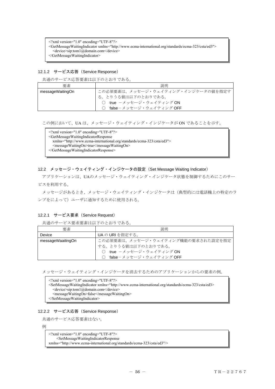<?xml version="1.0" encoding="UTF-8"?>

- <GetMessageWaitingIndicator xmlns="http://www.ecma-international.org/standards/ecma-323/csta/ed3">
- <device>sip:tom1@domain.com</device>

</GetMessageWaitingIndicator>

## 12.1.2 サービス応答 (Service Response)

共通のサービス応答要素は以下のとおりである。

| 要素               | 説明                                 |
|------------------|------------------------------------|
| messageWaitingOn | この必須要素は、メッセージ・ウェイティング・インジケータの値を指定す |
|                  | る。とりうる値は以下のとおりである。                 |
|                  | ○ true ーメッセージ・ウェイティング ON           |
|                  | false-メッセージ・ウェイティング OFF            |

この例において、UA は、メッセージ・ウェイティング・インジケータが ON であることを示す。

<?xml version="1.0" encoding="UTF-8"?> <GetMessageWaitingIndicatorResponse xmlns="http://www.ecma-international.org/standards/ecma-323/csta/ed3"> <messageWaitingOn>true</messageWaitingOn> </GetMessageWaitingIndicatorResponse>

# 12.2 メッセージ・ウェイティング・インジケータの設定(Set Message Waiting Indicator)

 アプリケーションは、UAのメッセージ・ウェイティング・インジケータ状態を制御するためにこのサー ビスを利用する。

メッセージがあるとき、メッセージ・ウェイティング・インジケータは(典型的には電話機上の特定のラ ンプをによって)ユーザに通知するために使用される。

## 12.2.1 サービス要求 (Service Request)

共通のサービス要求要素は以下のとおりである。

| 要素                | 説明                                 |
|-------------------|------------------------------------|
| Device            | UAの URI を指定する。                     |
| messageWaaitingOn | この必須要素は、メッセージ・ウェイティング機能の要求された設定を指定 |
|                   | する。とりうる値は以下のとおりである。                |
|                   | true ーメッセージ・ウェイティング ON             |
|                   | false-メッセージ・ウェイティング OFF            |

メッセージ・ウェイティング・インジケータを消去するためのアプリケーションからの要求の例。

```
\leq?xml version="1.0" encoding="UTF-8"?>
<SetMessageWaitingIndicator xmlns="http://www.ecma-international.org/standards/ecma-323/csta/ed3> 
  <device>sip:tom1@domain.com</device> 
  <messageWaitingOn>false</messageWaitingOn> 
</SetMessageWaitingIndicator>
```
## 12.2.2 サービス応答(Service Response)

共通のサービス応答要素はない。

例

```
\leq?xml version="1.0" encoding="UTF-8"?>
    <SetMessageWaitingIndicatorResponse 
xmlns="http://www.ecma-international.org/standards/ecma-323/csta/ed3"/>
```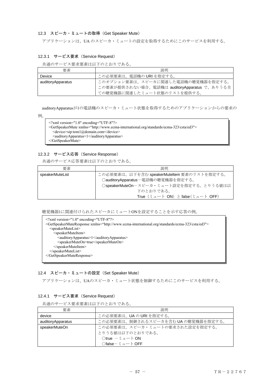## 12.3 スピーカ・ミュートの取得 (Get Speaker Mute)

アプリケーションは、UA のスピーカ・ミュートの設定を取得するためにこのサービスを利用する。

## 12.3.1 サービス要求 (Service Request)

共通のサービス要求要素は以下のとおりである。

| 要素                | 説明                                           |
|-------------------|----------------------------------------------|
| Device            | この必須要素は、電話機の URI を指定する。                      |
| auditoryApparatus | このオプション要素は、スピーカに関連した電話機の聴覚機器を指定する。           |
|                   | この要素が提供されない場合、電話機は auditoryApparatus で、ありうる全 |
|                   | ての聴覚機器に関連したミュート状態のリストを提供する。                  |

auditoryApparatusが1の電話機のスピーカ・ミュート状態を取得するためのアプリケーションからの要求の

例。

| $\gamma$ xml version="1.0" encoding="UTF-8"?                                                            |
|---------------------------------------------------------------------------------------------------------|
| <getspeakermute xmlns="http://www.ecma-international.org/standards/ecma-323/csta/ed3"></getspeakermute> |
| <device>sip:tom1@domain.com</device>                                                                    |
| <auditoryapparatus>1</auditoryapparatus>                                                                |
| $\triangle$ /GetSpeakerMute>                                                                            |
|                                                                                                         |

# 12.3.2 サービス応答(Service Response)

共通のサービス応答要素は以下のとおりである。

| 要素              | 説明                                                              |
|-----------------|-----------------------------------------------------------------|
| speakerMuteList | この必須要素は、以下を含む speakerMuteltem 要素のリストを指定する。                      |
|                 | ○auditoryApparatus-電話機の聴覚機器を指定する。                               |
|                 | ○speakerMuteOnースピーカ・ミュート設定を指定する。とりうる値は以                         |
|                 | 下のとおりである。                                                       |
|                 | True $(3\pi - b \text{ ON})$ $b$ false $(3\pi - b \text{ OFF})$ |

聴覚機器1に関連付けられたスピーカにミュートONを設定することを示す応答の例。

| $\gamma$ \times \cdot \cdot \cdot \cdot \cdot \cdot \cdot \cdot \cdot \cdot \cdot \cdot \cdot \cdot \cdot \cdot \cdot \cdot \cdot \cdot \cdot \cdot \cdot \cdot \cdot \cdot \cdot \cdot \cdot \cdot \cdot \cdot \cdot \cdot \cdot |
|-----------------------------------------------------------------------------------------------------------------------------------------------------------------------------------------------------------------------------------|
| <getspeakermuteresponse xmlns="http://www.ecma-international.org/standards/ecma-323/csta/ed3"></getspeakermuteresponse>                                                                                                           |
| $<$ speakerMuteList $>$                                                                                                                                                                                                           |
| <speakermuteitem></speakermuteitem>                                                                                                                                                                                               |
| <auditoryapparatus>1</auditoryapparatus>                                                                                                                                                                                          |
| <speakermuteon>true</speakermuteon>                                                                                                                                                                                               |
| $\le$ /speakerMuteItem>                                                                                                                                                                                                           |
| $\le$ /speakerMuteList>                                                                                                                                                                                                           |
| $\leq$ GetSpeakerMuteResponse>                                                                                                                                                                                                    |
|                                                                                                                                                                                                                                   |

## 12.4 スピーカ・ミュートの設定 (Set Speaker Mute)

アプリケーションは、UAのスピーカ・ミュート状態を制御するためにこのサービスを利用する。

# 12.4.1 サービス要求 (Service Request)

共通のサービス要求要素は以下のとおりである。

| 要素                | 説明                                         |
|-------------------|--------------------------------------------|
| device            | この必須要素は、UAのURIを指定する。                       |
| auditoryApparatus | この必須要素は、制御されるスピーカを含む UA の聴覚機器を指定する。        |
| speakerMuteOn     | この必須要素は、スピーカ・ミュートの要求された設定を指定する。            |
|                   | とりうる値は以下のとおりである。                           |
|                   | $Q$ true $-\xi$ $\alpha$ $\sim$ $\beta$ ON |
|                   | ∩false−ミュート OFF                            |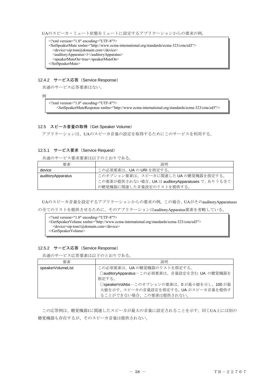UAのスピーカ・ミュート状態をミュートに設定するアプリケーションからの要求の例。

<?xml version="1.0" encoding="UTF-8"?> <SetSpeakerMute xmlns="http://www.ecma-international.org/standards/ecma-323/csta/ed3"> <device>sip:tom@domain.com</device> <auditoryApparatus>1</auditoryApparatus> <speakerMuteOn>true</speakerMuteOn> </SetSpeakerMute>

### 12.4.2 サービス応答(Service Response)

共通のサービス応答要素はない。

例

<?xml version="1.0" encoding="UTF-8"?> <SetSpeakerMuteResponse xmlns="http://www.ecma-international.org/standards/ecma-323/csta/ed3"/>

#### 12.5 スピーカ音量の取得 (Get Speaker Volume)

アプリケーションは、UAのスピーカ音量の設定を取得するためにこのサービスを利用する。

## 12.5.1 サービス要求 (Service Request)

共通のサービス要求要素は以下のとおりである。

| 要素                | 説明                                              |
|-------------------|-------------------------------------------------|
| device            | この必須要素は、UAのURIを指定する。                            |
| auditoryApparatus | このオプション要素は、スピーカに関連したUAの聴覚機器を指定する。               |
|                   | この要素が提供されない場合、UA は auditoryApparatuses で、ありうる全て |
|                   | の聴覚機器に関連した音量設定のリストを提供する。                        |

UAのスピーカ音量を設定するアプリケーションからの要求の例。この場合、UAがそのauditoryApparatuses の全てのリストを提供させるために、そのアプリケーションはauditoryApparatus要素を省略している。

<?xml version="1.0" encoding="UTF-8"?> <GetSpeakerVolume xmlns="http://www.ecma-international.org/standards/ecma-323/csta/ed3"> <device>sip:tom1@domain.com</device> </GetSpeakerVolume>

## 12.5.2 サービス応答(Service Response)

共通のサービス応答要素は以下のとおりである。

| 要素                | 説明                                           |
|-------------------|----------------------------------------------|
| speakerVolumeList | この必須要素は、UA の聴覚機器のリストを指定する。                   |
|                   | ○auditoryApparatus-この必須要素は、音量設定を含む UA の聴覚機器を |
|                   | 指定する。                                        |
|                   | ○speakerVolAbsーこのオプションの要素は、0が最小値を示し、100が最    |
|                   | 大値を示す、スピーカの音量設定を指定する。UAがスピーカ音量を提供す           |
|                   | ることができない場合、この要素は提供されない。                      |

この応答例は、聴覚機器1に関連したスピーカが最大の音量に設定されることを示す。同じUA上には別の 聴覚機器も存在するが、そのスピーカ音量は提供されない。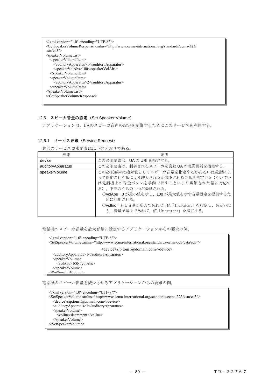| $\leq$ ?xml version="1.0" encoding="UTF-8"?><br><getspeakervolumeresponse xmlns="http://www.ecma-international.org/standards/ecma-323/&lt;br&gt;&lt;math&gt;\text{csta}/\text{ed3}&lt;/math&gt;"></getspeakervolumeresponse> |
|------------------------------------------------------------------------------------------------------------------------------------------------------------------------------------------------------------------------------|
| $\leq$ speakerVolumeList $\geq$                                                                                                                                                                                              |
| <speakervolumeitem></speakervolumeitem>                                                                                                                                                                                      |
| $\alpha$ auditory Apparatus > 1 $\alpha$ auditory Apparatus >                                                                                                                                                                |
| <speakervolabs>100</speakervolabs>                                                                                                                                                                                           |
| $\le$ /speakerVolumeItem>                                                                                                                                                                                                    |
| <speakervolumeitem></speakervolumeitem>                                                                                                                                                                                      |
| $\alpha$ auditory Apparatus > 2 $\alpha$ auditory Apparatus >                                                                                                                                                                |
|                                                                                                                                                                                                                              |
| $\le$ /speakerVolumeList>                                                                                                                                                                                                    |
|                                                                                                                                                                                                                              |
|                                                                                                                                                                                                                              |

# 12.6 スピーカ音量の設定(Set Speaker Volume)

アプリケーションは、UAのスピーカ音声の設定を制御するためにこのサービスを利用する。

## 12.6.1 サービス要求 (Service Request)

共通のサービス要求要素は以下のとおりである。

| 要素                | 説明                                        |
|-------------------|-------------------------------------------|
| device            | この必須要素は、UAのURIを指定する。                      |
| auditoryApparatus | この必須要素は、制御されるスピーカを含む UA の聴覚機器を指定する。       |
| speakerVolume     | この必須要素は絶対値としてスピーカ音量を指定するかあるいは電話によ         |
|                   | って指定された量により増大されるか減少される音量を指定する(たいてい        |
|                   | は電話機上の音量ボタンを手動で押すことにより調節された量に対応す          |
|                   | る)。下記のうちの1つが提供される。                        |
|                   | ○volAbs-0が最小値を示し、100が最大値を示す音量設定を提供するた     |
|                   | めに利用される。                                  |
|                   | ○vollnc-もし音量が増大であれば、値「Increment」を指定し、あるいは |
|                   | もし音量が減少であれば、値「Decrement」を指定する。            |

電話機のスピーカ音量を最大音量に設定するアプリケーションからの要求の例。

| $\leq$ ?xml version="1.0" encoding="UTF-8"?><br><setspeakervolume xmlns="http://www.ecma-international.org/standards/ecma-323/csta/ed3"></setspeakervolume> |
|-------------------------------------------------------------------------------------------------------------------------------------------------------------|
| $\le$ device>sip:tom1@domain.com $\le$ /device>                                                                                                             |
| <auditoryapparatus>1</auditoryapparatus>                                                                                                                    |
| <speakervolume></speakervolume>                                                                                                                             |
| $\langle \text{volAbs}\rangle$ = 100 $\langle \text{volAbs}\rangle$                                                                                         |
| $\le$ /speakerVolume>                                                                                                                                       |
| $20$ at $S$ need $I_0$ by $\sim$                                                                                                                            |

電話機のスピーカ音量を減少させるアプリケーションからの要求の例。

```
<?xml version="1.0" encoding="UTF-8"?> 
<SetSpeakerVolume xmlns="http://www.ecma-international.org/standards/ecma-323/csta/ed3"> 
  <device>sip:tom1@domain.com</device> 
  <auditoryApparatus>1</auditoryApparatus>
  <speakerVolume> 
    <volInc>decrement</volInc> 
  </speakerVolume> 
</SetSpeakerVolume>
```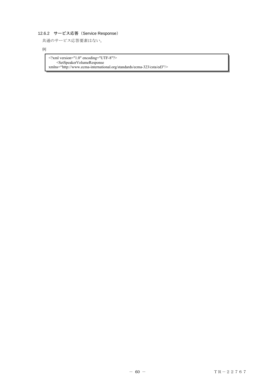# 12.6.2 サービス応答(Service Response)

共通のサービス応答要素はない。

## 例

<?xml version="1.0" encoding="UTF-8"?> <SetSpeakerVolumeResponse xmlns="http://www.ecma-international.org/standards/ecma-323/csta/ed3"/>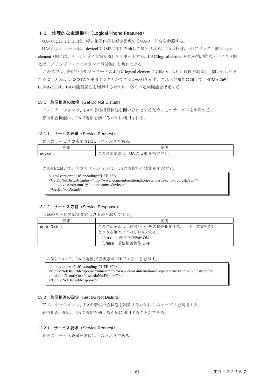## 13.論理的な電話機能(Logical Phone Features)

UAのlogical elementは、呼と相互作用し呼を管理するUAの一部分を参照する。

UAのlogical elementは、deviceID (SIP URI) を通して参照される。UAは1つ以上のアドレス可能なlogical element(例えば、マルチ・ライン電話機)をサポートする。UAはlogical elementを他の物理的なデバイス(例 えば、ブリッジド・アピアランス電話機)と共有できる。

この章では、着信拒否やフォワードのようにlogical elementに関連づけられた属性を制御し、問い合わせる ために、どのようにCSTAを使用することができるかの例を示す。これらの機能に加えて、ECMA-269と ECMA-323は、UAの論理属性を制御するために、多くの追加機能を指定する。

#### 13.1 着信拒否の取得(Get Do Not Disturb)

 アプリケーションは、UAの着信拒否状態を問い合わせするためにこのサービスを利用する。 着信拒否機能は、UAで着信を妨げるために利用される。

## 13.1.1 サービス要求 (Service Request)

共通のサービス要求要素は以下のとおりである。

| 要素     | 説明                                                                             |
|--------|--------------------------------------------------------------------------------|
| device | ارس を指定 <sup>キー</sup><br>、要素は、「<br>' ∂ Aل<br>須要<br>'火<br>′∾ ∩<br>→ → ∧⊑ →<br>ー |

この例において、アプリケーションは、UAの着信拒否状態を要求する。

<?xml version="1.0" encoding="UTF-8"?> <GetDoNotDisturb xmlns="http://www.ecma-international.org/standards/ecma-323/csta/ed3"> <device>sip:tom1@domain.com</device> </GetDoNotDisturb>

## 13.1.2 サービス応答(Service Response)

共通のサービス応答要素は以下のとおりである。

| 要素          | 説明                             |
|-------------|--------------------------------|
| doNotDistub | この必須要素は、着信拒否状態の値を指定する。(注:英文誤記) |
|             | とりうる値は以下のとおりである。               |
|             | ○true -着信拒否機能 ON               |
|             | ○false-着信拒否機能 OFF              |

この例において、UAは着信拒否状態がOFFであることを示す。

<?xml version="1.0" encoding="UTF-8"?> <GetDoNotDisturbResponse xmlns="http://www.ecma-international.org/standards/ecma-323/csta/ed3"> <doNotDisturbOn>false</doNotDisturbOn> </GetDoNotDisturbResponse>

## 13.2 着信拒否の設定(Set Do Not Disturb)

アプリケーションは、UAの着信拒否状態を制御するためにこのサービスを利用する。

着信拒否状態は、UAで着信を妨げるために利用することができる。

### 13.2.1 サービス要求 (Service Request)

共通のサービス要求要素は以下のとおりである。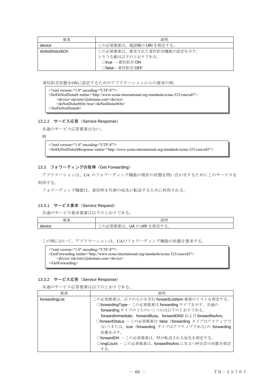| 要素             | 説明                         |
|----------------|----------------------------|
| device         | この必須要素は、電話機の URI を指定する。    |
| doNotDisturbOn | この必須要素は、要求された着信拒否機能の設定を示す。 |
|                | とりうる値は以下のとおりである。           |
|                | ○true -着信拒否 ON             |
|                | ○false-着信拒否 OFF            |

着信拒否状態をONに設定するためのアプリケーションからの要求の例。

```
<?xml version="1.0" encoding="UTF-8"?> 
<SetDoNotDisturb xmlns="http://www.ecma-international.org/standards/ecma-323/csta/ed3"> 
    <device>sip:tom1@domain.com</device> 
    <doNotDisturbOn>true</doNotDisturbOn> 
</SetDoNotDisturb>
```
## 13.2.2 サービス応答(Service Response)

共通のサービス応答要素はない。

例

```
<?xml version="1.0" encoding="UTF-8"?>
```
<SetDoNotDisturbResponse xmlns="http://www.ecma-international.org/standards/ecma-323/csta/ed3"/>

## 13.3 フォワーディングの取得 (Get Forwarding)

 アプリケーションは、UA のフォワーディング機能の現在の状態を問い合わせするためにこのサービスを 利用する。

フォワーディング機能は、着信呼を代替の宛先に転送するために利用される。

# 13.3.1 サービス要求 (Service Request)

共通のサービス要求要素は以下のとおりである。

| ळ<br>$\pm$<br>ফ<br>安米 | 説明                                                                                                                                       |
|-----------------------|------------------------------------------------------------------------------------------------------------------------------------------|
| device                | を指<br>--<br>$\sim$ $-$<br>--<br>$\sim$<br>UA の<br>--<br>ᄈ<br>URI.<br>$\sim$<br>茶<br>' L<br>$\mathbf{r}$<br>ᇨ<br>≖<br>$\sim$<br>′∾ ∩<br>ー |

この例において、アプリケーションは、UAのフォワーディング機能の状態を要求する。

| $\leq$ ?xml version="1.0" encoding="UTF-8"?>                                                |  |
|---------------------------------------------------------------------------------------------|--|
| $\leq$ GetForwarding xmlns="http://www.ecma-international.org/standards/ecma-323/csta/ed3"> |  |
| $\le$ device>sip:tom1@domain.com $\le$ /device>                                             |  |
| $\triangle$ GetForwarding>                                                                  |  |

## 13.3.2 サービス応答(Service Response)

共通のサービス応答要素は以下のとおりである。

| 要素             | 説明                                                        |
|----------------|-----------------------------------------------------------|
| forwardingList | この必須要素は、以下のものを含む forwardListItem 要素のリストを指定する。             |
|                | OforwardingType-この必須要素はforwarding タイプを示す。共通の              |
|                | forwarding タイプのうちのいくつかは以下のとおりである。                         |
|                | forwardImmediate、forwardBusy、forwardDND および forwardNoAns。 |
|                | OforwardStatus -この必須要素は false (forwarding タイプはアクティブで      |
|                | ない)または、true (forwarding タイプはアクティブである)の forwarding         |
|                | 状態を示す。                                                    |
|                | ○forwardDN -この必須要素は、呼が転送される宛先を指定する。                       |
|                | ○ringCount -この必須要素は、forwardNoAnsに先立つ呼出音の回数を指定             |
|                | する。                                                       |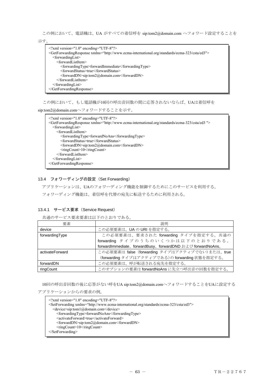この例において、電話機は、UA がすべての着信呼を sip:tom2@domain.com へフォワード設定することを

示す。

| $\langle$ xml version="1.0" encoding="UTF-8"?                                                                         |
|-----------------------------------------------------------------------------------------------------------------------|
| <getforwardingresponse xmlns="http://www.ecma-international.org/standards/ecma-323/csta/ed3"></getforwardingresponse> |
| $<$ forwardingList $>$                                                                                                |
| $<$ forwardListItem $>$                                                                                               |
| <forwardingtype>forwardImmediate</forwardingtype>                                                                     |
| <forwardstatus>true</forwardstatus>                                                                                   |
| <forwarddn>sip:tom2@domain.com</forwarddn>                                                                            |
| $\le$ forwardListItem>                                                                                                |
| $\le$ forwardingList>                                                                                                 |
| $\leq$ GetForwardingResponse>                                                                                         |

# この例において、もし電話機が10回の呼出音回数の間に応答されないならば、UAは着信呼を

sip:tom2@domain.comへフォワードすることを示す。

| $\leq$ ?xml version="1.0" encoding="UTF-8"?><br><getforwardingresponse xmlns="http://www.ecma-international.org/standards/ecma-323/csta/ed3"></getforwardingresponse> |
|-----------------------------------------------------------------------------------------------------------------------------------------------------------------------|
| $<$ forwardingList $>$                                                                                                                                                |
| $<$ forwardListItem $>$                                                                                                                                               |
| $\le$ forwardingType>forwardNoAns $\le$ /forwardingType>                                                                                                              |
| <forwardstatus>true</forwardstatus>                                                                                                                                   |
| <forwarddn>sip:tom2@domain.com</forwarddn>                                                                                                                            |
| $\langle$ ringCount>10 $\langle$ ringCount>                                                                                                                           |
| $\le$ forwardListItem>                                                                                                                                                |
| $\le$ forwardingList $>$                                                                                                                                              |
| $\leq$ GetForwardingResponse>                                                                                                                                         |
|                                                                                                                                                                       |

# 13.4 フォワーディングの設定(Set Forwarding)

アプリケーションは、UAのフォワーディング機能を制御するためにこのサービスを利用する。

フォワーディング機能は、着信呼を代替の宛先に転送するために利用される。

## 13.4.1 サービス要求 (Service Request)

共通のサービス要求要素は以下のとおりである。

| 要素              | 説明                                                        |
|-----------------|-----------------------------------------------------------|
| device          | この必須要素は、UAのURIを指定する。                                      |
| forwardingType  | この必須要素は、要求された forwarding タイプを指定する。共通の                     |
|                 | forwarding タイプのうちのいくつかは以下のとおりである。                         |
|                 | forwardImmediate、forwardBusy、forwardDND および forwardNoAns。 |
| activateForward | この必須要素は false (forwarding タイプはアクティブでない)または、true           |
|                 | (forwarding タイプはアクティブである)の forwarding 状態を指定する。            |
| forwardDN       | この必須要素は、呼が転送される宛先を指定する。                                   |
| ringCount       | このオプションの要素はforwardNoAnsに先立つ呼出音の回数を指定する。                   |

10回の呼出音回数の後に応答がない呼をUA sip:tom2@domain.comへフォワードすることをUAに設定する アプリケーションからの要求の例。

| $\leq$ ?xml version="1.0" encoding="UTF-8"?>                                                          |
|-------------------------------------------------------------------------------------------------------|
| <setforwarding xmlns="http://www.ecma-international.org/standards/ecma-323/csta/ed3"></setforwarding> |
| <device>sip:tom1@domain.com</device>                                                                  |
| <forwardingtype>forwardNoAns</forwardingtype>                                                         |
| <activateforward>true</activateforward>                                                               |
| <forwarddn>sip:tom2@domain.com</forwarddn>                                                            |
| $\langle$ ringCount $\rangle$ 10 $\langle$ ringCount $\rangle$                                        |
| $\le$ SetForwarding>                                                                                  |
|                                                                                                       |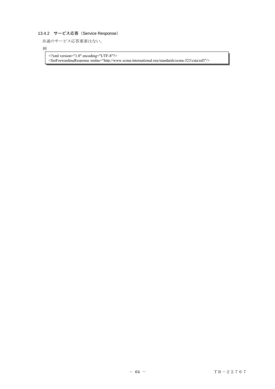# 13.4.2 サービス応答(Service Response)

共通のサービス応答要素はない。

例

<?xml version="1.0" encoding="UTF-8"?> <SetForwardingResponse xmlns="http://www.ecma-international.org/standards/ecma-323/csta/ed3"/>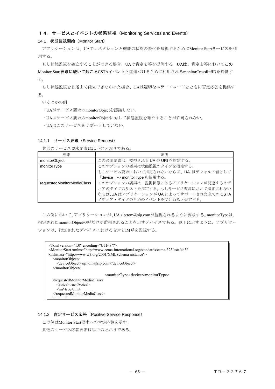## 14. サービスとイベントの状態監視 (Monitoring Services and Events)

#### 14.1 状態監視開始(Monitor Start)

 アプリケーションは、UAでコネクションと機能の状態の変化を監視するためにMonitor Startサービスを利 用する。

もし状態監視を確立することができる場合、UAは肯定応答を提供する。UAは、肯定応答においてこの Monitor Start要求に続いて起こるCSTAイベントと関連づけるために利用されるmonitorCrossRefIDを提供す る。

もし状態監視を首尾よく確立できなかった場合、UAは適切なエラー・コードとともに否定応答を提供す る。

いくつかの例

- ・UAがサービス要求のmonitorObjectを認識しない。
- ・UAはサービス要求のmonitorObjectに対して状態監視を確立することが許可されない。
- ・UAはこのサービスをサポートしていない。

#### 14.1.1 サービス要求 (Service Request)

共通のサービス要求要素は以下のとおりである。

| 要素                         | 説明                                       |
|----------------------------|------------------------------------------|
| monitorObject              | この必須要素は、監視される UA の URI を指定する。            |
| monitorType                | このオプションの要素は状態監視のタイプを指定する。                |
|                            | もしサービス要求において指定されないならば、UA はデフォルト値として      |
|                            | 「device」の monitorType を使用する。             |
| requestedMonitorMediaClass | このオプションの要素は、監視状熊にあるアプリケーションが関連するメデ       |
|                            | ィアのタイプのリストを指定する。もしサービス要求において指定されない       |
|                            | ならば、UA はアプリケーションが UA によってサポートされた全ての CSTA |
|                            | メディア・タイプのためのイベントを受け取ると仮定する。              |

 この例において、アプリケーションが、UA sip:tom@sip.comが監視されるように要求する。monitorTypeは、 指定されたmonitorObjectの呼だけが監視されることを示すデバイスである。以下に示すように、アプリケー ションは、指定されたデバイスにおける音声とIM呼を監視する。

| $\leq$ ?xml version="1.0" encoding="UTF-8"?><br><monitorstart <br="" xmlns="http://www.ecma-international.org/standards/ecma-323/csta/ed3">xmlns:xsi="http://www.w3.org/2001/XMLSchema-instance"&gt;</monitorstart> |
|---------------------------------------------------------------------------------------------------------------------------------------------------------------------------------------------------------------------|
| <monitorobject></monitorobject>                                                                                                                                                                                     |
| <deviceobject>sip:tom@sip.com</deviceobject>                                                                                                                                                                        |
| $\le$ /monitorObject>                                                                                                                                                                                               |
| $\leq$ monitorType>device $\leq$ /monitorType>                                                                                                                                                                      |
| <requestedmonitormediaclass></requestedmonitormediaclass>                                                                                                                                                           |
| <voice>true</voice>                                                                                                                                                                                                 |
| $\langle im \rangle$ true $\langle im \rangle$                                                                                                                                                                      |
|                                                                                                                                                                                                                     |
|                                                                                                                                                                                                                     |
|                                                                                                                                                                                                                     |

#### 14.1.2 肯定サービス応答(Positive Service Response)

この例はMonitor Start要求への肯定応答を示す。

共通のサービス応答要素は以下のとおりである。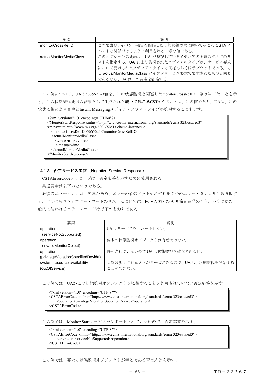| 要素                      | 説明                                              |
|-------------------------|-------------------------------------------------|
| monitorCrossRefID       | この要素は、イベント報告を開始した状態監視要求に続いて起こる CSTA イ           |
|                         | ベントと関係づけるように利用される一意な値である。                       |
| actualMonitorMediaClass | このオプションの要素は、UA が監視しているメディアの実際のタイプのリ             |
|                         | ストを指定する。UA により監視されたメディアのタイプは、サービス要求             |
|                         | において要求されたメディア・タイプと同様もしくはサブセットである。も              |
|                         | し actualMonitorMediaClass タイプがサービス要求で要求されたものと同じ |
|                         | であるなら、UAはこの要素を省略する。                             |

 この例において、UAは5665621の値を、この状態監視と関連したmonitorCrossRefIDに割り当てたことを示 す。この状態監視要求の結果として生成された続いて起こるCSTAイベントは、この値を含む。UAは、この 状態監視により音声とInstant Messagingメディア・クラス・タイプが監視することも示す。

| $\gamma$ \times \cdot \cdot \cdot \cdot \cdot \cdot \cdot \cdot \cdot \cdot \cdot \cdot \cdot \cdot \cdot \cdot \cdot \cdot \cdot \cdot \cdot \cdot \cdot \cdot \cdot \cdot \cdot \cdot \cdot \cdot \cdot \cdot \cdot \cdot \cdot |
|-----------------------------------------------------------------------------------------------------------------------------------------------------------------------------------------------------------------------------------|
| <monitorstartresponse <="" td="" xmlns="http://www.ecma-international.org/standards/ecma-323/csta/ed3"></monitorstartresponse>                                                                                                    |
| xmlns:xsi="http://www.w3.org/2001/XMLSchema-instance">                                                                                                                                                                            |
| <monitorcrossrefid>5665621</monitorcrossrefid>                                                                                                                                                                                    |
| <actualmonitormediaclass></actualmonitormediaclass>                                                                                                                                                                               |
| $<$ voice>true $<$ /voice>                                                                                                                                                                                                        |
| $\langle im \rangle$ true $\langle im \rangle$                                                                                                                                                                                    |
|                                                                                                                                                                                                                                   |
|                                                                                                                                                                                                                                   |

### 14.1.3 否定サービス応答(Negative Service Response)

CSTAErrorCodeメッセージは、否定応答を示すために使用される。

共通要素は以下のとおりである。

 必須のエラー・カテゴリ要素がある。エラーの値のセットそれぞれを 7 つのエラー・カテゴリから選択す る。全てのありうるエラー・コードのリストについては、ECMA-323 の 9.19 節を参照のこと。いくつかの一 般的に使われるエラー・コードは以下のとおりである。

| 要素                                  | 説明                                |
|-------------------------------------|-----------------------------------|
| operation                           | UA はサービスをサポートしない。                 |
| (serviceNotSupported)               |                                   |
| operation                           | 要求の状態監視オブジェクトは有効ではない。             |
| (invalidMonitorObject)              |                                   |
| operation                           | 許可されていないので UA は状態監視を確立できない。       |
| (privilegeViolationSpecifiedDevide) |                                   |
| system resource availability        | 状態監視オブジェクトがサービス外なので、UAは、状態監視を開始する |
| (outOfService)                      | ことができない。                          |

この例では、UAがこの状態監視オブジェクトを監視することを許可されていない否定応答を示す。

<?xml version="1.0" encoding="UTF-8"?> <CSTAErrorCode xmlns="http://www.ecma-international.org/standards/ecma-323/csta/ed3"> <operation>privilegeViolationSpecifiedDevice</operation> </CSTAErrorCode>

この例では、Monitor Startサービスがサポートされていないので、否定応答を示す。

<?xml version="1.0" encoding="UTF-8"?> <CSTAErrorCode xmlns="http://www.ecma-international.org/standards/ecma-323/csta/ed3"> <operation>serviceNotSupported</operation> </CSTAErrorCode>

この例では、要求の状態監視オブジェクトが無効である否定応答を示す。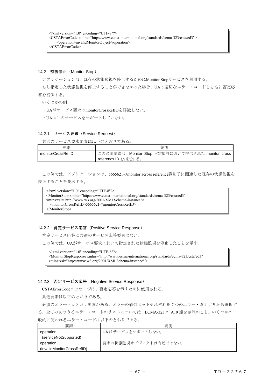```
<?xml version="1.0" encoding="UTF-8"?> 
<CSTAErrorCode xmlns="http://www.ecma-international.org/standards/ecma-323/csta/ed3"> 
    <operation>invalidMonitorObject</operation> 
</CSTAErrorCode>
```
### 14.2 監視停止 (Monitor Stop)

アプリケーションは、既存の状態監視を停止するためにMonitor Stopサービスを利用する。

もし指定した状態監視を停止することができなかった場合、UAは適切なエラー・コードとともに否定応 答を提供する。

いくつかの例

・UAがサービス要求のmonitorCrossRefIDを認識しない。

・UAはこのサービスをサポートしていない。

## 14.2.1 サービス要求 (Service Request)

共通のサービス要求要素は以下のとおりである。

| 要素                | 説明                                               |
|-------------------|--------------------------------------------------|
| monitorCrossRefID | この必須要素は、Monitor Stop 肯定応答において提供された monitor cross |
|                   | referencs ID を指定する。                              |

 この例では、アプリケーションは、5665621のmonitor across reference識別子に関連した既存の状態監視を 停止することを要求する。

```
\leq?xml version="1.0" encoding="UTF-8"?>
<MonitorStop xmlns="http://www.ecma-international.org/standards/ecma-323/csta/ed3" 
xmlns:xsi="http://www.w3.org/2001/XMLSchema-instance"> 
  <monitorCrossRefID>5665621</monitorCrossRefID> 
</MonitorStop>
```
#### 14.2.2 肯定サービス応答(Positive Service Response)

肯定サービス応答に共通のサービス応答要素はない。

この例では、UAがサービス要求において指定された状態監視を停止したことを示す。

<?xml version="1.0" encoding="UTF-8"?> <MonitorStopResponse xmlns="http://www.ecma-international.org/standards/ecma-323/csta/ed3" xmlns:xsi="http://www.w3.org/2001/XMLSchema-instance"/>

### 14.2.3 否定サービス応答(Negative Service Response)

CSTAErrorCodeメッセージは、否定応答を示すために使用される。

共通要素は以下のとおりである。

 必須のエラー・カテゴリ要素がある。エラーの値のセットそれぞれを 7 つのエラー・カテゴリから選択す る。全てのありうるエラー・コードのリストについては、ECMA-323 の 9.19 節を参照のこと。いくつかの一

| 要素                         | 説明                    |
|----------------------------|-----------------------|
| operation                  | UA はサービスをサポートしない。     |
| (serviceNotSupported)      |                       |
| operation                  | 要求の状態監視オブジェクトは有効ではない。 |
| (invalidMonitorCrossRefID) |                       |

## 般的に使われるエラー・コードは以下のとおりである。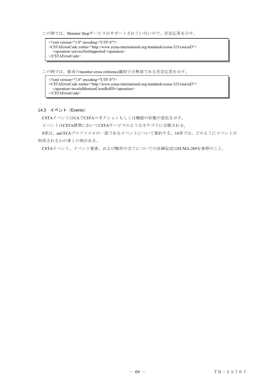この例では、Monitor Stopサービスがサポートされていないので、否定応答を示す。

| $\gamma$ \times $\gamma$ \times \times = "1.0" encoding = "UTF-8"?                                    |
|-------------------------------------------------------------------------------------------------------|
| <cstaerrorcode xmlns="http://www.ecma-international.org/standards/ecma-323/csta/ed3"></cstaerrorcode> |
| <operation>serviceNotSupported</operation>                                                            |
| $\langle$ /CSTAErrorCode>                                                                             |

この例では、要求のmonitor cross reference識別子が無効である否定応答を示す。

<?xml version="1.0" encoding="UTF-8"?> <CSTAErrorCode xmlns="http://www.ecma-international.org/standards/ecma-323/csta/ed3"> <operation>invalidMonitorCrossRefID</operation> </CSTAErrorCode>

## 14.3 イベント(Events)

CSTAイベントはUAでCSTAコネクションもしくは機能の状態の変化を示す。

イベントはCSTA標準においてCSTAサービスのようなカテゴリに分類される。

8章は、uaCSTAプロファイルの一部であるイベントについて要約する。16章では、どのようにイベントが 利用されるかの多くの例がある。

CSTAイベント、イベント要素、および動作の全てについての詳細記述はECMA-269を参照のこと。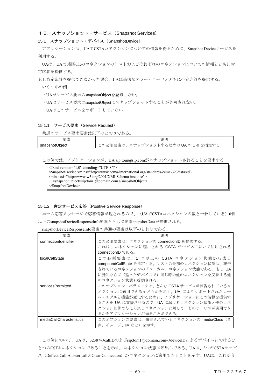## 15.スナップショット・サービス(Snapshot Services)

### 15.1 スナップショット・デバイス(SnapshotDevice)

 アプリケーションは、UAでCSTAコネクションについての情報を得るために、Snapshot Deviceサービスを 利用する。

UAは、UAで0個以上のコネクションのリストおよびそれぞれのコネクションについての情報とともに肯 定応答を提供する。

もし肯定応答を提供できなかった場合、UAは適切なエラー・コードとともに否定応答を提供する。

いくつかの例

- ・UAがサービス要求のsnapshotObjectを認識しない。
- ・UAはサービス要求のsnapshotObjectにスナップショットすることが許可されない。

・UAはこのサービスをサポートしていない。

#### 15.1.1 サービス要求 (Service Request)

共通のサービス要求要素は以下のとおりである。

| 要素             | 説明                                     |
|----------------|----------------------------------------|
| snapshotObiect | - の必須要素は、スナップショットするための UA の URI を指定する。 |

この例では、アプリケーションが、UA sip:tom@sip.comがスナップショットされることを要求する。

| $\leq$ ?xml version="1.0" encoding="UTF-8"?>                                                                       |
|--------------------------------------------------------------------------------------------------------------------|
| <snapshotdevice <="" td="" xmlns="http://www.ecma-international.org/standards/ecma-323/csta/ed3"></snapshotdevice> |
| $xmlns:xsi="http://www.w3.org/2001/XMLSchema-instance">$                                                           |
| $\leq$ snapshotObject>sip:tom1@domain.com $\leq$ snapshotObject>                                                   |
| $\le$ /SnapshotDevice>                                                                                             |
|                                                                                                                    |

## 15.1.2 肯定サービス応答(Positive Service Response)

単一の応答メッセージで応答情報が返されるので、(UAでCSTAコネクションの数と一致している)0個 以上のsnapshotDeviceResponseInfo要素とともに要素snapshotDataが提供される。

snapshotDeviceResponseInfo要素の共通の要素は以下のとおりである。

| 要素                           | 説明                                          |
|------------------------------|---------------------------------------------|
| connectionIdentifier         | この必須要素は、コネクションの connectionID を提供する。         |
|                              | これは、コネクションに適用される CSTA サービスにおいて利用される         |
|                              | connectionID である。                           |
| <i><b>localCallState</b></i> | この必須要素は、1 つ以上の CSTA コネクション状態から成る            |
|                              | compoundCallState を指定する。リストの最初のコネクション状態は、報告 |
|                              | されているコネクションの「ローカル」コネクション状態である。もし UA         |
|                              | に既知ならば(違ったデバイスで)同じ呼の他のコネクションを反映する他          |
|                              | のコネクション状熊も提供される。                            |
| servicesPermitted            | このオプション・パラメータは、どんな CSTA サービスが報告されているコ       |
|                              | ネクションに適用できるかどうかを示す。UA によりサポートされたコー          |
|                              | ル・モデルと機能が変化するために、アプリケーションにこの情報を提供す          |
|                              | ることを UA に支援させるので、UA におけるコネクション状態と他のコネ       |
|                              | クション状熊で与えられるコネクションに対して、どのサービスが適用でき          |
|                              | るかをアプリケーションが知ることができる。                       |
| mediaCallCharacteristics     | このオプションの要素は、報告されているコネクションの mediaClass (音    |
|                              | 声、イメージ、IM など)を示す。                           |

 この例において、UAは、32387のcallIDおよびsip:tom1@domain.comのdeviceIDによるデバイスにおけるひ とつのCSTAコネクションであることを示す。コネクション状態は呼出しである。UAは、3つのCSTAサービ ス(Deflect Call,Answer callとClear Connection)がコネクションに適用できることを示す。UAは、これが音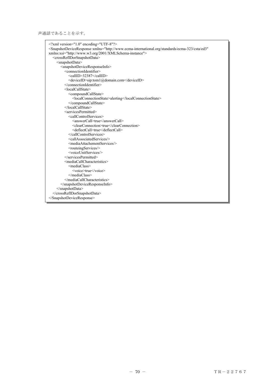声通話であることを示す。

| xml version="1.0" encoding="UTF-8"?                                                                                                |
|------------------------------------------------------------------------------------------------------------------------------------|
| <snapshotdeviceresponse <="" td="" xmlns="http://www.ecma-international.org/standards/ecma-323/csta/ed3"></snapshotdeviceresponse> |
| xmlns:xsi="http://www.w3.org/2001/XMLSchema-instance">                                                                             |
| <crossrefidorsnapshotdata></crossrefidorsnapshotdata>                                                                              |
| <snapshotdata></snapshotdata>                                                                                                      |
| <snapshotdeviceresponseinfo></snapshotdeviceresponseinfo>                                                                          |
| <connectionidentifier></connectionidentifier>                                                                                      |
| <callid>32387</callid>                                                                                                             |
| <deviceid>sip:tom1@domain.com</deviceid>                                                                                           |
|                                                                                                                                    |
| $<$ localCallState>                                                                                                                |
| <compoundcallstate></compoundcallstate>                                                                                            |
| <localconnectionstate>alerting</localconnectionstate>                                                                              |
|                                                                                                                                    |
|                                                                                                                                    |
| <servicespermitted></servicespermitted>                                                                                            |
| <callcontrolservices></callcontrolservices>                                                                                        |
| <answercall>true</answercall>                                                                                                      |
| <clearconnection>true</clearconnection>                                                                                            |
| <deflectcall>true</deflectcall>                                                                                                    |
|                                                                                                                                    |
| <callassociatedservices></callassociatedservices>                                                                                  |
| <mediaattachementservices></mediaattachementservices>                                                                              |
| <routeingservices></routeingservices>                                                                                              |
| <voiceunitservices></voiceunitservices>                                                                                            |
| $\le$ /servicesPermitted>                                                                                                          |
| <mediacallcharacteristics></mediacallcharacteristics>                                                                              |
| <mediaclass></mediaclass>                                                                                                          |
| <voice>true</voice>                                                                                                                |
| $<$ /mediaClass>                                                                                                                   |
|                                                                                                                                    |
|                                                                                                                                    |
| $\le$ /snapshotData>                                                                                                               |
|                                                                                                                                    |
|                                                                                                                                    |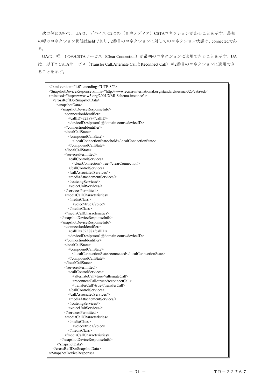次の例において、UAは、デバイスに2つの(音声メディア)CSTAコネクションがあることを示す。最初 の呼のコネクション状態はheldであり、2番目のコネクションに対してのコネクション状態は、connectedであ る。

UAは、唯一1つのCSTAサービス(Clear Connection)が最初のコネクションに適用できることを示す。UA は、以下のCSTAサービス (Transfer Call,Alternate CallとReconnect Call) が2番目のコネクションに適用でき ることを示す。

| xml version="1.0" encoding="UTF-8"?<br><snapshotdeviceresponse <br="" xmlns="http://www.ecma-international.org/standards/ecma-323/csta/ed3">xmlns:xsi="http://www.w3.org/2001/XMLSchema-instance"&gt;</snapshotdeviceresponse> |
|--------------------------------------------------------------------------------------------------------------------------------------------------------------------------------------------------------------------------------|
| <crossrefidorsnapshotdata></crossrefidorsnapshotdata>                                                                                                                                                                          |
| <snapshotdata></snapshotdata>                                                                                                                                                                                                  |
| <snapshotdeviceresponseinfo></snapshotdeviceresponseinfo>                                                                                                                                                                      |
| <connectionidentifier></connectionidentifier>                                                                                                                                                                                  |
| <callid>32387</callid>                                                                                                                                                                                                         |
| <deviceid>sip:tom1@domain.com</deviceid>                                                                                                                                                                                       |
|                                                                                                                                                                                                                                |
| <localcallstate></localcallstate>                                                                                                                                                                                              |
| <compoundcallstate></compoundcallstate>                                                                                                                                                                                        |
| <localconnectionstate>hold</localconnectionstate>                                                                                                                                                                              |
|                                                                                                                                                                                                                                |
|                                                                                                                                                                                                                                |
| <servicespermitted></servicespermitted>                                                                                                                                                                                        |
| <callcontrolservices><br/><clearconnection>true</clearconnection></callcontrolservices>                                                                                                                                        |
|                                                                                                                                                                                                                                |
| <callassociatedservices></callassociatedservices>                                                                                                                                                                              |
| <mediaattachementservices></mediaattachementservices>                                                                                                                                                                          |
| <routeingservices></routeingservices>                                                                                                                                                                                          |
| <voiceunitservices></voiceunitservices>                                                                                                                                                                                        |
|                                                                                                                                                                                                                                |
| <mediacallcharacteristics></mediacallcharacteristics>                                                                                                                                                                          |
| <mediaclass></mediaclass>                                                                                                                                                                                                      |
| <voice>true</voice>                                                                                                                                                                                                            |
|                                                                                                                                                                                                                                |
|                                                                                                                                                                                                                                |
|                                                                                                                                                                                                                                |
| <snapshotdeviceresponseinfo></snapshotdeviceresponseinfo>                                                                                                                                                                      |
| <connectionidentifier></connectionidentifier>                                                                                                                                                                                  |
| <callid>32388</callid>                                                                                                                                                                                                         |
| <deviceid>sip:tom1@domain.com</deviceid>                                                                                                                                                                                       |
|                                                                                                                                                                                                                                |
| <localcallstate></localcallstate>                                                                                                                                                                                              |
| <compoundcallstate></compoundcallstate>                                                                                                                                                                                        |
| <localconnectionstate>connected</localconnectionstate>                                                                                                                                                                         |
|                                                                                                                                                                                                                                |
|                                                                                                                                                                                                                                |
| <servicespermitted></servicespermitted>                                                                                                                                                                                        |
| <callcontrolservices></callcontrolservices>                                                                                                                                                                                    |
| <alternatecall>true</alternatecall>                                                                                                                                                                                            |
| <reconnectcall>true</reconnectcall>                                                                                                                                                                                            |
| <transfercall>true</transfercall><br>                                                                                                                                                                                          |
| <callassociatedservices></callassociatedservices>                                                                                                                                                                              |
| <mediaattachementservices></mediaattachementservices>                                                                                                                                                                          |
| <routeingservices></routeingservices>                                                                                                                                                                                          |
| <voiceunitservices></voiceunitservices>                                                                                                                                                                                        |
|                                                                                                                                                                                                                                |
| <mediacallcharacteristics></mediacallcharacteristics>                                                                                                                                                                          |
| <mediaclass></mediaclass>                                                                                                                                                                                                      |
| <voice>true</voice>                                                                                                                                                                                                            |
|                                                                                                                                                                                                                                |
|                                                                                                                                                                                                                                |
|                                                                                                                                                                                                                                |
|                                                                                                                                                                                                                                |
|                                                                                                                                                                                                                                |
|                                                                                                                                                                                                                                |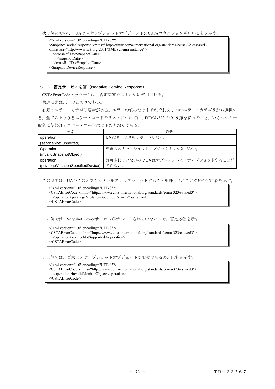次の例において、UAはスナップショットオブジェクトにCSTAコネクションがないことを示す。

<?xml version="1.0" encoding="UTF-8"?> <SnapshotDeviceResponse xmlns="http://www.ecma-international.org/standards/ecma-323/csta/ed3" xmlns:xsi="http://www.w3.org/2001/XMLSchema-instance"> <crossRefIDorSnapshotData> <snapshotData/> </crossRefIDorSnapshotData> </SnapshotDeviceResponse>

### 15.1.3 否定サービス応答(Negative Service Response)

CSTAErrorCodeメッセージは、否定応答を示すために使用される。

共通要素は以下のとおりである。

 必須のエラー・カテゴリ要素がある。エラーの値のセットそれぞれを 7 つのエラー・カテゴリから選択す る。全てのありうるエラー・コードのリストについては、ECMA-323 の 9.19 節を参照のこと。いくつかの一 般的に使われるエラー・コードは以下のとおりである。

| 要素                                  | 説明                                |
|-------------------------------------|-----------------------------------|
| operation                           | UA はサービスをサポートしない。                 |
| (serviceNotSupported)               |                                   |
| Operation                           | 要求のスナップショットオブジェクトは有効でない。          |
| (invalidSnapshotObject)             |                                   |
| operation                           | 許可されていないのでUAはオブジェクトにスナップショットすることが |
| (privilegeViolationSpecifiedDevice) | できない。                             |

この例では、UAがこのオブジェクトをスナップショットすることを許可されていない否定応答を示す。

- <?xml version="1.0" encoding="UTF-8"?>
- <CSTAErrorCode xmlns="http://www.ecma-international.org/standards/ecma-323/csta/ed3">
	- <operation>privilegeViolationSpecifiedDevice</operation>

</CSTAErrorCode>

この例では、Snapshot Deviceサービスがサポートされていないので、否定応答を示す。

<?xml version="1.0" encoding="UTF-8"?> <CSTAErrorCode xmlns="http://www.ecma-international.org/standards/ecma-323/csta/ed3"> <operation>serviceNotSupported</operation> </CSTAErrorCode>

この例では、要求のスナップショットオブジェクトが無効である否定応答を示す。

<?xml version="1.0" encoding="UTF-8"?>

<CSTAErrorCode xmlns="http://www.ecma-international.org/standards/ecma-323/csta/ed3"> <operation>invalidMonitorObject</operation>

</CSTAErrorCode>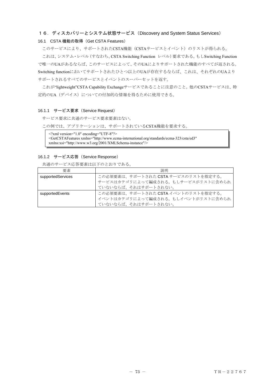# 16.ディスカバリーとシステム状態サービス(Discovery and System Status Services)

#### 16.1 CSTA 機能の取得 (Get CSTA Features)

このサービスにより、サポートされたCSTA機能(CSTAサービスとイベント)のリストが得られる。

これは、システム・レベル(すなわち、CSTA Switching Function レベル)要求である。もしSwitching Function で唯一のUAがあるならば、このサービスによって、そのUAによりサポートされた機能のすべてが返される。 Switching functionにおいてサポートされたひとつ以上のUAが存在するならば、これは、それぞれのUAより サポートされるすべてのサービスとイベントのスーパーセットを返す。

これが"lightweight"CSTA Capability Exchangeサービスであることに注意のこと。他のCSTAサービスは、特 定的のUA(デバイス)についての付加的な情報を得るために使用できる。

#### 16.1.1 サービス要求 (Service Request)

サービス要求に共通のサービス要求要素はない。

この例では、アプリケーションは、サポートされているCSTA機能を要求する。

 $\leq$ ?xml version="1.0" encoding="UTF-8"?> <GetCSTAFeatures xmlns="http://www.ecma-international.org/standards/ecma-323/csta/ed3" xmlns:xsi="http://www.w3.org/2001/XMLSchema-instance"/>

#### 16.1.2 サービス応答(Service Response)

共通のサービス応答要素は以下のとおりである。

| 要素                | 説明                                  |
|-------------------|-------------------------------------|
| supportedServices | この必須要素は、サポートされた CSTA サービスのリストを指定する。 |
|                   | サービスはカテゴリによって編成される。もしサービスがリストに含められ  |
|                   | ていないならば、それはサポートされない。                |
| supportedEvents   | この必須要素は、サポートされた CSTA イベントのリストを指定する。 |
|                   | イベントはカテゴリによって編成される。もしイベントがリストに含められ  |
|                   | ていないならば、それはサポートされない。                |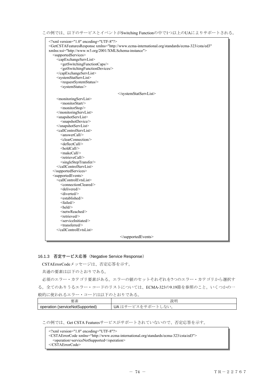| xml version="1.0" encoding="UTF-8"?<br><getcstafeaturesresponse <br="" xmlns="http://www.ecma-international.org/standards/ecma-323/csta/ed3">xmlns:xsi="http://www.w3.org/2001/XMLSchema-instance"&gt;<br/><supportedservices><br/><capexchangeservlist><br/><getswitchingfunctioncaps></getswitchingfunctioncaps><br/><getswitchingfunctiondevices></getswitchingfunctiondevices></capexchangeservlist></supportedservices></getcstafeaturesresponse>                                                                                                                                                                                                                                                                                                                                                                                                                                                                                  |
|-----------------------------------------------------------------------------------------------------------------------------------------------------------------------------------------------------------------------------------------------------------------------------------------------------------------------------------------------------------------------------------------------------------------------------------------------------------------------------------------------------------------------------------------------------------------------------------------------------------------------------------------------------------------------------------------------------------------------------------------------------------------------------------------------------------------------------------------------------------------------------------------------------------------------------------------|
| <br><systemstatservlist><br/><requestsystemstatus></requestsystemstatus><br/><systemstatus></systemstatus></systemstatservlist>                                                                                                                                                                                                                                                                                                                                                                                                                                                                                                                                                                                                                                                                                                                                                                                                         |
|                                                                                                                                                                                                                                                                                                                                                                                                                                                                                                                                                                                                                                                                                                                                                                                                                                                                                                                                         |
| <monitoringservlist><br/><monitorstart></monitorstart><br/><monitorstop></monitorstop><br/></monitoringservlist><br><snapshotservlist><br/><snapshotdevice></snapshotdevice><br/></snapshotservlist><br><callcontrolservlist><br/><answercall></answercall><br/><clearconnection></clearconnection><br/><deflectcall></deflectcall><br/><holdcall></holdcall><br/><makecall></makecall><br/><retrievecall<br><singlesteptransfer></singlesteptransfer><br/></retrievecall<br></callcontrolservlist><br><br><supportedevents><br/><callcontrolevtslist><br/><connectioncleared></connectioncleared><br/><delivered></delivered><br/><diverted></diverted><br/><established></established><br/><failed></failed><br/><math>\leq</math>held<math>\geq</math><br/><netwreached></netwreached><br/><retrieved></retrieved><br/><serviceinitiated></serviceinitiated><br/><transferred></transferred></callcontrolevtslist></supportedevents> |
|                                                                                                                                                                                                                                                                                                                                                                                                                                                                                                                                                                                                                                                                                                                                                                                                                                                                                                                                         |
|                                                                                                                                                                                                                                                                                                                                                                                                                                                                                                                                                                                                                                                                                                                                                                                                                                                                                                                                         |

### 16.1.3 否定サービス応答(Negative Service Response)

CSTAErrorCodeメッセージは、否定応答を示す。

共通の要素は以下のとおりである。

必須のエラー・カテゴリ要素がある。エラーの値のセットそれぞれを7つのエラー・カテゴリから選択す る。全てのありうるエラー・コードのリストについては、ECMA-323の9.19節を参照のこと。いくつかの一 般的に使われるエラー・コードは以下のとおりである。

| 西<br>$\sim$ 213 $-$                   | 長光 口目<br>-<br>叽                                                                    |
|---------------------------------------|------------------------------------------------------------------------------------|
| an (serviceNotSupported)<br>operatior | ↘<br>$\mathbf{r}$<br>.<br>$\sim$ $\sim$<br>$\sim$<br>—<br>$\overline{\phantom{0}}$ |

この例では、Get CSTA Featuresサービスがサポートされていないので、否定応答を示す。

<?xml version="1.0" encoding="UTF-8"?>

<CSTAErrorCode xmlns="http://www.ecma-international.org/standards/ecma-323/csta/ed3">

<operation>serviceNotSupported</operation>

</CSTAErrorCode>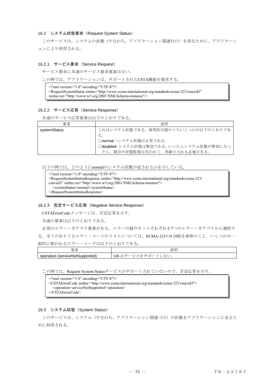#### 16.2 システム状態要求(Request System Status)

 このサービスは、システムの状態(すなわち、アプリケーション関連付け)を得るために、アプリケーシ ョンにより利用される。

#### 16.2.1 サービス要求 (Service Request)

サービス要求に共通のサービス要求要素はない。

この例では、アプリケーションは、サポートされたCSTA機能を要求する。

 $\leq$ ?xml version="1.0" encoding="UTF-8"?>

<RequestSystemStatus xmlns="http://www.ecma-international.org/standards/ecma-323/csta/ed3" xmlns:xsi="http://www.w3.org/2001/XMLSchema-instance"/>

#### 16.2.2 サービス応答(Service Response)

共通のサービス応答要素は以下のとおりである。

| 要素           | 説明                                      |
|--------------|-----------------------------------------|
| systemStatus | これはシステム状態である。典型的な値のうちいくつかが以下のとおりであ      |
|              | る。                                      |
|              | ○normal -システム状態は正常である。                  |
|              | Odisabled-システム状態は無効である。いったんシステム状態が無効になっ |
|              | たら、既存の状態監視は失われて、再確立される必要がある。            |

以下の例では、どのようにnormalのシステム状態が返されるかを示している。

| $\gamma$ \times $\gamma$ \times \text{\math}\$ \times \text{\math}\$ \times \text{\math}\$ \times \text{\math}\$ \text{\math}\$ \text{\math}\$ \text{\math}\$ \text{\math}\$ \text{\math}\$ \text{\math}\$ \text{\math}\$ \text{\math}\$ \text{\m                        |
|--------------------------------------------------------------------------------------------------------------------------------------------------------------------------------------------------------------------------------------------------------------------------|
| <requestsystemstatusresponse xmlns="http://www.ecma-international.org/standards/ecma-323/&lt;/td&gt;&lt;/tr&gt;&lt;tr&gt;&lt;td&gt;&lt;math&gt;\text{csta}/\text{ed3}&lt;/math&gt;" xmlns:xsi="http://www.w3.org/2001/XMLSchema-instance"></requestsystemstatusresponse> |
| <systemstatus>normal</systemstatus>                                                                                                                                                                                                                                      |
| $\langle$ RequestSystemStatusResponse>                                                                                                                                                                                                                                   |

### 16.2.3 否定サービス応答(Negative Service Response)

CSTAErrorCodeメッセージは、否定応答を示す。

共通の要素は以下のとおりである。

必須のエラー・カテゴリ要素がある。エラーの値のセットそれぞれを7つのエラー・カテゴリから選択す る。全てのありうるエラー・コードのリストについては、ECMA-323の9.19節を参照のこと。いくつかの一

般的に使われるエラー・コードは以下のとおりである。

| 西<br>__<br>. 개인                              | 説明                                                                 |
|----------------------------------------------|--------------------------------------------------------------------|
| operation<br>∄serviceNot<br>pported.<br>Supr | э.<br>اں<br>$\sim$<br>⊸<br>◡<br>$\sim$<br>$\overline{\phantom{0}}$ |

この例では、Request System Statusサービスがサポートされていないので、否定応答を示す。

```
<?xml version="1.0" encoding="UTF-8"?> 
<CSTAErrorCode xmlns="http://www.ecma-international.org/standards/ecma-323/csta/ed3"> 
  <operation>serviceNotSupported</operation> 
</CSTAErrorCode>
```
#### 16.3 システム状態 (System Status)

 このサービスは、システム(すなわち、アプリケーション関連づけ)の状態をアプリケーションに送るた めに利用される。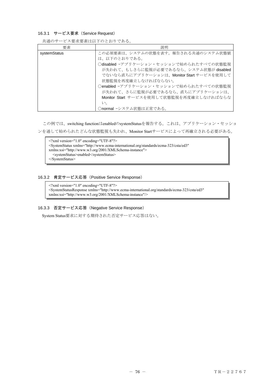## 16.3.1 サービス要求 (Service Request)

共通のサービス要求要素は以下のとおりである。

| 要素           | 説明                                        |
|--------------|-------------------------------------------|
| systemStatus | この必須要素は、システムの状態を表す。報告される共通のシステム状態値        |
|              | は、以下のとおりである。                              |
|              | ○disabled -アプリケーション・セッションで始められたすべての状態監視   |
|              | が失われて、もしさらに監視が必要であるなら、システム状態が disabled    |
|              | でないなら直ちにアプリケーションは、Monitor Start サービスを使用して |
|              | 状熊監視を再度確立しなければならない。                       |
|              | ○enabled -アプリケーション・セッションで始められたすべての状態監視    |
|              | が失われて、さらに監視が必要であるなら、直ちにアプリケーションは、         |
|              | Monitor Start サービスを使用して状態監視を再度確立しなければならな  |
|              | い。                                        |
|              | ○normal -システム状態は正常である。                    |

この例では、switching functionはenabledのsystemStatusを報告する。これは、アプリケーション・セッショ ンを通して始められたどんな状態監視も失われ、Monitor Startサービスによって再確立される必要がある。

<?xml version="1.0" encoding="UTF-8"?> <SystemStatus xmlns="http://www.ecma-international.org/standards/ecma-323/csta/ed3" xmlns:xsi="http://www.w3.org/2001/XMLSchema-instance"> <systemStatus>enabled</systemStatus> </SystemStatus>

#### 16.3.2 肯定サービス応答(Positive Service Response)

 $\leq$ ?xml version="1.0" encoding="UTF-8"?> <SystemStatusResponse xmlns="http://www.ecma-international.org/standards/ecma-323/csta/ed3" xmlns:xsi="http://www.w3.org/2001/XMLSchema-instance"/>

### 16.3.3 否定サービス応答(Negative Service Response)

System Status要求に対する期待された否定サービス応答はない。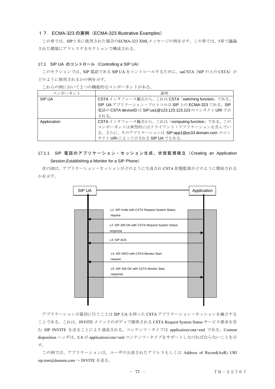#### 17.ECMA-323 の実例(ECMA-323 lllustrative Examples)

 この章では、SIPと共に使用された場合のECMA-323 XMLメッセージの例を示す。この章では、5章で議論 された環境にアドレスするセクションで構成される。

### 17.1 SIP UA のコントロール(Controlling a SIP UA)

このセクションでは、SIP 電話である SIP UA をコントロールするために、uaCSTA (SIP の上の CSTA) が どのように使用されるかの例を示す。

これらの例において 2 つの機能的なコンポーネントがある。

| コンポーネント     | 説明                                                        |  |
|-------------|-----------------------------------------------------------|--|
| SIP UA      | CSTA インタフェース観点から、これは CSTA「switching function」である。         |  |
|             | SIP UA アプリケーション・プロトコルは SIP 上の ECMA-323 である。SIP            |  |
|             | 電話の CSTA deviceID は SIP:ua1@123,123.123.123 のコンタクト URI で示 |  |
|             | される。                                                      |  |
| Appkication | CSTAインタフェース観点から、これは「computing function」である。この             |  |
|             | コンポーネントは典型的にはクライアント・アプリケーションを含んでい                         |  |
|             | る。さらに、そのアプリケーションは SIP:app1@pc33.domain.com のコン            |  |
|             | タクト URI によって示される SIP UA でもある。                             |  |

# 17.1.1 SIP 電話のアプリケーション・セッション生成、状態監視確立(Creating an Application Session,Establishing a Monitor for a SIP Phone)

 次の図は、アプリケーション・セッションがどのように生成され CSTA 状態監視がどのように開始される かを示す。



 アプリケーションが最初に行うことは SIP UA を持った CSTA アプリケーション・セッションを確立する ことである。これは、INVITE メソッドのボディで提供される CSTA Request System Status サービス要求を含 む SIP INVITE を送ることにより達成される。コンテンツ・タイプは application/csta+xml である。Content disposition ヘッダは、UA が application/csta+xml コンテンツ・タイプをサポートしなければならないことを示 す。

 この例では、アプリケーションは、ユーザの公表されたアドレスもしくは Address of Record(AoR) URI sip:tom@domain.com へ INVITE を送る。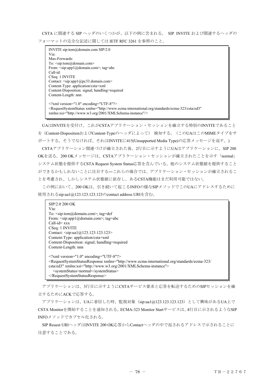CSTA に関連する SIP ヘッダのいくつかが、以下の例に含まれる。 SIP INVITE および関連するヘッダの フォーマットの完全な記述に関しては IETF RFC 3261 を参照のこと。

INVITE sip:tom@domain.com SIP/2.0 Via: Max-Forwards: To: <sip:tom@domain.com> From: <sip:app1@domain.com>; tag=abc Call-id: CSeq: 1 INVITE Contact: <sip:app1@pc33.domain.com> Content-Type: application/csta+xml Content-Disposition: signal; handling=required Content-Length: nnn  $\leq$ ?xml version="1.0" encoding="UTF-8"?> <RequestSystemStatus xmlns="http://www.ecma-international.org/standards/ecma-323/csta/ed3" xmlns:xsi="http://www.w3.org/2001/XMLSchema-instance"/>

UAはINVITEを受付け、これがCSTAアプリケーション・セッションを確立する特別のINVITEであること を(Content-DispositionおよびContent-Typeのヘッダによって) 検知する。(このUAはこのMIMEタイプをサ ポートする。そうでなければ、それはINVITEに415(Unsupported Media Type)の応答メッセージを返す。) CSTAアプリケーション関連づけが確立された後、2行目に示すようにUAはアプリケーションに、SIP 200 OKを送る。200 OKメッセージは、CSTAアプリケーション・セッションが確立されたことを示す「normal」 システム状態を提供するCSTA Request System Status応答を含んでいる。他のシステム状態値を提供すること ができるかもしれないことに注目する―これらの場合では、アプリケーション・セッションが確立されるこ とを考慮され、しかしシステム状態値に依存し、あるCSTA機能はまだ利用可能ではない。

この例において、200 OKは、引き続いて起こるINFOの様なSIPメソッドでこのUAにアドレスするために 使用されるsip:ua1@123.123.123.123のcontact address URIを含む。

| SIP/2.0 200 OK                                                                                                                                                                                                                                                                                 |  |
|------------------------------------------------------------------------------------------------------------------------------------------------------------------------------------------------------------------------------------------------------------------------------------------------|--|
| Via:                                                                                                                                                                                                                                                                                           |  |
| To: $\langle$ sip:tom@domain.com>; tag=def                                                                                                                                                                                                                                                     |  |
| From: $\langle$ sip:app1@domain.com>; tag=abc                                                                                                                                                                                                                                                  |  |
| $Call-id=xxx$                                                                                                                                                                                                                                                                                  |  |
| CSeq: 1 INVITE                                                                                                                                                                                                                                                                                 |  |
| Contact: $\langle$ sip:ua1@123.123.123.123>                                                                                                                                                                                                                                                    |  |
| Content-Type: application/csta+xml                                                                                                                                                                                                                                                             |  |
| Content-Disposition: signal; handling=required                                                                                                                                                                                                                                                 |  |
| Content-Length: nnn                                                                                                                                                                                                                                                                            |  |
| $\leq$ ?xml version="1.0" encoding="UTF-8"?><br><requestsystemstatusresponse xmlns="http://www.ecma-international.org/standards/ecma-323/&lt;br&gt;csta/ed3" xmlns:xsi="http://www.w3.org/2001/XMLSchema-instance"><br/><systemstatus>normal</systemstatus><br/></requestsystemstatusresponse> |  |

 アプリケーションは、3行目に示すようにCSTAサービス要求と応答を転送するためのSIPセッションを確 立するためにACKで応答する。

アプリケーションは、UAに着信した時、監視対象(sip:ua1@123.123.123.123)として興味があるUA上で CSTA Monitorを開始することを通知される。ECMA-323 Monitor Startサービスは、4行目に示されるようなSIP INFOメソッドでカプセル化される。

 SIP Reuest URIヘッダはINVITE 200 OK応答からContactヘッダの中で返されるアドレスで示されることに 注意することである。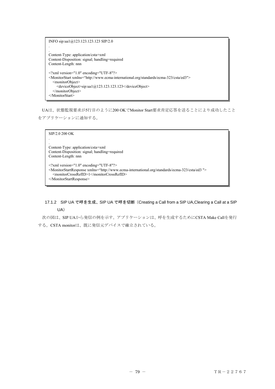INFO sip:ua1@123.123.123.123 SIP/2.0 . . Content-Type: application/csta+xml Content-Disposition: signal; handling=required Content-Length: nnn <?xml version="1.0" encoding="UTF-8"?> <MonitorStart xmlns="http://www.ecma-international.org/standards/ecma-323/csta/ed3"> <monitorObject> <deviceObject>sip:ua1@123.123.123.123</deviceObject> </monitorObject> </MonitorStart>

UAは、状態監視要求が5行目のように200 OKでMonitor Start要求肯定応答を送ることにより成功したこと をアプリケーションに通知する。

SIP/2.0 200 OK . . Content-Type: application/csta+xml Content-Disposition: signal; handling=required Content-Length: nnn  $\leq$ ?xml version="1.0" encoding="UTF-8"?> <MonitorStartResponse xmlns="http://www.ecma-international.org/standards/ecma-323/csta/ed3 "> <monitorCrossRefID>1</monitorCrossRefID> </MonitorStartResponse>

# 17.1.2 SIP UA で呼を生成、SIP UA で呼を切断(Creating a Call from a SIP UA,Clearing a Call at a SIP UA)

 次の図は、SIP UAから発信の例を示す。アプリケーションは、呼を生成するためにCSTA Make Callを発行 する。CSTA monitorは、既に発信元デバイスで確立されている。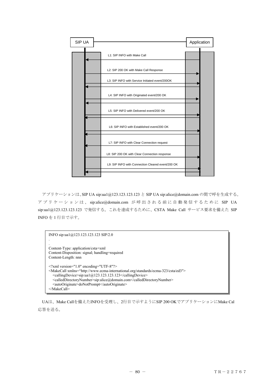

 アプリケーションは、SIP UA sip:ua1@123.123.123.123 と SIP UA sip:alice@domain.com の間で呼を生成する。 アプリケーションは、 sip:alice@domain.com が呼出される前に自動発信するために SIP UA sip:ua1@123.123.123.123 で発信する。これを達成するために、CSTA Make Call サービス要求を備えた SIP INFO を 1 行目で示す。

INFO sip:ua1@123.123.123.123 SIP/2.0 . . Content-Type: application/csta+xml Content-Disposition: signal; handling=required Content-Length: nnn <?xml version="1.0" encoding="UTF-8"?> <MakeCall xmlns="http://www.ecma-international.org/standards/ecma-323/csta/ed3"> <callingDevice>sip:ua1@123.123.123.123</callingDevice> <calledDirectoryNumber>sip:alice@domain.com</calledDirectoryNumber> <autoOriginate>doNotPrompt</autoOriginate> </MakeCall>

UAは、Make Callを備えたINFOを受理し、2行目で示すようにSIP 200 OKでアプリケーションにMake Cal 応答を送る。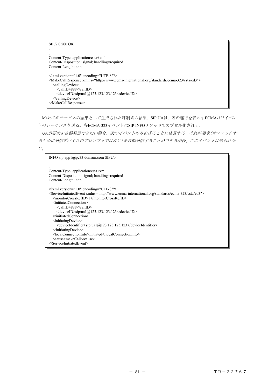| SIP/2.0 200 OK                                                                                              |
|-------------------------------------------------------------------------------------------------------------|
|                                                                                                             |
| Content-Type: application/csta+xml                                                                          |
| Content-Disposition: signal; handling=required                                                              |
| Content-Length: nnn                                                                                         |
|                                                                                                             |
| $\leq$ ?xml version="1.0" encoding="UTF-8"?>                                                                |
| <makecallresponse xmlns="http://www.ecma-international.org/standards/ecma-323/csta/ed3"></makecallresponse> |
| <callingdevice></callingdevice>                                                                             |
| $\leq$ callID>888 $\leq$ callID>                                                                            |
| $\le$ deviceID $>$ sip:ua1@123.123.123.123 $\le$ /deviceID $>$                                              |
| $\le$ /callingDevice>                                                                                       |
|                                                                                                             |
|                                                                                                             |

Make Callサービスの結果として生成された呼制御の結果、SIP UAは、呼の進行を表わすECMA-323イベン トのシーケンスを送る。各ECMA-323イベントはSIP INFOメソッドでカプセル化される。

*UA*が要求を自動発信できない場合、次のイベントのみを送ることに注目する。それが要求(オフフックす るために発信デバイスのプロンプトではない)を自動発信することができる場合、このイベントは送られな  $\mathcal{V}_o$ 

```
INFO sip:app1@pc33.domain.com SIP2/0 
. 
. 
Content-Type: application/csta+xml 
Content-Disposition: signal; handling=required 
Content-Length: nnn 
<?xml version="1.0" encoding="UTF-8"?> 
<ServiceInitiatedEvent xmlns="http://www.ecma-international.org/standards/ecma-323/csta/ed3"> 
  <monitorCrossRefID>1</monitorCrossRefID> 
  <initiatedConnection> 
     <callID>888</callID> 
     <deviceID>sip:ua1@123.123.123.123</deviceID> 
  </initiatedConnection> 
  <initiatingDevice> 
     <deviceIdentifier>sip:ua1@123.123.123.123</deviceIdentifier> 
  </initiatingDevice> 
  <localConnectionInfo>initiated</localConnectionInfo> 
  <cause>makeCall</cause> 
</ServiceInitiatedEvent>
```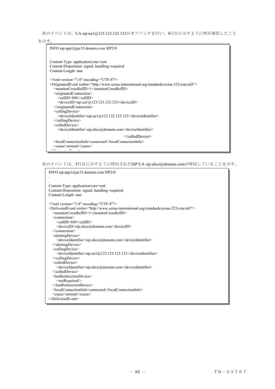次のイベントは、UA sip:ua1@123.123.123.123がオフフックを行い、4行目に示すように呼が発信したこと

を示す。

```
INFO sip:app1@pc33.domain.com SIP2/0 
. 
. 
Content-Type: application/csta+xml 
Content-Disposition: signal; handling=required 
Content-Length: nnn 
<?xml version="1.0" encoding="UTF-8"?> 
<OriginatedEvent xmlns="http://www.ecma-international.org/standards/ecma-323/csta/ed3"> 
  <monitorCrossRefID>1</monitorCrossRefID> 
  <originatedConnection> 
     <callID>888</callID> 
     \leqdeviceID>sip:ua1@123.123.123.123\leq/deviceID></originatedConnection> 
  <callingDevice> 
     <deviceIdentifier>sip:ua1@123.123.123.123</deviceIdentifier> 
  </callingDevice> 
  <calledDevice> 
     <deviceIdentifier>sip:alice@domain.com</deviceIdentifier> 
                                                 </calledDevice> 
  <localConnectionInfo>connected</localConnectionInfo> 
  <cause>normal</cause> 
\frac{1}{2} in the set of \frac{1}{2} in the term \frac{1}{2} in the set of \frac{1}{2}
```
次のイベントは、5行目に示すように呼出されたSIP UA sip:alice@domain.comが呼出していることを示す。

```
INFO sip:app1@pc33.domain.com SIP2/0 
. 
. 
Content-Type: application/csta+xml 
Content-Disposition: signal; handling=required 
Content-Length: nnn 
<?xml version="1.0" encoding="UTF-8"?> 
<DeliveredEvent xmlns="http://www.ecma-international.org/standards/ecma-323/csta/ed3"> 
  <monitorCrossRefID>1</monitorCrossRefID> 
  <connection> 
     <callID>888</callID> 
     <deviceID>sip:alice@domain.com</deviceID> 
  </connection> 
  <alertingDevice> 
     <deviceIdentifier>sip:alice@domain.com</deviceIdentifier> 
  </alertingDevice> 
  <callingDevice> 
     <deviceIdentifier>sip:ua1@123.123.123.123</deviceIdentifier> 
  </callingDevice> 
  <calledDevice> 
     <deviceIdentifier>sip:alice@domain.com</deviceIdentifier> 
  </calledDevice> 
  <lastRedirectionDevice> 
     <notRequired/> 
  </lastRedirectionDevice> 
  <localConnectionInfo>connected</localConnectionInfo> 
  <cause>normal</cause> 
</DeliveredEvent>
```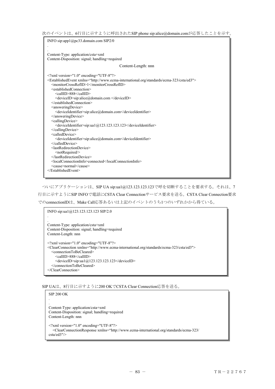次のイベントは、6行目に示すように呼出されたSIP phone sip:alice@domain.comが応答したことを示す。

| INFO sip:app1@pc33.domain.com SIP2/0                                                                        |  |
|-------------------------------------------------------------------------------------------------------------|--|
|                                                                                                             |  |
|                                                                                                             |  |
| Content-Type: application/csta+xml                                                                          |  |
| Content-Disposition: signal; handling=required                                                              |  |
| Content-Length: nnn                                                                                         |  |
| $\leq$ ?xml version="1.0" encoding="UTF-8"?>                                                                |  |
| <establishedevent xmlns="http://www.ecma-international.org/standards/ecma-323/csta/ed3"></establishedevent> |  |
| <monitorcrossrefid>1</monitorcrossrefid>                                                                    |  |
| <establishedconnection></establishedconnection>                                                             |  |
| <callid>888</callid>                                                                                        |  |
| <deviceid>sip:alice@domain.com </deviceid>                                                                  |  |
|                                                                                                             |  |
| <answeringdevice></answeringdevice>                                                                         |  |
| <deviceidentifier>sip:alice@domain.com</deviceidentifier>                                                   |  |
|                                                                                                             |  |
| <callingdevice></callingdevice>                                                                             |  |
| $\leq$ deviceIdentifier>sip:ua1@123.123.123.123 $\leq$ /deviceIdentifier>                                   |  |
| <br><calleddevice></calleddevice>                                                                           |  |
| <deviceidentifier>sip:alice@domain.com</deviceidentifier>                                                   |  |
|                                                                                                             |  |
| $\leq$ lastRedirectionDevice>                                                                               |  |
| <notrequired></notrequired>                                                                                 |  |
|                                                                                                             |  |
| <localconnectioninfo>connected</localconnectioninfo>                                                        |  |
| <cause>normal</cause>                                                                                       |  |
|                                                                                                             |  |
|                                                                                                             |  |

 ついにアプリケーションは、SIP UA sip:ua1@123.123.123.123で呼を切断することを要求する。それは、7 行目に示すようにSIP INFOで電話にCSTA Clear Connectionサービス要求を送る。CSTA Clear Connection要求 でのconnectionIDは、Make Call応答あるいは上記のイベントのうち1つのいずれかから得ている。

INFO sip:ua1@123.123.123.123 SIP/2.0 . . Content-Type: application/csta+xml Content-Disposition: signal; handling=required Content-Length: nnn <?xml version="1.0" encoding="UTF-8"?> <ClearConnection xmlns="http://www.ecma-international.org/standards/ecma-323/csta/ed3"> <connectionToBeCleared> <callID>888</callID> <deviceID>sip:ua1@123.123.123.123</deviceID> </connectionToBeCleared> </ClearConnection>

SIP UAは、8行目に示すように200 OKでCSTA Clear Connection応答を送る。

```
SIP 200 OK 
. 
. 
Content-Type: application/csta+xml 
Content-Disposition: signal; handling=required 
Content-Length: nnn 
<?xml version="1.0" encoding="UTF-8"?> 
  <ClearConnectionResponse xmlns="http://www.ecma-international.org/standards/ecma-323/ 
csta/ed3"/>
```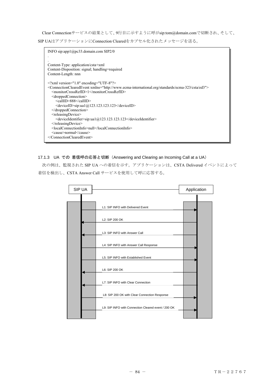Clear Connectionサービスの結果として、9行目に示すように呼がsip:tom@domain.comで切断され、そして、

SIP UAはアプリケーションにConnection Clearedをカプセル化されたメッセージを送る。

| INFO sip:app1@pc33.domain.com SIP2/0                                                                                    |
|-------------------------------------------------------------------------------------------------------------------------|
|                                                                                                                         |
|                                                                                                                         |
| Content-Type: application/csta+xml<br>Content-Disposition: signal; handling=required                                    |
| Content-Length: nnn                                                                                                     |
|                                                                                                                         |
| $\leq$ ?xml version="1.0" encoding="UTF-8"?>                                                                            |
| <connectionclearedevent xmlns="http://www.ecma-international.org/standards/ecma-323/csta/ed3"></connectionclearedevent> |
| <monitorcrossrefid>1</monitorcrossrefid>                                                                                |
| <droppedconnection><br/><callid>888</callid></droppedconnection>                                                        |
| $\le$ deviceID $>$ sip:ua1@123.123.123.123 $\le$ /deviceID $>$                                                          |
|                                                                                                                         |
| <releasingdevice></releasingdevice>                                                                                     |
| <deviceidentifier>sip:ua1@123.123.123.123</deviceidentifier>                                                            |
| $\le$ /releasingDevice>                                                                                                 |
| <localconnectioninfo>null</localconnectioninfo>                                                                         |
| <cause>normal</cause>                                                                                                   |
|                                                                                                                         |
|                                                                                                                         |

# 17.1.3 UA での 着信呼の応答と切断 (Answering and Clearing an Incoming Call at a UA)

次の例は、監視された SIP UA への着信を示す。アプリケーションは、CSTA Delivered イベントによって 着信を検出し、CSTA Answer Call サービスを使用して呼に応答する。

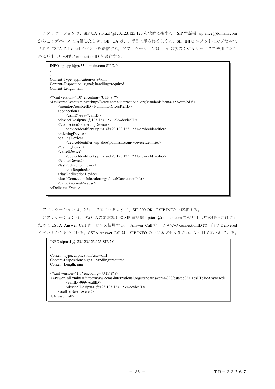アプリケーションは、SIP UA sip:ua1@123.123.123.123 を状態監視する。SIP 電話機 sip:alice@domain.com からこのデバイスに着信したとき、SIP UA は、1 行目に示されるように、SIP INFO メソッドにカプセル化 された CSTA Delivered イベントを送信する。アプリケーションは、 その後の CSTA サービスで使用するた めに呼出し中の呼の connectionID を保存する。

| INFO sip:app1@pc33.domain.com SIP/2.0                                                                                                                                                                                              |
|------------------------------------------------------------------------------------------------------------------------------------------------------------------------------------------------------------------------------------|
|                                                                                                                                                                                                                                    |
| Content-Type: application/csta+xml<br>Content-Disposition: signal; handling=required<br>Content-Length: nnn                                                                                                                        |
| $\leq$ ?xml version="1.0" encoding="UTF-8"?><br><deliveredevent xmlns="http://www.ecma-international.org/standards/ecma-323/csta/ed3"><br/><monitorcrossrefid>1</monitorcrossrefid><br/><connection></connection></deliveredevent> |
| <callid>999</callid>                                                                                                                                                                                                               |
| $\le$ deviceID $>$ sip:ua1@123.123.123.123 $\le$ /deviceID $>$                                                                                                                                                                     |
| <alertingdevice></alertingdevice>                                                                                                                                                                                                  |
| <deviceidentifier>sip:ua1@123.123.123.123</deviceidentifier>                                                                                                                                                                       |
| $\triangle$ /alertingDevice>                                                                                                                                                                                                       |
| <callingdevice></callingdevice>                                                                                                                                                                                                    |
| <deviceidentifier>sip:alice@domain.com</deviceidentifier>                                                                                                                                                                          |
| $\le$ /callingDevice>                                                                                                                                                                                                              |
| <calleddevice></calleddevice>                                                                                                                                                                                                      |
| $\leq$ deviceIdentifier>sip:ua1@123.123.123.123 $\leq$ /deviceIdentifier>                                                                                                                                                          |
| $\le$ /calledDevice>                                                                                                                                                                                                               |
| <lastredirectiondevice></lastredirectiondevice>                                                                                                                                                                                    |
| <notrequired></notrequired>                                                                                                                                                                                                        |
|                                                                                                                                                                                                                                    |
| <localconnectioninfo>alerting</localconnectioninfo>                                                                                                                                                                                |
| <cause>normal</cause>                                                                                                                                                                                                              |
|                                                                                                                                                                                                                                    |
|                                                                                                                                                                                                                                    |

アプリケーションは、2 行目で示されるように、SIP 200 OK で SIP INFO へ応答する。

アプリケーションは、手動介入の要求無しに SIP 電話機 sip:tom@domain.com での呼出し中の呼へ応答する ために CSTA Answer Call サービスを使用する。 Answer Call サービスでの connectionID は、前の Delivered イベントから取得される。CSTA Answer Call は、SIP INFO の中にカプセル化され、3 行目で示されている。

```
INFO sip:ua1@123.123.123.123 SIP/2.0 
. 
. 
Content-Type: application/csta+xml 
Content-Disposition: signal; handling=required 
Content-Length: nnn 
\leq?xml version="1.0" encoding="UTF-8"?>
<AnswerCall xmlns="http://www.ecma-international.org/standards/ecma-323/csta/ed3"> <callToBeAnswered> 
          <callID>999</callID> 
         \leqdeviceID>sip:ua1@123.123.123.123\leq/deviceID>
      </callToBeAnswered> 
</AnswerCall>
```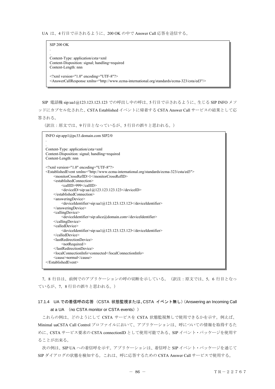UA は、4 行目で示されるように、200 OK の中で Answer Call 応答を送信する。

SIP 200 OK . . Content-Type: application/csta+xml Content-Disposition: signal; handling=required Content-Length: nnn <?xml version="1.0" encoding="UTF-8"?> <AnswerCallResponse xmlns="http://www.ecma-international.org/standards/ecma-323/csta/ed3"/>

SIP 電話機 sip:ua1@123.123.123.123 での呼出し中の呼は、5 行目で示されるように、生じる SIP INFO メソ ッドにカプセル化された、CSTA Established イベントに帰着する CSTA Answer Call サービスの結果として応 答される。

(訳注:原文では、9 行目となっているが、5 行目の誤りと思われる。)

| INFO sip:app1@pc33.domain.com SIP2/0                                                                        |
|-------------------------------------------------------------------------------------------------------------|
|                                                                                                             |
|                                                                                                             |
| Content-Type: application/csta+xml<br>Content-Disposition: signal; handling=required                        |
| Content-Length: nnn                                                                                         |
|                                                                                                             |
| $\leq$ ?xml version="1.0" encoding="UTF-8"?>                                                                |
| <establishedevent xmlns="http://www.ecma-international.org/standards/ecma-323/csta/ed3"></establishedevent> |
| <monitorcrossrefid>1</monitorcrossrefid>                                                                    |
| <establishedconnection></establishedconnection>                                                             |
| <callid>999</callid>                                                                                        |
| <deviceid>sip:ua1@123.123.123.123</deviceid>                                                                |
| $\le$ /establishedConnection>                                                                               |
| <answeringdevice></answeringdevice>                                                                         |
| <deviceidentifier>sip:ua1@123.123.123.123</deviceidentifier>                                                |
| $\leq$ answeringDevice>                                                                                     |
| <callingdevice></callingdevice>                                                                             |
| <deviceidentifier>sip:alice@domain.com</deviceidentifier>                                                   |
| $\le$ /callingDevice><br><calleddevice></calleddevice>                                                      |
| $\leq$ deviceIdentifier>sip:ua1@123.123.123.123 $\leq$ /deviceIdentifier>                                   |
|                                                                                                             |
| <lastredirectiondevice></lastredirectiondevice>                                                             |
| <notrequired></notrequired>                                                                                 |
|                                                                                                             |
| <localconnectioninfo>connected</localconnectioninfo>                                                        |
| <cause>normal</cause>                                                                                       |
|                                                                                                             |
|                                                                                                             |

7,8 行目は、前例でのアプリケーションの呼の切断を示している。(訳注:原文では、5,6 行目となっ ているが、7,8 行目の誤りと思われる。)

# 17.1.4 UA での着信呼の応答(CSTA 状態監視または、CSTA イベント無し)(Answering an Incoming Call at a UA (no CSTA monitor or CSTA events))

これらの例は、どのようにして CSTA サービスを CSTA 状態監視無しで使用できるかを示す。例えば、 Minimal uaCSTA Call Control プロファイルにおいて、アプリケーションは、呼についての情報を取得するた めに、CSTA サービス要求の CSTA connectionID として使用可能である、SIP イベント・パッケージを使用す ることが出来る。

次の例は、SIP UA への着信呼を示す。アプリケーションは、着信呼と SIP イベント・パッケージを通じて SIP ダイアログの状態を検知する。これは、呼に応答するための CSTA Answer Call サービスで使用する。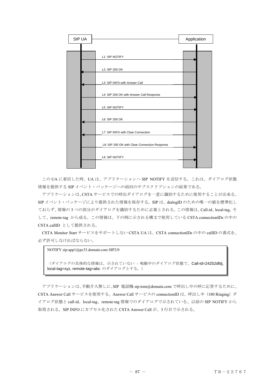| SIP UA |                                               | Application |
|--------|-----------------------------------------------|-------------|
|        |                                               |             |
|        | L1: SIP NOTIFY                                |             |
|        | L2: SIP 200 OK                                |             |
|        | L3: SIP INFO with Answer Call                 |             |
|        | L4: SIP 200 OK with Answer Call Response      |             |
|        | L5: SIP NOTIFY                                |             |
|        | L6: SIP 200 OK                                |             |
|        | L7: SIP INFO with Clear Connection            |             |
|        | L8: SIP 200 OK with Clear Connection Response |             |
|        | L9: SIP NOTIFY                                |             |
|        |                                               |             |

この UA に着信した時、UA は、アプリケーションへ SIP NOTIFY を送信する。これは、ダイアログ状態 情報を提供する SIP イベント・パッケージへの前回のサブスクリプションの結果である。

アプリケーションは、CSTA サービスでの呼出ダイアログを一意に識別するために使用することが出来る、 SIP イベント・パッケージにより提供された情報を保存する。SIP は、dialogID のための唯一の値を標準化し ておらず、情報の 3 つの部分がダイアログを識別するために必要とされる。この情報は、Call-id、local-tag, そ して、remote-tag から成る。この情報は、下の例に示される構文で使用している CSTA connectionIDs の中の CSTA callID として提供される。

CSTA Monitor Start サービスをサポートしない CSTA UA は、CSTA connectionIDs の中の callID の書式を、 必ず許可しなければならない。

NOTIFY sip:app1@pc33.domain.com SIP2/0

(ダイアログの具体的な情報は、示されていない - 鳴動中のダイアログ状態で、Call-Id=24252dfdj, local-tag=xyz, remote-tag=abc のダイアログとする。)

アプリケーションは、手動介入無しに、SIP 電話機 sip:tom@domain.com で呼出し中の呼に応答するために、 CSTA Answer Call サービスを使用する。Answer Call サービスの connectionID は、呼出し中(180 Ringing)ダ イアログ状態と call-id、local-tag、remote-tag 情報でのダイアログで示されている、以前の SIP NOTIFY から 取得される。SIP INFO にカプセル化された CSTA Answer Call が、3 行目で示される。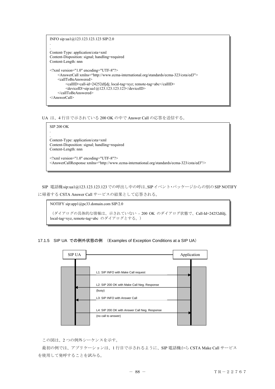```
INFO sip:ua1@123.123.123.123 SIP/2.0 
. 
. 
Content-Type: application/csta+xml 
Content-Disposition: signal; handling=required 
Content-Length: nnn 
\leq?xml version="1.0" encoding="UTF-8"?>
     <AnswerCall xmlns="http://www.ecma-international.org/standards/ecma-323/csta/ed3"> 
     <callToBeAnswered> 
          <callID>call-id=24252dfjdj; local-tag=xyz; remote-tag=abc</callID> 
         \leqdeviceID>sip:ua1@123.123.123.123\leq/deviceID>
     </callToBeAnswered> 
</AnswerCall>
```
UA は、4 行目で示されている 200 OK の中で Answer Call の応答を送信する。



SIP 電話機sip:ua1@123.123.123.123での呼出し中の呼は、SIPイベント・パッケージからの別のSIP NOTIFY に帰着する CSTA Answer Call サービスの結果として応答される。

NOTIFY sip:app1@pc33.domain.com SIP/2.0 (ダイアログの具体的な情報は、示されていない - 200 OK のダイアログ状態で、Call-Id=24252dfdj,

local-tag=xyz, remote-tag=abc のダイアログとする。)

## 17.1.5 SIP UA での例外状態の例 (Examples of Exception Conditions at a SIP UA)



この図は、2 つの例外シーケンスを示す。

最初の例では、アプリケーションは、1 行目で示されるように、SIP 電話機から CSTA Make Call サービス を使用して発呼することを試みる。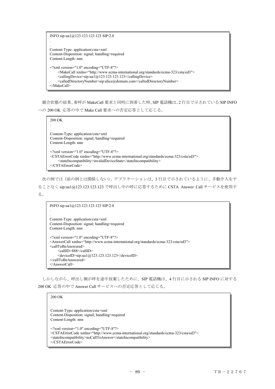```
INFO sip:ua1@123.123.123.123 SIP/2.0 
. 
. 
Content-Type: application/csta+xml 
Content-Disposition: signal; handling=required 
Content-Length: nnn 
<?xml version="1.0" encoding="UTF-8"?> 
      <MakeCall xmlns="http://www.ecma-international.org/standards/ecma-323/csta/ed3"> 
      <callingDevice>sip:ua1@123.123.123.123</callingDevice> 
      <calledDirectoryNumber>sip:alice@domain.com</calledDirectoryNumber> 
</MakeCall>
```
競合状態の結果、着呼が MakeCall 要求と同時に到着した時、SIP 電話機は、2 行目で示されている SIP INFO への 200 OK 応答の中で Make Call 要求への否定応答として応じる。



次の例では(前の例とは関係しない)、アプリケーションは、3 行目で示されているように、手動介入をす ることなく sip:ua1@123.123.123.123 で呼出し中の呼に応答するために CSTA Answer Call サービスを使用す る。

```
INFO sip:ua1@123.123.123.123 SIP/2.0 
. 
. 
Content-Type: application/csta+xml 
Content-Disposition: signal; handling=required 
Content-Length: nnn 
<?xml version="1.0" encoding="UTF-8"?> 
<AnswerCall xmlns="http://www.ecma-international.org/standards/ecma-323/csta/ed3"> 
<callToBeAnswered>
      <callID>888</callID> 
     \leqdeviceID>sip:ua1@123.123.123.123\leq/deviceID></callToBeAnswered> 
</AnswerCall>
```
しかしながら、呼出し側が呼を途中放棄したために、SIP 電話機は、4 行目に示される SIP INFO に対する 200 OK 応答の中で Answer Call サービスへの否定応答として応じる。

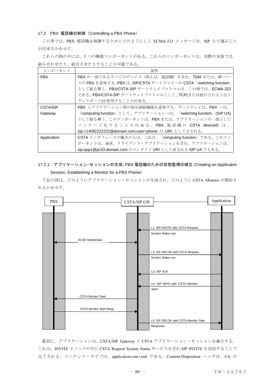#### 17.2 PBX 電話機の制御(Controlling a PBX Phone)

この章では、PBX 電話機を制御するためにどのようにして ECMA-323 メッセージを、SIP 上で運ぶこと が出来るかを示す。

これらの例の中には、3 つの機能コンポーネントがある。これらのコンポーネントは、実際の実装では、 組み合わせたり、統合させたりすることが可能である。

| コンポーネント         | 説明                                                              |
|-----------------|-----------------------------------------------------------------|
| <b>PBX</b>      | PBX の一部であるすべてのデバイス (例えば、電話機)を含む、TDM または、IP ベー                   |
|                 | スの PBX を意味する。PBX は、SIP/CSTA ゲートウェイへの CSTA「switching function」   |
|                 | として振る舞う。PBX/CSTA-SIP ゲートウェイプロトコルは、この例では、ECMA-323                |
|                 | である。PBX/CSTA-SIP ゲートウェイプロトコルとして、TCP(または他のどのようなト                 |
|                 | ランスポート)を使用することが出来る。                                             |
| <b>CSTA/SIP</b> | PBX とアプリケーション間の相互接続機能を意味する。ゲートウェイは、PBX へは、                      |
| Gateway         | 「computing function」として、アプリケーションへは、「switching function」(SIP UA) |
|                 | として振る舞う。このコンポーネントは、PBXまたは、アプリケーションの一部として                        |
|                 | パッケージ化することが出来る。PBX 電話機の CSTA deviceID は、                        |
|                 | sip:+140822222222@domain.com;user=phone の URI として示される。          |
| Application     | CSTA インタフェースの観点からは、これは、「computing function」である。このコン             |
|                 | ポーネントは、通常、クライアント・アプリケーションを含む。アプリケーションは、                         |
|                 | sip:app1@pc33.domain.com のコンタクト URI として表される SIP UA でもある。        |

# 17.2.1 アプリケーション・セッションの生成、PBX 電話機のための状態監視の確立(Creating an Applicaton Session, Establishing a Monitor for a PBX Phone)

下記の図は、どのようにアプリケーション・セッションが生成され、どのように CSTA Monitor が開始さ れるかを示す。



最初に、アプリケーションは、CSTA/SIP Gateway と CSTA アプリケーション・セッションを確立する。 これは、INVITE メソッドの中に CSTA Request System Status サービスを含む SIP INVITE を送信することで 完了される。コンテンツ・タイプは、application/csta+xml である。Content-Disposition ヘッダは、UA が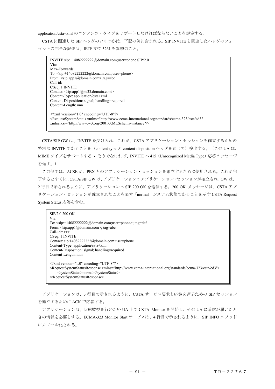application/csta+xml のコンテンツ・タイプをサポートしなければならないことを規定する。

CSTA に関連した SIP ヘッダのいくつかは、下記の例に含まれる。SIP INVITE と関連したヘッダのフォー マットの完全な記述は、IETF RFC 3261 を参照のこと。

INVITE sip:+14082222222@domain.com;user=phone SIP/2.0 Via: Max-Forwards: To: <sip:+14082222222@domain.com;user=phone> From: <sip:app1@domain.com>;tag=abc Call-id: CSeq: 1 INVITE Contact: <sip:app1@pc33.domain.com> Content-Type: application/csta+xml Content-Disposition: signal; handling=required Content-Length: nnn <?xml version="1.0" encoding="UTF-8"?> <RequestSystemStatus xmlns="http://www.ecma-international.org/standards/ecma-323/csta/ed3" xmlns:xsi="http://www.w3.org/2001/XMLSchema-instance"/>

CSTA/SIP GW は、INVITE を受け入れ、これが、CSTA アプリケーション・セッションを確立するための 特別な INVITE であることを (content-type と content-disposition ヘッダを通じて)検出する。(この UA は、 MIME タイプをサポートする - そうでなければ、INVITE へ415 (Unrecognized Media Type) 応答メッセージ を返す。)

この例では、ACSE が、PBX とのアプリケーション・セッションを確立するために使用される。これが完 了するとすぐに、CSTA/SIP GW は、アプリケーションのアプリケーション・セッションが確立され、GW は、 2 行目で示されるように、アプリケーションへ SIP 200 OK を送信する。200 OK メッセージは、CSTA アプ リケーション・セッションが確立されたことを表す「normal」システム状態であることを示す CSTA Request System Status 応答を含む。

| SIP/2.0 200 OK<br>Via:                                                                                                                                                         |
|--------------------------------------------------------------------------------------------------------------------------------------------------------------------------------|
| To: $\langle$ sip:+140822222222@domain.com;user=phone>; tag=def                                                                                                                |
| From: $\langle$ sip:app1@domain.com>; tag=abc                                                                                                                                  |
| $Call-id=xxx$                                                                                                                                                                  |
| CSeq: 1 INVITE                                                                                                                                                                 |
| Contact: sip:140822222222@domain.com;user=phone                                                                                                                                |
| Content-Type: application/csta+xml                                                                                                                                             |
| Content-Disposition: signal; handling=required                                                                                                                                 |
| Content-Length: nnn                                                                                                                                                            |
|                                                                                                                                                                                |
| $\leq$ ?xml version="1.0" encoding="UTF-8"?>                                                                                                                                   |
| <requestsystemstatusresponse xmlns="http://www.ecma-international.org/standards/ecma-323/csta/ed3"><br/><systemstatus>normal</systemstatus><br/></requestsystemstatusresponse> |

アプリケーションは、3 行目で示されるように、CSTA サービス要求と応答を運ぶための SIP セッション を確立するために ACK で応答する。

アプリケーションは、状態監視を行いたい UA 上で CSTA Monitor を開始し、その UA に着信が届いたと きの情報を必要とする。ECMA-323 Monitor Start サービスは、4 行目で示されるように、SIP INFO メソッド にカプセル化される。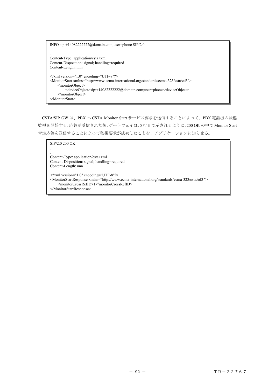INFO sip:+14082222222@domain.com;user=phone SIP/2.0 . . Content-Type: application/csta+xml Content-Disposition: signal; handling=required Content-Length: nnn <?xml version="1.0" encoding="UTF-8"?> <MonitorStart xmlns="http://www.ecma-international.org/standards/ecma-323/csta/ed3"> <monitorObject> <deviceObject>sip:+14082222222@domain.com;user=phone</deviceObject> </monitorObject> </MonitorStart>

CSTA/SIP GW は、PBX へ CSTA Monitor Start サービス要求を送信することによって、PBX 電話機の状態 監視を開始する。応答が受信された後、ゲートウェイは、5 行目で示されるように、200 OK の中で Monitor Start 肯定応答を送信することによって監視要求が成功したことを、アプリケーションに知らせる。

SIP/2.0 200 OK . . Content-Type: application/csta+xml Content-Disposition: signal; handling=required Content-Length: nnn <?xml version="1.0" encoding="UTF-8"?> <MonitorStartResponse xmlns="http://www.ecma-international.org/standards/ecma-323/csta/ed3 "> <monitorCrossRefID>1</monitorCrossRefID> </MonitorStartResponse>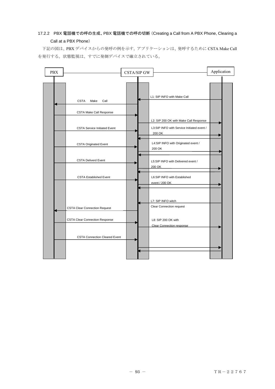# 17.2.2 PBX 電話機での呼の生成、PBX 電話機での呼の切断(Creating a Call from A PBX Phone, Clearing a Call at a PBX Phone)

下記の図は、PBX デバイスからの発呼の例を示す。アプリケーションは、発呼するために CSTA Make Call を発行する。状態監視は、すでに発側デバイスで確立されている。

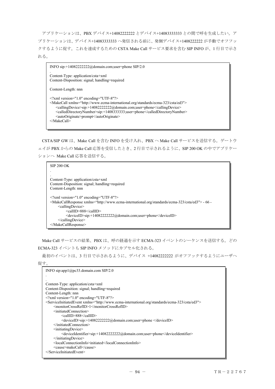アプリケーションは、PBX デバイス+14082222222 とデバイス+14083333333 との間で呼を生成したい。ア プリケーションは、デバイス+14083333333 へ発信される前に、発側デバイス+1408222222 が手動でオフフッ クするように促す。これを達成するための CSTA Make Call サービス要求を含む SIP INFO が、1 行目で示さ れる。

INFO sip:+14082222222@domain.com;user=phone SIP/2.0 . Content-Type: application/csta+xml Content-Disposition: signal; handling=required Content-Length: nnn <?xml version="1.0" encoding="UTF-8"?> <MakeCall xmlns="http://www.ecma-international.org/standards/ecma-323/csta/ed3"> <callingDevice>sip:+14082222222@domain.com;user=phone</callingDevice> <calledDirectoryNumber>sip:+1408333333;user=phone</calledDirectoryNumber> <autoOriginate>prompt</autoOriginate> </MakeCall>

CSTA/SIP GW は、Make Call を含む INFO を受け入れ、PBX へ Make Call サービスを送信する。ゲートウ ェイが PBX からの Make Call 応答を受信したとき、2 行目で示されるように、SIP 200 OK の中でアプリケー ションへ Make Call 応答を送信する。



Make Call サービスの結果、PBX は、呼の経過を示す ECMA-323 イベントのシーケンスを送信する。どの ECMA-323 イベントも SIP INFO メソッドにカプセル化される。

最初のイベントは、3 行目で示されるように、デバイス +14082222222 がオフフックするようにユーザへ 促す.

```
INFO sip:app1@pc33.domain.com SIP/2.0 
. 
. 
Content-Type: application/csta+xml 
Content-Disposition: signal; handling=required 
Content-Length: nnn 
<?xml version="1.0" encoding="UTF-8"?> 
<ServiceInitiatedEvent xmlns="http://www.ecma-international.org/standards/ecma-323/csta/ed3"> 
      <monitorCrossRefID>1</monitorCrossRefID> 
      <initiatedConnection> 
          <callID>888</callID> 
          <deviceID>sip:+14082222222@domain.com;user=phone </deviceID> 
     </initiatedConnection> 
      <initiatingDevice> 
          <deviceIdentifier>sip:+14082222222@domain.com;user=phone</deviceIdentifier> 
      </initiatingDevice> 
     <localConnectionInfo>initiated</localConnectionInfo> 
      <cause>makeCall</cause> 
</ServiceInitiatedEvent>
```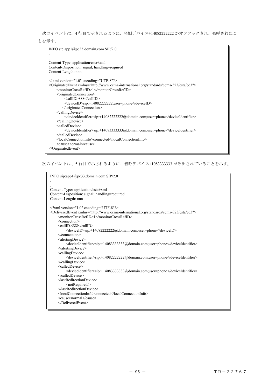次のイベントは、4 行目で示されるように、発側デバイス+14082222222 がオフフックされ、発呼されたこ

とを示す。

```
INFO sip:app1@pc33.domain.com SIP/2.0 
. 
. 
Content-Type: application/csta+xml 
Content-Disposition: signal; handling=required 
Content-Length: nnn 
<?xml version="1.0" encoding="UTF-8"?> 
<OriginatedEvent xmlns="http://www.ecma-international.org/standards/ecma-323/csta/ed3"> 
      <monitorCrossRefID>1</monitorCrossRefID> 
      <originatedConnection> 
          <callID>888</callID> 
          <deviceID>sip:+14082222222;user=phone</deviceID> 
         </originatedConnection> 
      <callingDevice> 
           <deviceIdentifier>sip:+14082222222@domain.com;user=phone</deviceIdentifier> 
      </callingDevice> 
      <calledDevice> 
          <deviceIdentifier>sip:+14083333333@domain.com;user=phone</deviceIdentifier> 
      </calledDevice> 
      <localConnectionInfo>connected</localConnectionInfo> 
      <cause>normal</cause> 
</OriginatedEvent>
```
次のイベントは、5 行目で示されるように、着呼デバイス+1083333333 が呼出されていることを示す。

```
INFO sip:app1@pc33.domain.com SIP/2.0 
. 
. 
Content-Type: application/csta+xml 
Content-Disposition: signal; handling=required 
Content-Length: nnn 
<?xml version="1.0" encoding="UTF-8"?> 
<DeliveredEvent xmlns="http://www.ecma-international.org/standards/ecma-323/csta/ed3"> 
 <monitorCrossRefID>1</monitorCrossRefID> 
      <connection> 
      <callID>888</callID> 
          <deviceID>sip:+14082222222@domain.com;user=phone</deviceID> 
      </connection> 
      <alertingDevice> 
          <deviceIdentifier>sip:+14083333333@domain.com;user=phone</deviceIdentifier> 
      </alertingDevice> 
      <callingDevice> 
          <deviceIdentifier>sip:+14082222222@domain.com;user=phone</deviceIdentifier> 
      </callingDevice> 
     <calledDevice> 
          <deviceIdentifier>sip:+14083333333@domain.com;user=phone</deviceIdentifier> 
      </calledDevice> 
      <lastRedirectionDevice> 
          <notRequired/> 
      </lastRedirectionDevice> 
      <localConnectionInfo>connected</localConnectionInfo> 
      <cause>normal</cause> 
      </DeliveredEvent>
```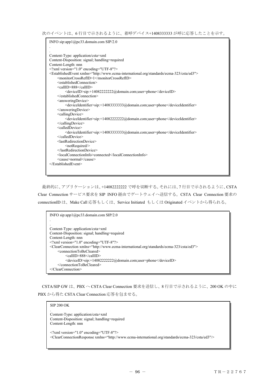次のイベントは、6 行目で示されるように、着呼デバイス+1408333333 が呼に応答したことを示す。

INFO sip:app1@pc33.domain.com SIP/2.0 . . Content-Type: application/csta+xml Content-Disposition: signal; handling=required Content-Length: nnn  $\leq$ ?xml version="1.0" encoding="UTF-8"?> <EstablishedEvent xmlns="http://www.ecma-international.org/standards/ecma-323/csta/ed3"> <monitorCrossRefID>1</monitorCrossRefID> <establishedConnection> <callID>888</callID> <deviceID>sip:+14082222222@domain.com;user=phone</deviceID> </establishedConnection> <answeringDevice> <deviceIdentifier>sip:+14083333333@domain.com;user=phone</deviceIdentifier> </answeringDevice> <callingDevice> <deviceIdentifier>sip:+14082222222@domain.com;user=phone</deviceIdentifier> </callingDevice> <calledDevice> <deviceIdentifier>sip:+14083333333@domain.com;user=phone</deviceIdentifier> </calledDevice> <lastRedirectionDevice> <notRequired/> </lastRedirectionDevice> <localConnectionInfo>connected</localConnectionInfo> <cause>normal</cause> </EstablishedEvent>

最終的に、アプリケーションは、+14082222222 で呼を切断する。それには、7 行目で示されるように、CSTA Clear Connection サービス要求を SIP INFO 経由でゲートウェイへ送信する。CSTA Clear Connection 要求の connectionID は、Make Call 応答もしくは、Service Initiated もしくは Originated イベントから得られる。

```
INFO sip:app1@pc33.domain.com SIP/2.0 
. 
. 
Content-Type: application/csta+xml 
Content-Disposition: signal; handling=required 
Content-Length: nnn 
<?xml version="1.0" encoding="UTF-8"?> 
<ClearConnection xmlns="http://www.ecma-international.org/standards/ecma-323/csta/ed3"> 
      <connectionToBeCleared> 
          <callID>888</callID> 
          <deviceID>sip:+14082222222@domain.com;user=phone</deviceID> 
      </connectionToBeCleared> 
</ClearConnection>
```
CSTA/SIP GW は、PBX へ CSTA Clear Connection 要求を送信し、8 行目で示されるように、200 OK の中に PBX から得た CSTA Clear Connection 応答を包ませる。

#### SIP 200 OK

.

Content-Type: application/csta+xml Content-Disposition: signal; handling=required Content-Length: nnn

<?xml version="1.0" encoding="UTF-8"?> <ClearConnectionResponse xmlns="http://www.ecma-international.org/standards/ecma-323/csta/ed3"/>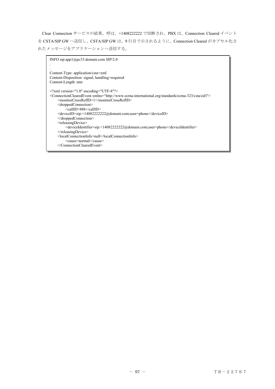Clear Connection サービスの結果、呼は、+1408222222 で切断され、PBX は、Connection Cleared イベント を CSTA/SIP GW へ送信し、CSTA/SIP GW は、9 行目で示されるように、Connection Cleared がカプセル化さ れたメッセージをアプリケーションへ送信する。

```
INFO sip:app1@pc33.domain.com SIP/2.0 
. 
. 
Content-Type: application/csta+xml 
Content-Disposition: signal; handling=required 
Content-Length: nnn 
<?xml version="1.0" encoding="UTF-8"?> 
<ConnectionClearedEvent xmlns="http://www.ecma-international.org/standards/ecma-323/csta/ed3"> 
     <monitorCrossRefID>1</monitorCrossRefID> 
     <droppedConnection> 
          <callID>888</callID> 
     <deviceID>sip:+14082222222@domain.com;user=phone</deviceID> 
     </droppedConnection> 
    <releasingDevice>
          <deviceIdentifier>sip:+14082222222@domain.com;user=phone</deviceIdentifier> 
    </releasingDevice>
     <localConnectionInfo>null</localConnectionInfo> 
          <cause>normal</cause> 
     </ConnectionClearedEvent>
```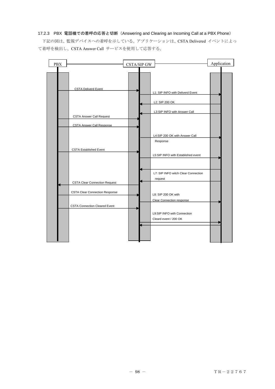## 17.2.3 PBX 電話機での着呼の応答と切断(Answering and Clearing an Incoming Call at a PBX Phone)

下記の図は、監視デバイスへの着呼を示している。アプリケーションは、CSTA Delivered イベントによっ て着呼を検出し、CSTA Answer Call サービスを使用して応答する。

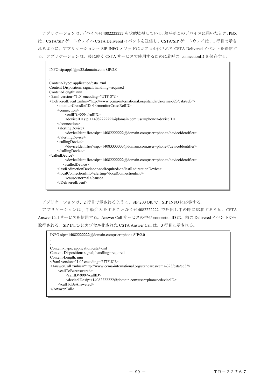アプリケーションは、デバイス+14082222222 を状態監視している。着呼がこのデバイスに届いたとき、PBX は、CSTA/SIP ゲートウェイへ CSTA Delivered イベントを送信し、CSTA/SIP ゲートウェイは、1 行目で示さ れるように、アプリケーションへ SIP INFO メソッドにカプセル化された CSTA Delivered イベントを送信す る。アプリケーションは、後に続く CSTA サービスで使用するために着呼の connectionID を保存する。

```
INFO sip:app1@pc33.domain.com SIP/2.0 
. 
. 
Content-Type: application/csta+xml 
Content-Disposition: signal; handling=required 
Content-Length: nnn 
<?xml version="1.0" encoding="UTF-8"?> 
<DeliveredEvent xmlns="http://www.ecma-international.org/standards/ecma-323/csta/ed3"> 
      <monitorCrossRefID>1</monitorCrossRefID> 
      <connection> 
          <callID>999</callID> 
          <deviceID>sip:+14082222222@domain.com;user=phone</deviceID> 
      </connection> 
      <alertingDevice> 
          <deviceIdentifier>sip:+14082222222@domain.com;user=phone</deviceIdentifier> 
      </alertingDevice> 
      <callingDevice> 
          <deviceIdentifier>sip:+14083333333@domain.com;user=phone</deviceIdentifier> 
      </callingDevice> 
<calledDevice> 
          <deviceIdentifier>sip:+14082222222@domain.com;user=phone</deviceIdentifier> 
         </calledDevice> 
      <lastRedirectionDevice><notRequired/></lastRedirectionDevice> 
      <localConnectionInfo>alerting</localConnectionInfo> 
          <cause>normal</cause> 
      </DeliveredEvent>
```
アプリケーションは、2 行目で示されるように、SIP 200 OK で、SIP INFO に応答する。

アプリケーションは、手動介入をすることなく+14082222222 で呼出し中の呼に応答するため、CSTA Answer Call サービスを使用する。Answer Call サービスの中の connectionID は、前の Delivered イベントから 取得される。SIP INFO にカプセル化された CSTA Answer Call は、3 行目に示される。

```
INFO sip:+14082222222@domain.com;user=phone SIP/2.0 
. 
. 
Content-Type: application/csta+xml 
Content-Disposition: signal; handling=required 
Content-Length: nnn 
<?xml version="1.0" encoding="UTF-8"?> 
<AnswerCall xmlns="http://www.ecma-international.org/standards/ecma-323/csta/ed3"> 
    <callToBeAnswered>
          <callID>999</callID> 
          <deviceID>sip:+14082222222@domain.com;user=phone</deviceID> 
     </callToBeAnswered> 
</AnswerCall>
```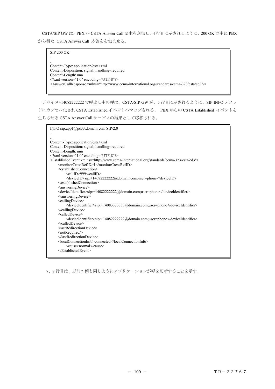CSTA/SIP GW は、PBX へ CSTA Answer Call 要求を送信し、4 行目に示されるように、200 OK の中に PBX から得た CSTA Answer Call 応答をを包ませる。

SIP 200 OK . . Content-Type: application/csta+xml Content-Disposition: signal; handling=required Content-Length: nnn  $\leq$ ?xml version="1.0" encoding="UTF-8"?> <AnswerCallResponse xmlns="http://www.ecma-international.org/standards/ecma-323/csta/ed3"/>

デバイス+14082222222 で呼出し中の呼は、CSTA/SIP GW が、5 行目に示されるように、SIP INFO メソッ ドにカプセル化され CSTA Established イベントへマップされる、 PBX からの CSTA Established イベントを 生じさせる CSTA Answer Call サービスの結果として応答される。

| INFO sip:app1@pc33.domain.com SIP/2.0                                                                       |
|-------------------------------------------------------------------------------------------------------------|
|                                                                                                             |
|                                                                                                             |
| Content-Type: application/csta+xml                                                                          |
| Content-Disposition: signal; handling=required                                                              |
| Content-Length: nnn                                                                                         |
| $\leq$ ?xml version="1.0" encoding="UTF-8"?>                                                                |
| <establishedevent xmlns="http://www.ecma-international.org/standards/ecma-323/csta/ed3"></establishedevent> |
| <monitorcrossrefid>1</monitorcrossrefid>                                                                    |
| $\le$ establishedConnection>                                                                                |
| <callid>999</callid>                                                                                        |
| <deviceid>sip:+14082222222@domain.com;user=phone</deviceid>                                                 |
|                                                                                                             |
| <answeringdevice></answeringdevice>                                                                         |
| <deviceidentifier>sip:+140822222222@domain.com;user=phone</deviceidentifier>                                |
| $\leq$ answeringDevice>                                                                                     |
| <callingdevice></callingdevice>                                                                             |
| <deviceidentifier>sip:+14083333333@domain.com;user=phone</deviceidentifier>                                 |
| $\le$ /callingDevice>                                                                                       |
| <calleddevice></calleddevice>                                                                               |
| <deviceidentifier>sip:+140822222222@domain.com;user=phone</deviceidentifier>                                |
| $\le$ /calledDevice>                                                                                        |
| <lastredirectiondevice></lastredirectiondevice>                                                             |
| <notrequired></notrequired>                                                                                 |
|                                                                                                             |
| <localconnectioninfo>connected</localconnectioninfo>                                                        |
| <cause>normal</cause>                                                                                       |
| $\le$ /EstablishedEvent>                                                                                    |
|                                                                                                             |

7、8 行目は、以前の例と同じようにアプリケーションが呼を切断することを示す。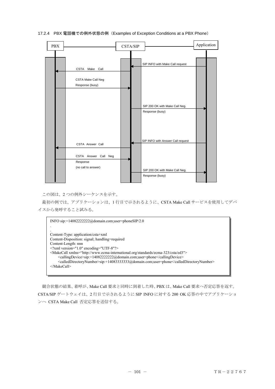

# 17.2.4 PBX 電話機での例外状態の例(Examples of Exception Conditions at a PBX Phone)

この図は、2 つの例外シーケンスを示す。

最初の例では、アプリケーションは、1 行目で示されるように、CSTA Make Call サービスを使用してデバ イスから発呼すること試みる。

INFO sip:+14082222222@domain.com;user=phoneSIP/2.0 . . Content-Type: application/csta+xml Content-Disposition: signal; handling=required Content-Length: nnn  $\leq$ ?xml version="1.0" encoding="UTF-8"?> <MakeCall xmlns="http://www.ecma-international.org/standards/ecma-323/csta/ed3"> <callingDevice>sip:+14082222222@domain.com;user=phone</callingDevice> <calledDirectoryNumber>sip:+14083333333@domain.com;user=phone</calledDirectoryNumber> </MakeCall>

競合状態の結果、着呼が、Make Call 要求と同時に到着した時、PBX は、Make Call 要求へ否定応答を返す。 CSTA/SIP ゲートウェイは、2 行目で示されるように SIP INFO に対する 200 OK 応答の中でアプリケーショ ンへ CSTA Make Call 否定応答を送信する。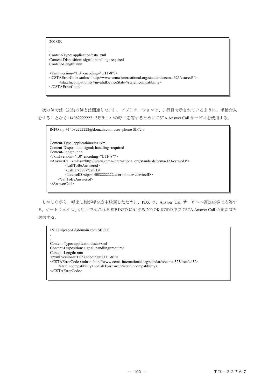```
200 OK 
. 
. 
Content-Type: application/csta+xml 
Content-Disposition: signal; handling=required 
Content-Length: nnn 
<?xml version="1.0" encoding="UTF-8"?> 
<CSTAErrorCode xmlns="http://www.ecma-international.org/standards/ecma-323/csta/ed3"> 
       <stateIncompatibility>invalidDeviceState</stateIncompatibility> 
</CSTAErrorCode>
```
次の例では(以前の例とは関連しない)、アプリケーションは、3 行目で示されているように、手動介入 をすることなく+14082222222 で呼出し中の呼に応答するために CSTA Answer Call サービスを使用する。

```
INFO sip:+14082222222@domain.com;user=phone SIP/2.0 
. 
. 
Content-Type: application/csta+xml 
Content-Disposition: signal; handling=required 
Content-Length: nnn 
<?xml version="1.0" encoding="UTF-8"?> 
<AnswerCall xmlns="http://www.ecma-international.org/standards/ecma-323/csta/ed3"> 
         <callToBeAnswered>
          <callID>888</callID> 
          <deviceID>sip:+14082222222;user=phone</deviceID> 
     </callToBeAnswered> 
</AnswerCall>
```
しかしながら、呼出し側が呼を途中放棄したために、PBX は、Answer Call サービスへ否定応答で応答す る。ゲートウェイは、4 行目で示される SIP INFO に対する 200 OK 応答の中で CSTA Answer Call 否定応答を 送信する。

INFO sip:app1@domain.com SIP/2.0 .

```
. 
Content-Type: application/csta+xml 
Content-Disposition: signal; handling=required 
Content-Length: nnn 
<?xml version="1.0" encoding="UTF-8"?> 
<CSTAErrorCode xmlns="http://www.ecma-international.org/standards/ecma-323/csta/ed3"> 
      <stateIncompatibility>noCallToAnswer</stateIncompatibility> 
</CSTAErrorCode>
```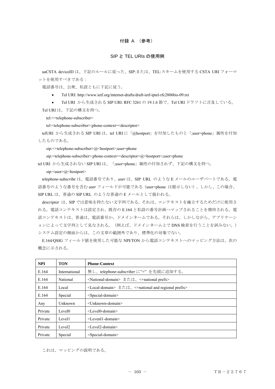# 付録 A (参考)

### SIP と TEL URIs の使用例

uaCSTA deviceID は、下記のルールに従った、SIP:または、TEL:スキームを使用する CSTA URI フォーマ ットを使用すべきである:

電話番号は、公衆、私設ともに下記に従う。

• Tel URI: http://www.ietf.org/internet-drafts/draft-ietf-iptel-rfc2806bis-09.txt

● Tel URI から生成される SIP URI: RFC 3261の19.1.6 節で、Tel URI ドラフトに言及している。

Tel URI は、下記の構文を持つ。

tel:<+telephone-subscriber>

tel:<telephone-subscriber>;phone-context=<descriptor>

telURI から生成される SIP URI は、tel URI に「@hostport」を付加したものと「;user=phone」属性を付加 したものである。

sip:<+telephone-subscriber>@<hostport>;user=phone

sip:<telephone-subscriber>;phone-context=<descriptor>@<hostport>;user=phone

tel URI から生成されない SIP URI は、「;user=phone」属性の付加されず、下記の構文を持つ。

sip: <user>@<hostport>

*telephone-subscribe* は、電話番号であり、*user* は、SIP URL のような E メールのユーザパートである。電 話番号のような番号を含む *user* フィールドが可能である(user=phone は提示しない)。しかし、この場合、 SIP URL は、普通の SIP URL のような普通の E メールとして扱われる。

*descriptor* は、SIP では意味を持たない文字列である。それは、コンテキストを確立するためだけに使用さ れる。電話コンテキストは設定され、既存の E.164 と私設の番号計画へマップされることを期待される。電 話コンテキストは、普通は、電話番号か、ドメインネームである。それらは、しかしながら、アプリケーシ ョンによって文字列として見なされる。(例えば、ドメインネーム上で DNS 検索を行うことを試みない。) システム設定の側面からは、この文章の範囲外であり、標準化の対象でない。

E.164/QSIG フィールド値を使用した可能な NPI/TON から電話コンテキストへのマッピング方法は、次の 概念に示される。

| <b>NPI</b> | <b>TON</b>         | <b>Phone-Context</b>                                                    |
|------------|--------------------|-------------------------------------------------------------------------|
| E.164      | International      | 無し、telephone-subscriberに"+"を先頭に追加する。                                    |
| E.164      | National           | <national-domain> または、&lt;+national prefx&gt;</national-domain>         |
| E.164      | Local              | <local-domain> または、&lt;+national and regional prefix&gt;</local-domain> |
| E.164      | Special            | $<$ Special-domain>                                                     |
| Any        | Unknown            | <unknown-domain></unknown-domain>                                       |
| Private    | Level <sub>0</sub> | $\leq$ Level0-domain>                                                   |
| Private    | Level1             | $\leq$ Leven <sub>1</sub> - domain $\geq$                               |
| Private    | Level <sub>2</sub> | $<$ Level2-domain $>$                                                   |
| Private    | Special            | <special-domain></special-domain>                                       |

これは、マッピングの説明である。